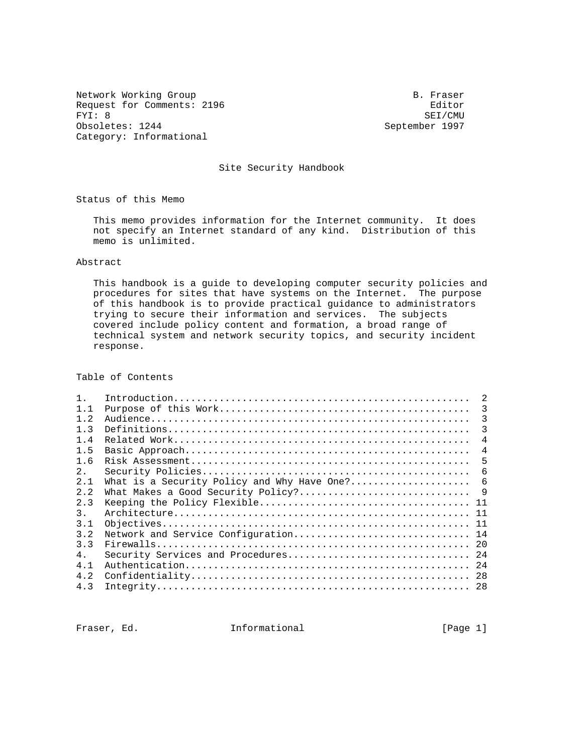Network Working Group and the set of the set of the B. Fraser Request for Comments: 2196 Editor FYI: 8 SEI/CMU Obsoletes: 1244 September 1997 Category: Informational

### Site Security Handbook

Status of this Memo

 This memo provides information for the Internet community. It does not specify an Internet standard of any kind. Distribution of this memo is unlimited.

### Abstract

 This handbook is a guide to developing computer security policies and procedures for sites that have systems on the Internet. The purpose of this handbook is to provide practical guidance to administrators trying to secure their information and services. The subjects covered include policy content and formation, a broad range of technical system and network security topics, and security incident response.

# Table of Contents

| 1 <sub>1</sub> |                                             | 2  |
|----------------|---------------------------------------------|----|
| 1.1            |                                             | 3  |
| 1.2            |                                             | 3  |
| 1.3            |                                             | 3  |
| 1.4            |                                             | 4  |
| 1.5            |                                             | 4  |
| 1.6            |                                             | 5  |
| 2.             |                                             | 6  |
| 2.1            | What is a Security Policy and Why Have One? | 6  |
| 2.2            | What Makes a Good Security Policy?          | 9  |
| 2.3            |                                             |    |
| 3.             |                                             |    |
| 3.1            |                                             |    |
| 3.2            | Network and Service Configuration           | 14 |
| 3.3            |                                             | 20 |
| 4.             | Security Services and Procedures            | 24 |
| 4.1            |                                             | 24 |
| 4.2            |                                             |    |
| 4.3            |                                             |    |

Fraser, Ed. 10. Informational 1.1 [Page 1]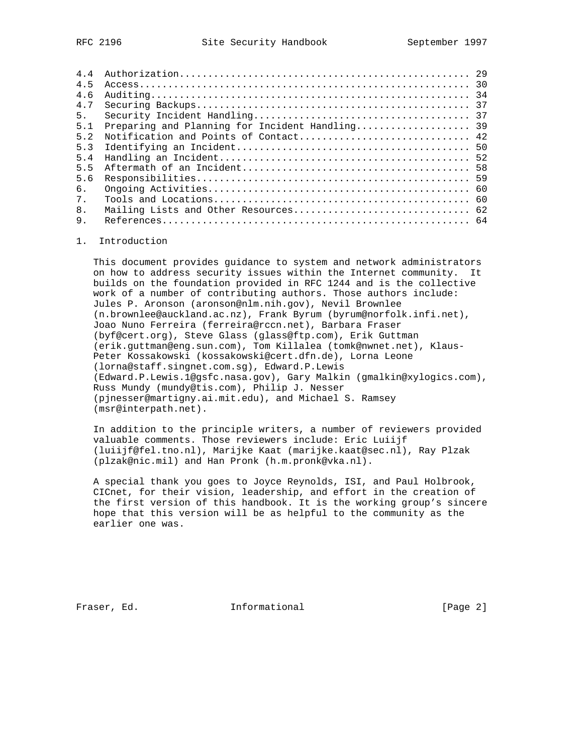| $4\quad 4$     |                                                 |  |
|----------------|-------------------------------------------------|--|
| 4.5            |                                                 |  |
| 4.6            |                                                 |  |
| 4.7            |                                                 |  |
| 5.             |                                                 |  |
| 5.1            | Preparing and Planning for Incident Handling 39 |  |
| 5.2            |                                                 |  |
| 5.3            |                                                 |  |
| 5.4            |                                                 |  |
| 5.5            |                                                 |  |
| 5.6            |                                                 |  |
| 6.             |                                                 |  |
| 7 <sub>1</sub> |                                                 |  |
| 8.             |                                                 |  |
| 9.             |                                                 |  |

# 1. Introduction

 This document provides guidance to system and network administrators on how to address security issues within the Internet community. It builds on the foundation provided in RFC 1244 and is the collective work of a number of contributing authors. Those authors include: Jules P. Aronson (aronson@nlm.nih.gov), Nevil Brownlee (n.brownlee@auckland.ac.nz), Frank Byrum (byrum@norfolk.infi.net), Joao Nuno Ferreira (ferreira@rccn.net), Barbara Fraser (byf@cert.org), Steve Glass (glass@ftp.com), Erik Guttman (erik.guttman@eng.sun.com), Tom Killalea (tomk@nwnet.net), Klaus- Peter Kossakowski (kossakowski@cert.dfn.de), Lorna Leone (lorna@staff.singnet.com.sg), Edward.P.Lewis (Edward.P.Lewis.1@gsfc.nasa.gov), Gary Malkin (gmalkin@xylogics.com), Russ Mundy (mundy@tis.com), Philip J. Nesser (pjnesser@martigny.ai.mit.edu), and Michael S. Ramsey (msr@interpath.net).

 In addition to the principle writers, a number of reviewers provided valuable comments. Those reviewers include: Eric Luiijf (luiijf@fel.tno.nl), Marijke Kaat (marijke.kaat@sec.nl), Ray Plzak (plzak@nic.mil) and Han Pronk (h.m.pronk@vka.nl).

 A special thank you goes to Joyce Reynolds, ISI, and Paul Holbrook, CICnet, for their vision, leadership, and effort in the creation of the first version of this handbook. It is the working group's sincere hope that this version will be as helpful to the community as the earlier one was.

Fraser, Ed. 1nformational 1999 [Page 2]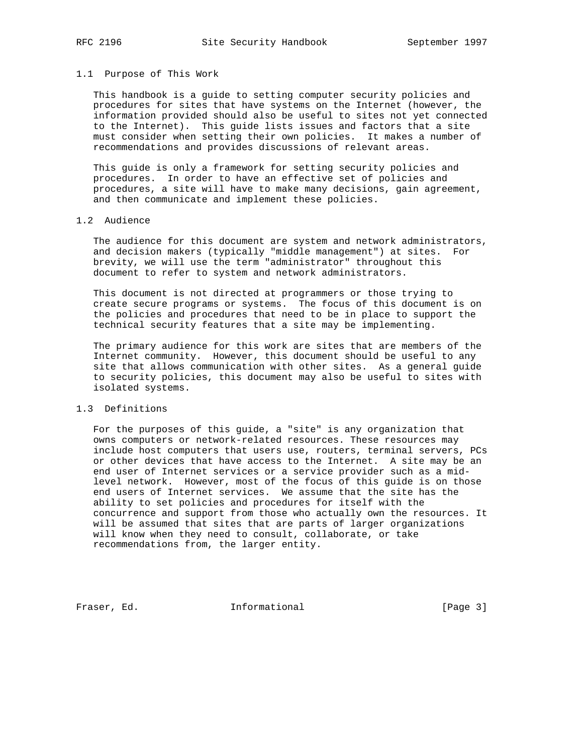# 1.1 Purpose of This Work

 This handbook is a guide to setting computer security policies and procedures for sites that have systems on the Internet (however, the information provided should also be useful to sites not yet connected to the Internet). This guide lists issues and factors that a site must consider when setting their own policies. It makes a number of recommendations and provides discussions of relevant areas.

 This guide is only a framework for setting security policies and procedures. In order to have an effective set of policies and procedures, a site will have to make many decisions, gain agreement, and then communicate and implement these policies.

# 1.2 Audience

 The audience for this document are system and network administrators, and decision makers (typically "middle management") at sites. For brevity, we will use the term "administrator" throughout this document to refer to system and network administrators.

 This document is not directed at programmers or those trying to create secure programs or systems. The focus of this document is on the policies and procedures that need to be in place to support the technical security features that a site may be implementing.

 The primary audience for this work are sites that are members of the Internet community. However, this document should be useful to any site that allows communication with other sites. As a general guide to security policies, this document may also be useful to sites with isolated systems.

# 1.3 Definitions

 For the purposes of this guide, a "site" is any organization that owns computers or network-related resources. These resources may include host computers that users use, routers, terminal servers, PCs or other devices that have access to the Internet. A site may be an end user of Internet services or a service provider such as a mid level network. However, most of the focus of this guide is on those end users of Internet services. We assume that the site has the ability to set policies and procedures for itself with the concurrence and support from those who actually own the resources. It will be assumed that sites that are parts of larger organizations will know when they need to consult, collaborate, or take recommendations from, the larger entity.

Fraser, Ed. 1nformational 1996 [Page 3]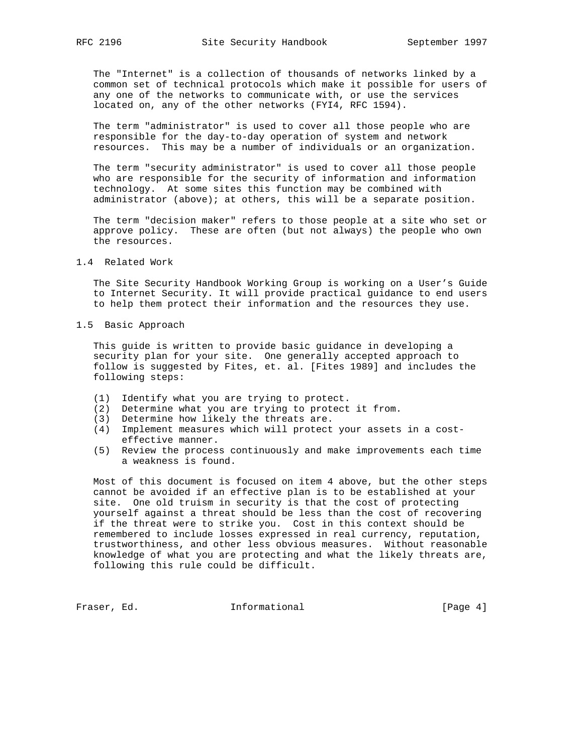The "Internet" is a collection of thousands of networks linked by a common set of technical protocols which make it possible for users of any one of the networks to communicate with, or use the services located on, any of the other networks (FYI4, RFC 1594).

 The term "administrator" is used to cover all those people who are responsible for the day-to-day operation of system and network resources. This may be a number of individuals or an organization.

 The term "security administrator" is used to cover all those people who are responsible for the security of information and information technology. At some sites this function may be combined with administrator (above); at others, this will be a separate position.

 The term "decision maker" refers to those people at a site who set or approve policy. These are often (but not always) the people who own the resources.

#### 1.4 Related Work

 The Site Security Handbook Working Group is working on a User's Guide to Internet Security. It will provide practical guidance to end users to help them protect their information and the resources they use.

1.5 Basic Approach

 This guide is written to provide basic guidance in developing a security plan for your site. One generally accepted approach to follow is suggested by Fites, et. al. [Fites 1989] and includes the following steps:

- (1) Identify what you are trying to protect.
- (2) Determine what you are trying to protect it from.
- (3) Determine how likely the threats are.
- (4) Implement measures which will protect your assets in a cost effective manner.
- (5) Review the process continuously and make improvements each time a weakness is found.

 Most of this document is focused on item 4 above, but the other steps cannot be avoided if an effective plan is to be established at your site. One old truism in security is that the cost of protecting yourself against a threat should be less than the cost of recovering if the threat were to strike you. Cost in this context should be remembered to include losses expressed in real currency, reputation, trustworthiness, and other less obvious measures. Without reasonable knowledge of what you are protecting and what the likely threats are, following this rule could be difficult.

Fraser, Ed. 1nformational 1992 [Page 4]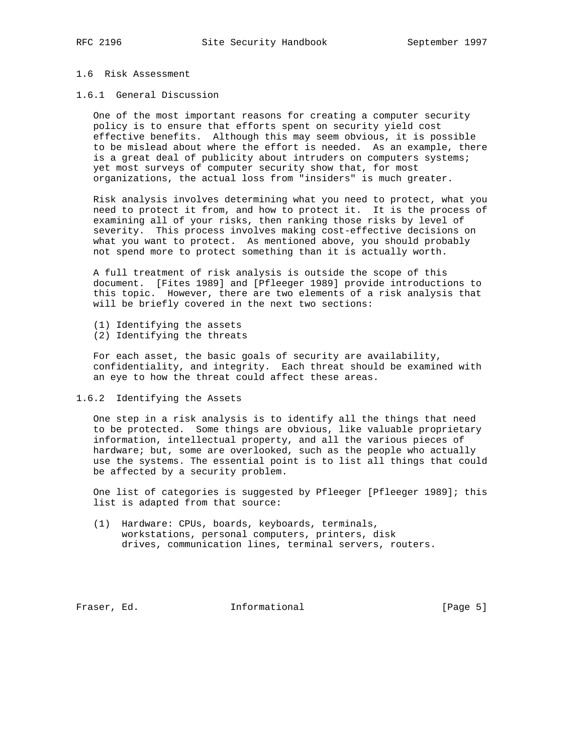# 1.6 Risk Assessment

1.6.1 General Discussion

 One of the most important reasons for creating a computer security policy is to ensure that efforts spent on security yield cost effective benefits. Although this may seem obvious, it is possible to be mislead about where the effort is needed. As an example, there is a great deal of publicity about intruders on computers systems; yet most surveys of computer security show that, for most organizations, the actual loss from "insiders" is much greater.

 Risk analysis involves determining what you need to protect, what you need to protect it from, and how to protect it. It is the process of examining all of your risks, then ranking those risks by level of severity. This process involves making cost-effective decisions on what you want to protect. As mentioned above, you should probably not spend more to protect something than it is actually worth.

 A full treatment of risk analysis is outside the scope of this document. [Fites 1989] and [Pfleeger 1989] provide introductions to this topic. However, there are two elements of a risk analysis that will be briefly covered in the next two sections:

- (1) Identifying the assets
- (2) Identifying the threats

 For each asset, the basic goals of security are availability, confidentiality, and integrity. Each threat should be examined with an eye to how the threat could affect these areas.

1.6.2 Identifying the Assets

 One step in a risk analysis is to identify all the things that need to be protected. Some things are obvious, like valuable proprietary information, intellectual property, and all the various pieces of hardware; but, some are overlooked, such as the people who actually use the systems. The essential point is to list all things that could be affected by a security problem.

 One list of categories is suggested by Pfleeger [Pfleeger 1989]; this list is adapted from that source:

 (1) Hardware: CPUs, boards, keyboards, terminals, workstations, personal computers, printers, disk drives, communication lines, terminal servers, routers.

Fraser, Ed. 1nformational 1996 [Page 5]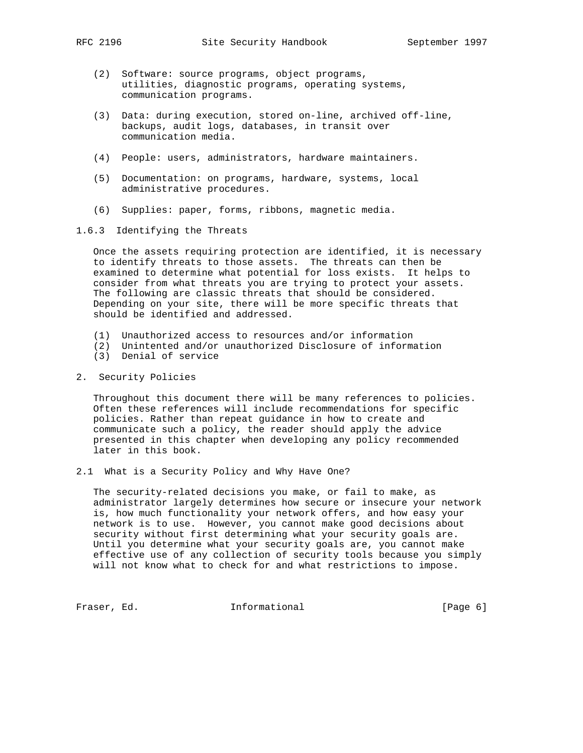- (2) Software: source programs, object programs, utilities, diagnostic programs, operating systems, communication programs.
- (3) Data: during execution, stored on-line, archived off-line, backups, audit logs, databases, in transit over communication media.
- (4) People: users, administrators, hardware maintainers.
- (5) Documentation: on programs, hardware, systems, local administrative procedures.
- (6) Supplies: paper, forms, ribbons, magnetic media.
- 1.6.3 Identifying the Threats

 Once the assets requiring protection are identified, it is necessary to identify threats to those assets. The threats can then be examined to determine what potential for loss exists. It helps to consider from what threats you are trying to protect your assets. The following are classic threats that should be considered. Depending on your site, there will be more specific threats that should be identified and addressed.

- (1) Unauthorized access to resources and/or information
- (2) Unintented and/or unauthorized Disclosure of information
- (3) Denial of service
- 2. Security Policies

 Throughout this document there will be many references to policies. Often these references will include recommendations for specific policies. Rather than repeat guidance in how to create and communicate such a policy, the reader should apply the advice presented in this chapter when developing any policy recommended later in this book.

2.1 What is a Security Policy and Why Have One?

 The security-related decisions you make, or fail to make, as administrator largely determines how secure or insecure your network is, how much functionality your network offers, and how easy your network is to use. However, you cannot make good decisions about security without first determining what your security goals are. Until you determine what your security goals are, you cannot make effective use of any collection of security tools because you simply will not know what to check for and what restrictions to impose.

Fraser, Ed. 1nformational Fraser, Ed.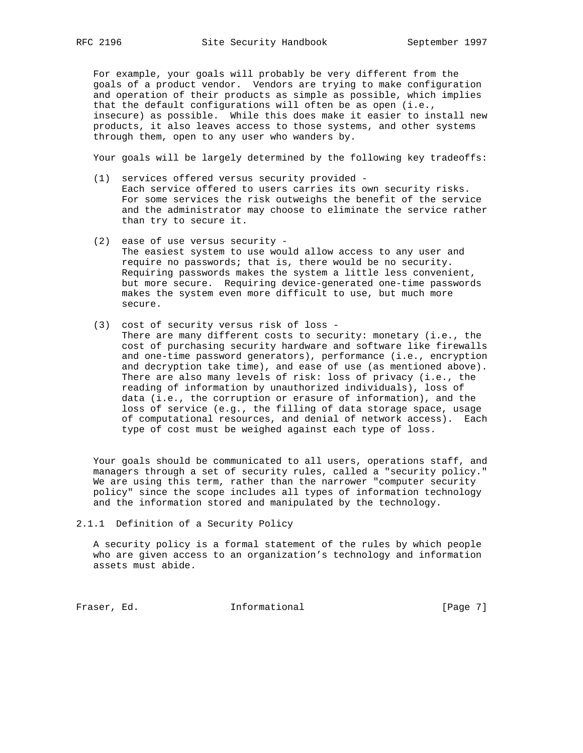For example, your goals will probably be very different from the goals of a product vendor. Vendors are trying to make configuration and operation of their products as simple as possible, which implies that the default configurations will often be as open (i.e., insecure) as possible. While this does make it easier to install new products, it also leaves access to those systems, and other systems through them, open to any user who wanders by.

Your goals will be largely determined by the following key tradeoffs:

- (1) services offered versus security provided Each service offered to users carries its own security risks. For some services the risk outweighs the benefit of the service and the administrator may choose to eliminate the service rather than try to secure it.
- (2) ease of use versus security The easiest system to use would allow access to any user and require no passwords; that is, there would be no security. Requiring passwords makes the system a little less convenient, but more secure. Requiring device-generated one-time passwords makes the system even more difficult to use, but much more secure.
- (3) cost of security versus risk of loss
	- There are many different costs to security: monetary (i.e., the cost of purchasing security hardware and software like firewalls and one-time password generators), performance (i.e., encryption and decryption take time), and ease of use (as mentioned above). There are also many levels of risk: loss of privacy (i.e., the reading of information by unauthorized individuals), loss of data (i.e., the corruption or erasure of information), and the loss of service (e.g., the filling of data storage space, usage of computational resources, and denial of network access). Each type of cost must be weighed against each type of loss.

 Your goals should be communicated to all users, operations staff, and managers through a set of security rules, called a "security policy." We are using this term, rather than the narrower "computer security policy" since the scope includes all types of information technology and the information stored and manipulated by the technology.

2.1.1 Definition of a Security Policy

 A security policy is a formal statement of the rules by which people who are given access to an organization's technology and information assets must abide.

Fraser, Ed. 1nformational 1996 [Page 7]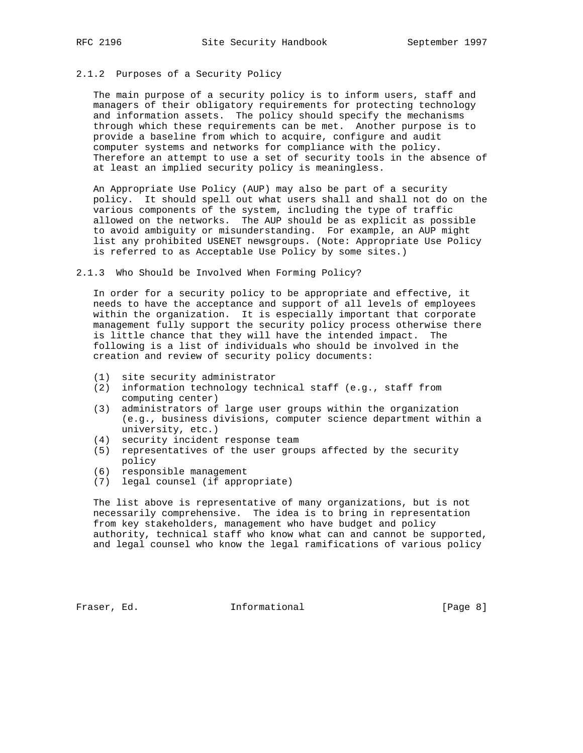# 2.1.2 Purposes of a Security Policy

 The main purpose of a security policy is to inform users, staff and managers of their obligatory requirements for protecting technology and information assets. The policy should specify the mechanisms through which these requirements can be met. Another purpose is to provide a baseline from which to acquire, configure and audit computer systems and networks for compliance with the policy. Therefore an attempt to use a set of security tools in the absence of at least an implied security policy is meaningless.

 An Appropriate Use Policy (AUP) may also be part of a security policy. It should spell out what users shall and shall not do on the various components of the system, including the type of traffic allowed on the networks. The AUP should be as explicit as possible to avoid ambiguity or misunderstanding. For example, an AUP might list any prohibited USENET newsgroups. (Note: Appropriate Use Policy is referred to as Acceptable Use Policy by some sites.)

2.1.3 Who Should be Involved When Forming Policy?

 In order for a security policy to be appropriate and effective, it needs to have the acceptance and support of all levels of employees within the organization. It is especially important that corporate management fully support the security policy process otherwise there is little chance that they will have the intended impact. The following is a list of individuals who should be involved in the creation and review of security policy documents:

- (1) site security administrator
- (2) information technology technical staff (e.g., staff from computing center)
- (3) administrators of large user groups within the organization (e.g., business divisions, computer science department within a university, etc.)
- (4) security incident response team
- (5) representatives of the user groups affected by the security policy
- (6) responsible management
- (7) legal counsel (if appropriate)

 The list above is representative of many organizations, but is not necessarily comprehensive. The idea is to bring in representation from key stakeholders, management who have budget and policy authority, technical staff who know what can and cannot be supported, and legal counsel who know the legal ramifications of various policy

Fraser, Ed. 1nformational 1999 (Page 8)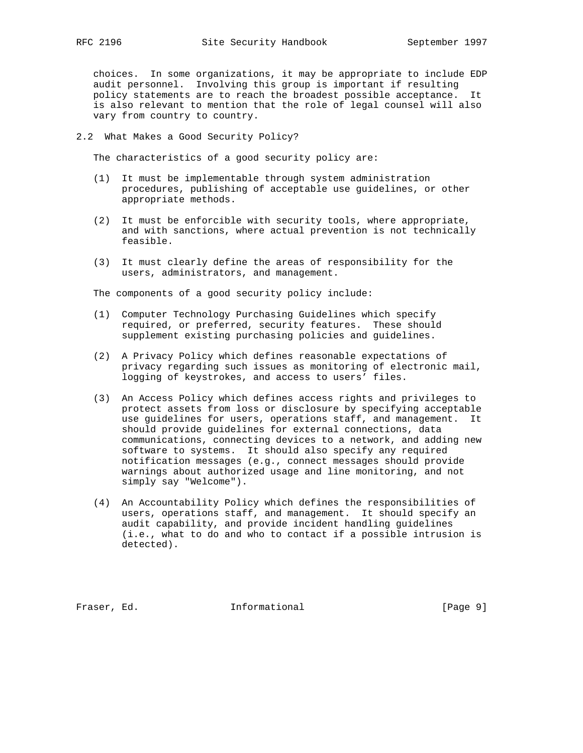choices. In some organizations, it may be appropriate to include EDP audit personnel. Involving this group is important if resulting policy statements are to reach the broadest possible acceptance. It is also relevant to mention that the role of legal counsel will also vary from country to country.

## 2.2 What Makes a Good Security Policy?

The characteristics of a good security policy are:

- (1) It must be implementable through system administration procedures, publishing of acceptable use guidelines, or other appropriate methods.
- (2) It must be enforcible with security tools, where appropriate, and with sanctions, where actual prevention is not technically feasible.
- (3) It must clearly define the areas of responsibility for the users, administrators, and management.

The components of a good security policy include:

- (1) Computer Technology Purchasing Guidelines which specify required, or preferred, security features. These should supplement existing purchasing policies and guidelines.
- (2) A Privacy Policy which defines reasonable expectations of privacy regarding such issues as monitoring of electronic mail, logging of keystrokes, and access to users' files.
- (3) An Access Policy which defines access rights and privileges to protect assets from loss or disclosure by specifying acceptable use guidelines for users, operations staff, and management. It should provide guidelines for external connections, data communications, connecting devices to a network, and adding new software to systems. It should also specify any required notification messages (e.g., connect messages should provide warnings about authorized usage and line monitoring, and not simply say "Welcome").
- (4) An Accountability Policy which defines the responsibilities of users, operations staff, and management. It should specify an audit capability, and provide incident handling guidelines (i.e., what to do and who to contact if a possible intrusion is detected).

Fraser, Ed. 1nformational Fraser, Ed.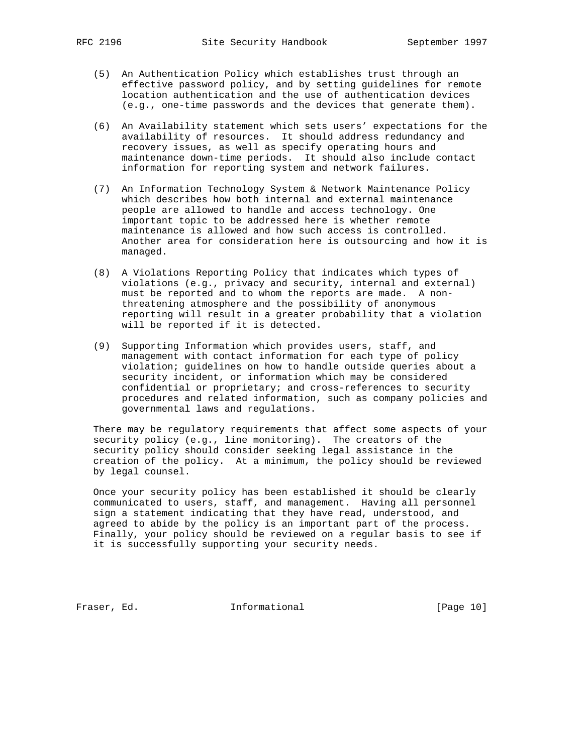- (5) An Authentication Policy which establishes trust through an effective password policy, and by setting guidelines for remote location authentication and the use of authentication devices (e.g., one-time passwords and the devices that generate them).
- (6) An Availability statement which sets users' expectations for the availability of resources. It should address redundancy and recovery issues, as well as specify operating hours and maintenance down-time periods. It should also include contact information for reporting system and network failures.
- (7) An Information Technology System & Network Maintenance Policy which describes how both internal and external maintenance people are allowed to handle and access technology. One important topic to be addressed here is whether remote maintenance is allowed and how such access is controlled. Another area for consideration here is outsourcing and how it is managed.
- (8) A Violations Reporting Policy that indicates which types of violations (e.g., privacy and security, internal and external) must be reported and to whom the reports are made. A non threatening atmosphere and the possibility of anonymous reporting will result in a greater probability that a violation will be reported if it is detected.
- (9) Supporting Information which provides users, staff, and management with contact information for each type of policy violation; guidelines on how to handle outside queries about a security incident, or information which may be considered confidential or proprietary; and cross-references to security procedures and related information, such as company policies and governmental laws and regulations.

 There may be regulatory requirements that affect some aspects of your security policy (e.g., line monitoring). The creators of the security policy should consider seeking legal assistance in the creation of the policy. At a minimum, the policy should be reviewed by legal counsel.

 Once your security policy has been established it should be clearly communicated to users, staff, and management. Having all personnel sign a statement indicating that they have read, understood, and agreed to abide by the policy is an important part of the process. Finally, your policy should be reviewed on a regular basis to see if it is successfully supporting your security needs.

Fraser, Ed. 10. Informational [Page 10]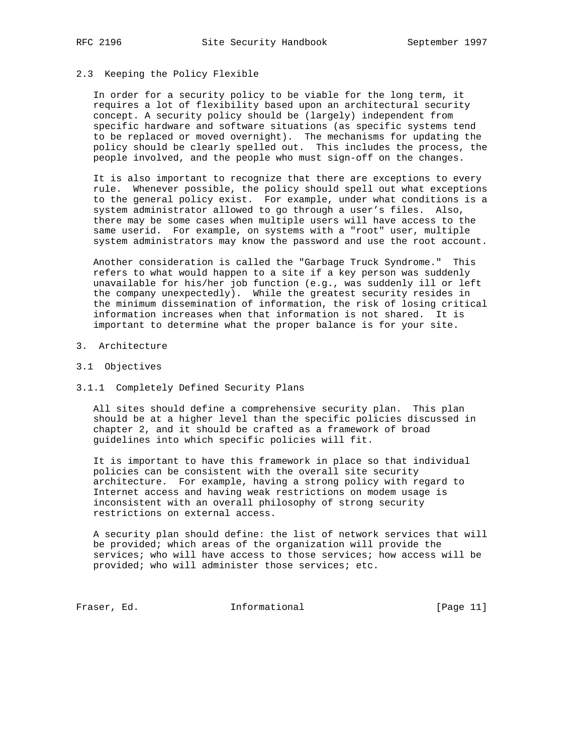# 2.3 Keeping the Policy Flexible

 In order for a security policy to be viable for the long term, it requires a lot of flexibility based upon an architectural security concept. A security policy should be (largely) independent from specific hardware and software situations (as specific systems tend to be replaced or moved overnight). The mechanisms for updating the policy should be clearly spelled out. This includes the process, the people involved, and the people who must sign-off on the changes.

 It is also important to recognize that there are exceptions to every rule. Whenever possible, the policy should spell out what exceptions to the general policy exist. For example, under what conditions is a system administrator allowed to go through a user's files. Also, there may be some cases when multiple users will have access to the same userid. For example, on systems with a "root" user, multiple system administrators may know the password and use the root account.

 Another consideration is called the "Garbage Truck Syndrome." This refers to what would happen to a site if a key person was suddenly unavailable for his/her job function (e.g., was suddenly ill or left the company unexpectedly). While the greatest security resides in the minimum dissemination of information, the risk of losing critical information increases when that information is not shared. It is important to determine what the proper balance is for your site.

- 3. Architecture
- 3.1 Objectives
- 3.1.1 Completely Defined Security Plans

 All sites should define a comprehensive security plan. This plan should be at a higher level than the specific policies discussed in chapter 2, and it should be crafted as a framework of broad guidelines into which specific policies will fit.

 It is important to have this framework in place so that individual policies can be consistent with the overall site security architecture. For example, having a strong policy with regard to Internet access and having weak restrictions on modem usage is inconsistent with an overall philosophy of strong security restrictions on external access.

 A security plan should define: the list of network services that will be provided; which areas of the organization will provide the services; who will have access to those services; how access will be provided; who will administer those services; etc.

Fraser, Ed. 11 (Page 11)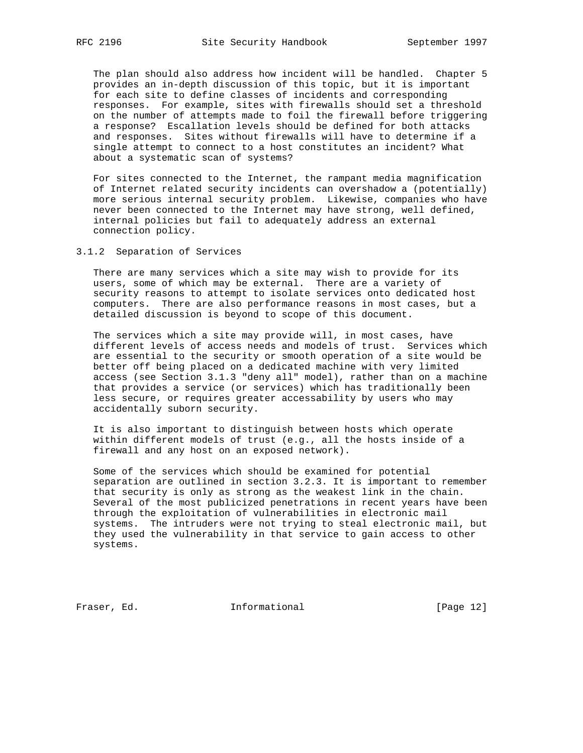The plan should also address how incident will be handled. Chapter 5 provides an in-depth discussion of this topic, but it is important for each site to define classes of incidents and corresponding responses. For example, sites with firewalls should set a threshold on the number of attempts made to foil the firewall before triggering a response? Escallation levels should be defined for both attacks and responses. Sites without firewalls will have to determine if a single attempt to connect to a host constitutes an incident? What about a systematic scan of systems?

 For sites connected to the Internet, the rampant media magnification of Internet related security incidents can overshadow a (potentially) more serious internal security problem. Likewise, companies who have never been connected to the Internet may have strong, well defined, internal policies but fail to adequately address an external connection policy.

3.1.2 Separation of Services

 There are many services which a site may wish to provide for its users, some of which may be external. There are a variety of security reasons to attempt to isolate services onto dedicated host computers. There are also performance reasons in most cases, but a detailed discussion is beyond to scope of this document.

 The services which a site may provide will, in most cases, have different levels of access needs and models of trust. Services which are essential to the security or smooth operation of a site would be better off being placed on a dedicated machine with very limited access (see Section 3.1.3 "deny all" model), rather than on a machine that provides a service (or services) which has traditionally been less secure, or requires greater accessability by users who may accidentally suborn security.

 It is also important to distinguish between hosts which operate within different models of trust (e.g., all the hosts inside of a firewall and any host on an exposed network).

 Some of the services which should be examined for potential separation are outlined in section 3.2.3. It is important to remember that security is only as strong as the weakest link in the chain. Several of the most publicized penetrations in recent years have been through the exploitation of vulnerabilities in electronic mail systems. The intruders were not trying to steal electronic mail, but they used the vulnerability in that service to gain access to other systems.

Fraser, Ed. 10. Informational [Page 12]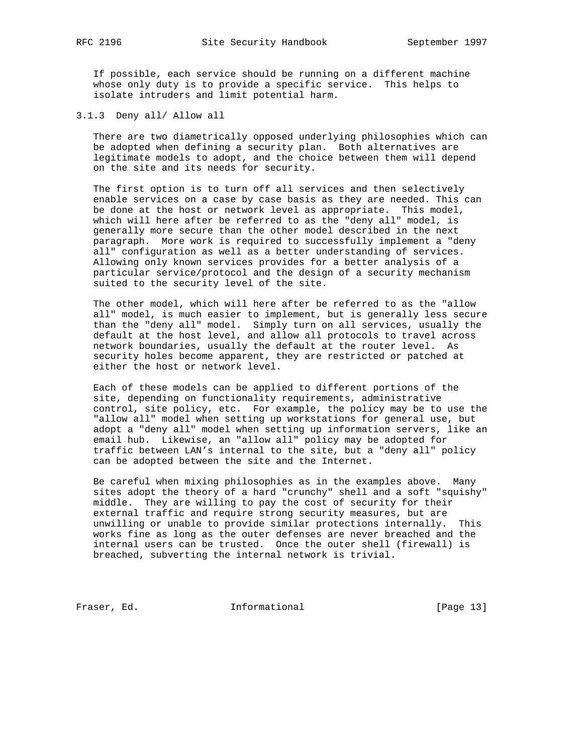If possible, each service should be running on a different machine whose only duty is to provide a specific service. This helps to isolate intruders and limit potential harm.

3.1.3 Deny all/ Allow all

 There are two diametrically opposed underlying philosophies which can be adopted when defining a security plan. Both alternatives are legitimate models to adopt, and the choice between them will depend on the site and its needs for security.

 The first option is to turn off all services and then selectively enable services on a case by case basis as they are needed. This can be done at the host or network level as appropriate. This model, which will here after be referred to as the "deny all" model, is generally more secure than the other model described in the next paragraph. More work is required to successfully implement a "deny all" configuration as well as a better understanding of services. Allowing only known services provides for a better analysis of a particular service/protocol and the design of a security mechanism suited to the security level of the site.

 The other model, which will here after be referred to as the "allow all" model, is much easier to implement, but is generally less secure than the "deny all" model. Simply turn on all services, usually the default at the host level, and allow all protocols to travel across network boundaries, usually the default at the router level. As security holes become apparent, they are restricted or patched at either the host or network level.

 Each of these models can be applied to different portions of the site, depending on functionality requirements, administrative control, site policy, etc. For example, the policy may be to use the "allow all" model when setting up workstations for general use, but adopt a "deny all" model when setting up information servers, like an email hub. Likewise, an "allow all" policy may be adopted for traffic between LAN's internal to the site, but a "deny all" policy can be adopted between the site and the Internet.

 Be careful when mixing philosophies as in the examples above. Many sites adopt the theory of a hard "crunchy" shell and a soft "squishy" middle. They are willing to pay the cost of security for their external traffic and require strong security measures, but are unwilling or unable to provide similar protections internally. This works fine as long as the outer defenses are never breached and the internal users can be trusted. Once the outer shell (firewall) is breached, subverting the internal network is trivial.

Fraser, Ed. 1999 and Informational Theory (Page 13)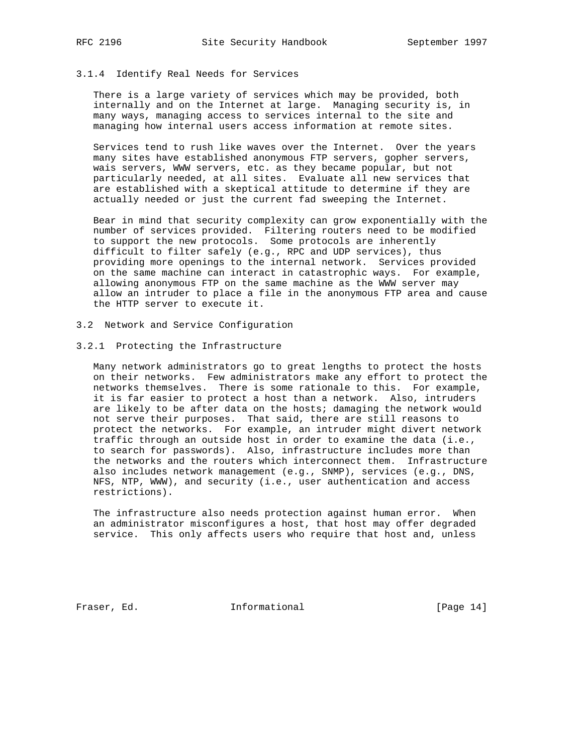# 3.1.4 Identify Real Needs for Services

 There is a large variety of services which may be provided, both internally and on the Internet at large. Managing security is, in many ways, managing access to services internal to the site and managing how internal users access information at remote sites.

 Services tend to rush like waves over the Internet. Over the years many sites have established anonymous FTP servers, gopher servers, wais servers, WWW servers, etc. as they became popular, but not particularly needed, at all sites. Evaluate all new services that are established with a skeptical attitude to determine if they are actually needed or just the current fad sweeping the Internet.

 Bear in mind that security complexity can grow exponentially with the number of services provided. Filtering routers need to be modified to support the new protocols. Some protocols are inherently difficult to filter safely (e.g., RPC and UDP services), thus providing more openings to the internal network. Services provided on the same machine can interact in catastrophic ways. For example, allowing anonymous FTP on the same machine as the WWW server may allow an intruder to place a file in the anonymous FTP area and cause the HTTP server to execute it.

### 3.2 Network and Service Configuration

3.2.1 Protecting the Infrastructure

 Many network administrators go to great lengths to protect the hosts on their networks. Few administrators make any effort to protect the networks themselves. There is some rationale to this. For example, it is far easier to protect a host than a network. Also, intruders are likely to be after data on the hosts; damaging the network would not serve their purposes. That said, there are still reasons to protect the networks. For example, an intruder might divert network traffic through an outside host in order to examine the data (i.e., to search for passwords). Also, infrastructure includes more than the networks and the routers which interconnect them. Infrastructure also includes network management (e.g., SNMP), services (e.g., DNS, NFS, NTP, WWW), and security (i.e., user authentication and access restrictions).

 The infrastructure also needs protection against human error. When an administrator misconfigures a host, that host may offer degraded service. This only affects users who require that host and, unless

Fraser, Ed. 10. Informational 1.1 [Page 14]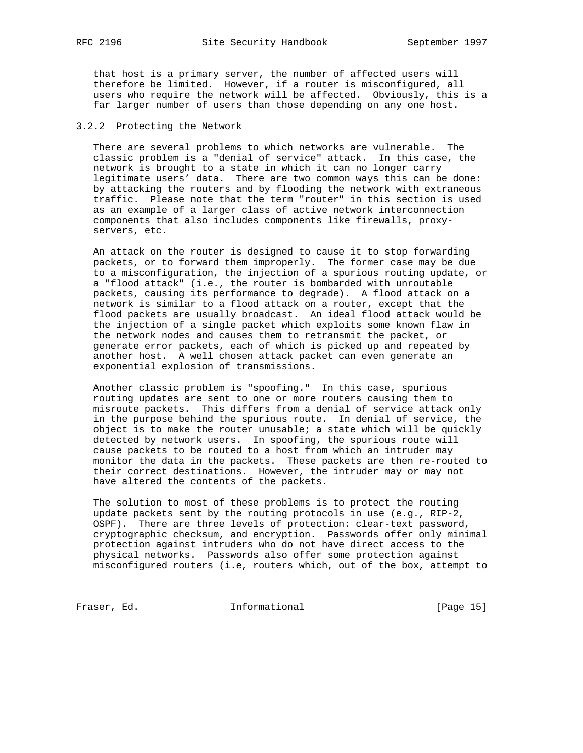that host is a primary server, the number of affected users will therefore be limited. However, if a router is misconfigured, all users who require the network will be affected. Obviously, this is a far larger number of users than those depending on any one host.

# 3.2.2 Protecting the Network

 There are several problems to which networks are vulnerable. The classic problem is a "denial of service" attack. In this case, the network is brought to a state in which it can no longer carry legitimate users' data. There are two common ways this can be done: by attacking the routers and by flooding the network with extraneous traffic. Please note that the term "router" in this section is used as an example of a larger class of active network interconnection components that also includes components like firewalls, proxy servers, etc.

 An attack on the router is designed to cause it to stop forwarding packets, or to forward them improperly. The former case may be due to a misconfiguration, the injection of a spurious routing update, or a "flood attack" (i.e., the router is bombarded with unroutable packets, causing its performance to degrade). A flood attack on a network is similar to a flood attack on a router, except that the flood packets are usually broadcast. An ideal flood attack would be the injection of a single packet which exploits some known flaw in the network nodes and causes them to retransmit the packet, or generate error packets, each of which is picked up and repeated by another host. A well chosen attack packet can even generate an exponential explosion of transmissions.

 Another classic problem is "spoofing." In this case, spurious routing updates are sent to one or more routers causing them to misroute packets. This differs from a denial of service attack only in the purpose behind the spurious route. In denial of service, the object is to make the router unusable; a state which will be quickly detected by network users. In spoofing, the spurious route will cause packets to be routed to a host from which an intruder may monitor the data in the packets. These packets are then re-routed to their correct destinations. However, the intruder may or may not have altered the contents of the packets.

 The solution to most of these problems is to protect the routing update packets sent by the routing protocols in use (e.g., RIP-2, OSPF). There are three levels of protection: clear-text password, cryptographic checksum, and encryption. Passwords offer only minimal protection against intruders who do not have direct access to the physical networks. Passwords also offer some protection against misconfigured routers (i.e, routers which, out of the box, attempt to

Fraser, Ed. 10. Informational [Page 15]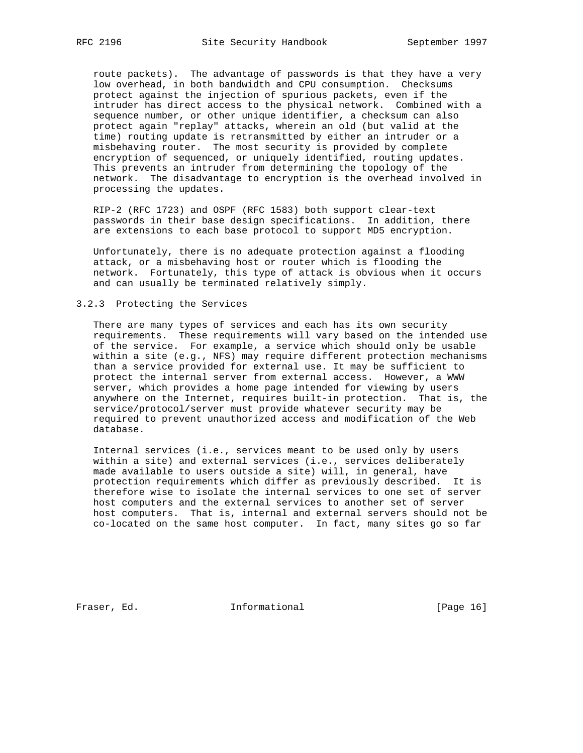route packets). The advantage of passwords is that they have a very low overhead, in both bandwidth and CPU consumption. Checksums protect against the injection of spurious packets, even if the intruder has direct access to the physical network. Combined with a sequence number, or other unique identifier, a checksum can also protect again "replay" attacks, wherein an old (but valid at the time) routing update is retransmitted by either an intruder or a misbehaving router. The most security is provided by complete encryption of sequenced, or uniquely identified, routing updates. This prevents an intruder from determining the topology of the network. The disadvantage to encryption is the overhead involved in processing the updates.

 RIP-2 (RFC 1723) and OSPF (RFC 1583) both support clear-text passwords in their base design specifications. In addition, there are extensions to each base protocol to support MD5 encryption.

 Unfortunately, there is no adequate protection against a flooding attack, or a misbehaving host or router which is flooding the network. Fortunately, this type of attack is obvious when it occurs and can usually be terminated relatively simply.

#### 3.2.3 Protecting the Services

 There are many types of services and each has its own security requirements. These requirements will vary based on the intended use of the service. For example, a service which should only be usable within a site (e.g., NFS) may require different protection mechanisms than a service provided for external use. It may be sufficient to protect the internal server from external access. However, a WWW server, which provides a home page intended for viewing by users anywhere on the Internet, requires built-in protection. That is, the service/protocol/server must provide whatever security may be required to prevent unauthorized access and modification of the Web database.

 Internal services (i.e., services meant to be used only by users within a site) and external services (i.e., services deliberately made available to users outside a site) will, in general, have protection requirements which differ as previously described. It is therefore wise to isolate the internal services to one set of server host computers and the external services to another set of server host computers. That is, internal and external servers should not be co-located on the same host computer. In fact, many sites go so far

Fraser, Ed. 10. Informational 1.1 [Page 16]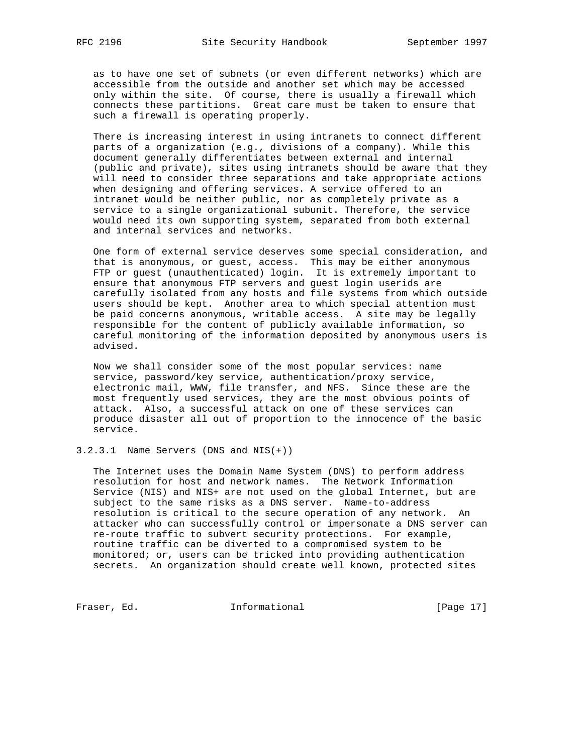as to have one set of subnets (or even different networks) which are accessible from the outside and another set which may be accessed only within the site. Of course, there is usually a firewall which connects these partitions. Great care must be taken to ensure that such a firewall is operating properly.

 There is increasing interest in using intranets to connect different parts of a organization (e.g., divisions of a company). While this document generally differentiates between external and internal (public and private), sites using intranets should be aware that they will need to consider three separations and take appropriate actions when designing and offering services. A service offered to an intranet would be neither public, nor as completely private as a service to a single organizational subunit. Therefore, the service would need its own supporting system, separated from both external and internal services and networks.

 One form of external service deserves some special consideration, and that is anonymous, or guest, access. This may be either anonymous FTP or guest (unauthenticated) login. It is extremely important to ensure that anonymous FTP servers and guest login userids are carefully isolated from any hosts and file systems from which outside users should be kept. Another area to which special attention must be paid concerns anonymous, writable access. A site may be legally responsible for the content of publicly available information, so careful monitoring of the information deposited by anonymous users is advised.

 Now we shall consider some of the most popular services: name service, password/key service, authentication/proxy service, electronic mail, WWW, file transfer, and NFS. Since these are the most frequently used services, they are the most obvious points of attack. Also, a successful attack on one of these services can produce disaster all out of proportion to the innocence of the basic service.

## 3.2.3.1 Name Servers (DNS and NIS(+))

 The Internet uses the Domain Name System (DNS) to perform address resolution for host and network names. The Network Information Service (NIS) and NIS+ are not used on the global Internet, but are subject to the same risks as a DNS server. Name-to-address resolution is critical to the secure operation of any network. An attacker who can successfully control or impersonate a DNS server can re-route traffic to subvert security protections. For example, routine traffic can be diverted to a compromised system to be monitored; or, users can be tricked into providing authentication secrets. An organization should create well known, protected sites

Fraser, Ed. 10. Informational 1.1 [Page 17]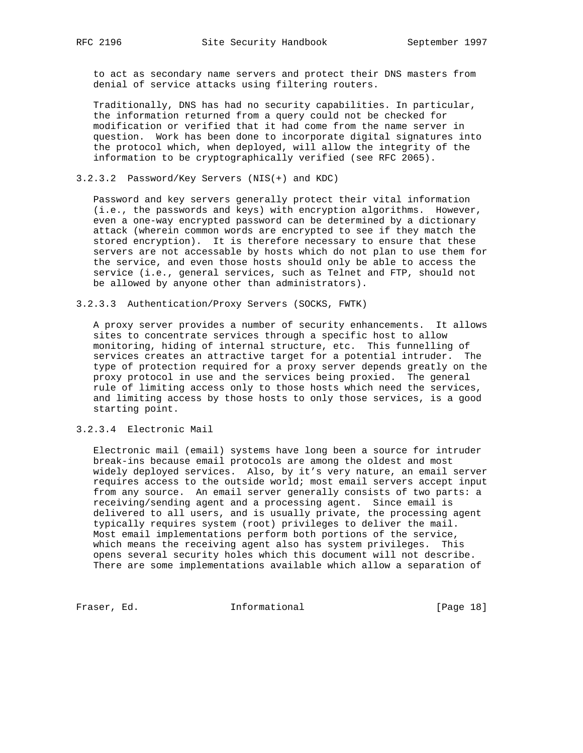to act as secondary name servers and protect their DNS masters from denial of service attacks using filtering routers.

 Traditionally, DNS has had no security capabilities. In particular, the information returned from a query could not be checked for modification or verified that it had come from the name server in question. Work has been done to incorporate digital signatures into the protocol which, when deployed, will allow the integrity of the information to be cryptographically verified (see RFC 2065).

3.2.3.2 Password/Key Servers (NIS(+) and KDC)

 Password and key servers generally protect their vital information (i.e., the passwords and keys) with encryption algorithms. However, even a one-way encrypted password can be determined by a dictionary attack (wherein common words are encrypted to see if they match the stored encryption). It is therefore necessary to ensure that these servers are not accessable by hosts which do not plan to use them for the service, and even those hosts should only be able to access the service (i.e., general services, such as Telnet and FTP, should not be allowed by anyone other than administrators).

3.2.3.3 Authentication/Proxy Servers (SOCKS, FWTK)

 A proxy server provides a number of security enhancements. It allows sites to concentrate services through a specific host to allow monitoring, hiding of internal structure, etc. This funnelling of services creates an attractive target for a potential intruder. The type of protection required for a proxy server depends greatly on the proxy protocol in use and the services being proxied. The general rule of limiting access only to those hosts which need the services, and limiting access by those hosts to only those services, is a good starting point.

3.2.3.4 Electronic Mail

 Electronic mail (email) systems have long been a source for intruder break-ins because email protocols are among the oldest and most widely deployed services. Also, by it's very nature, an email server requires access to the outside world; most email servers accept input from any source. An email server generally consists of two parts: a receiving/sending agent and a processing agent. Since email is delivered to all users, and is usually private, the processing agent typically requires system (root) privileges to deliver the mail. Most email implementations perform both portions of the service, which means the receiving agent also has system privileges. This opens several security holes which this document will not describe. There are some implementations available which allow a separation of

Fraser, Ed. 10. Informational [Page 18]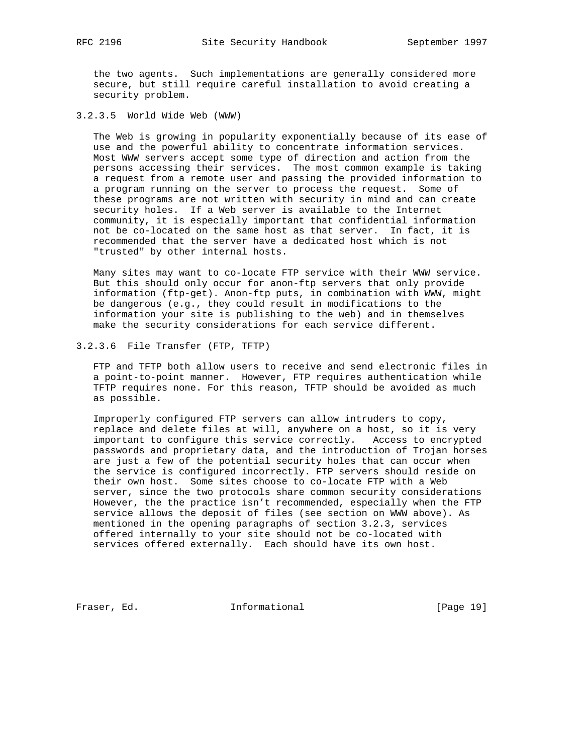the two agents. Such implementations are generally considered more secure, but still require careful installation to avoid creating a security problem.

3.2.3.5 World Wide Web (WWW)

 The Web is growing in popularity exponentially because of its ease of use and the powerful ability to concentrate information services. Most WWW servers accept some type of direction and action from the persons accessing their services. The most common example is taking a request from a remote user and passing the provided information to a program running on the server to process the request. Some of these programs are not written with security in mind and can create security holes. If a Web server is available to the Internet community, it is especially important that confidential information not be co-located on the same host as that server. In fact, it is recommended that the server have a dedicated host which is not "trusted" by other internal hosts.

 Many sites may want to co-locate FTP service with their WWW service. But this should only occur for anon-ftp servers that only provide information (ftp-get). Anon-ftp puts, in combination with WWW, might be dangerous (e.g., they could result in modifications to the information your site is publishing to the web) and in themselves make the security considerations for each service different.

#### 3.2.3.6 File Transfer (FTP, TFTP)

 FTP and TFTP both allow users to receive and send electronic files in a point-to-point manner. However, FTP requires authentication while TFTP requires none. For this reason, TFTP should be avoided as much as possible.

 Improperly configured FTP servers can allow intruders to copy, replace and delete files at will, anywhere on a host, so it is very important to configure this service correctly. Access to encrypted passwords and proprietary data, and the introduction of Trojan horses are just a few of the potential security holes that can occur when the service is configured incorrectly. FTP servers should reside on their own host. Some sites choose to co-locate FTP with a Web server, since the two protocols share common security considerations However, the the practice isn't recommended, especially when the FTP service allows the deposit of files (see section on WWW above). As mentioned in the opening paragraphs of section 3.2.3, services offered internally to your site should not be co-located with services offered externally. Each should have its own host.

Fraser, Ed. 19 methods informational Fraser, Ed.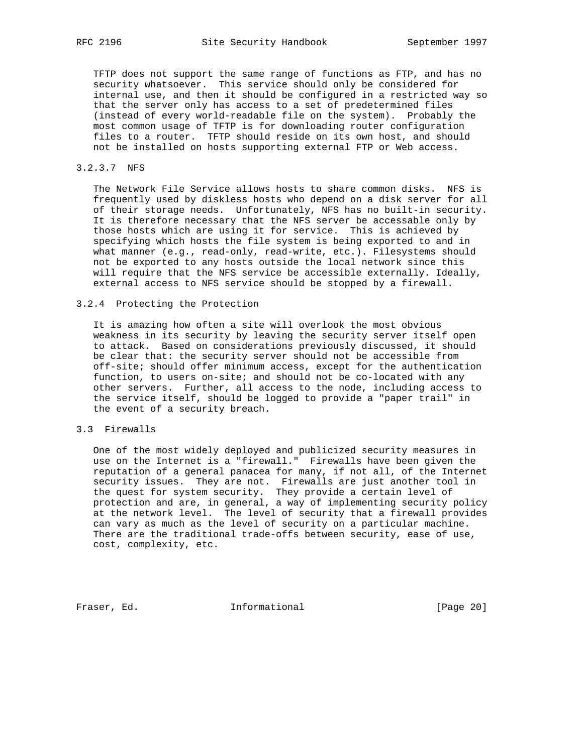TFTP does not support the same range of functions as FTP, and has no security whatsoever. This service should only be considered for internal use, and then it should be configured in a restricted way so that the server only has access to a set of predetermined files (instead of every world-readable file on the system). Probably the most common usage of TFTP is for downloading router configuration files to a router. TFTP should reside on its own host, and should not be installed on hosts supporting external FTP or Web access.

### 3.2.3.7 NFS

 The Network File Service allows hosts to share common disks. NFS is frequently used by diskless hosts who depend on a disk server for all of their storage needs. Unfortunately, NFS has no built-in security. It is therefore necessary that the NFS server be accessable only by those hosts which are using it for service. This is achieved by specifying which hosts the file system is being exported to and in what manner (e.g., read-only, read-write, etc.). Filesystems should not be exported to any hosts outside the local network since this will require that the NFS service be accessible externally. Ideally, external access to NFS service should be stopped by a firewall.

#### 3.2.4 Protecting the Protection

 It is amazing how often a site will overlook the most obvious weakness in its security by leaving the security server itself open to attack. Based on considerations previously discussed, it should be clear that: the security server should not be accessible from off-site; should offer minimum access, except for the authentication function, to users on-site; and should not be co-located with any other servers. Further, all access to the node, including access to the service itself, should be logged to provide a "paper trail" in the event of a security breach.

# 3.3 Firewalls

 One of the most widely deployed and publicized security measures in use on the Internet is a "firewall." Firewalls have been given the reputation of a general panacea for many, if not all, of the Internet security issues. They are not. Firewalls are just another tool in the quest for system security. They provide a certain level of protection and are, in general, a way of implementing security policy at the network level. The level of security that a firewall provides can vary as much as the level of security on a particular machine. There are the traditional trade-offs between security, ease of use, cost, complexity, etc.

Fraser, Ed. 1nformational [Page 20]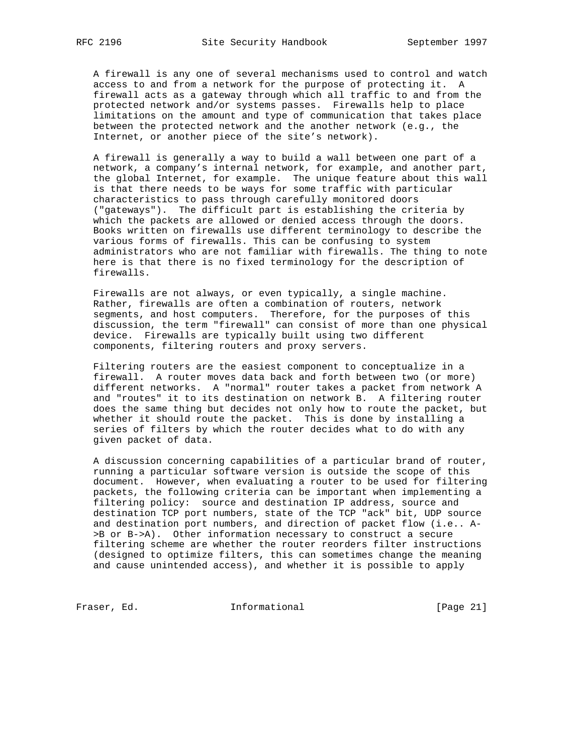A firewall is any one of several mechanisms used to control and watch access to and from a network for the purpose of protecting it. A firewall acts as a gateway through which all traffic to and from the protected network and/or systems passes. Firewalls help to place limitations on the amount and type of communication that takes place between the protected network and the another network (e.g., the Internet, or another piece of the site's network).

 A firewall is generally a way to build a wall between one part of a network, a company's internal network, for example, and another part, the global Internet, for example. The unique feature about this wall is that there needs to be ways for some traffic with particular characteristics to pass through carefully monitored doors ("gateways"). The difficult part is establishing the criteria by which the packets are allowed or denied access through the doors. Books written on firewalls use different terminology to describe the various forms of firewalls. This can be confusing to system administrators who are not familiar with firewalls. The thing to note here is that there is no fixed terminology for the description of firewalls.

 Firewalls are not always, or even typically, a single machine. Rather, firewalls are often a combination of routers, network segments, and host computers. Therefore, for the purposes of this discussion, the term "firewall" can consist of more than one physical device. Firewalls are typically built using two different components, filtering routers and proxy servers.

 Filtering routers are the easiest component to conceptualize in a firewall. A router moves data back and forth between two (or more) different networks. A "normal" router takes a packet from network A and "routes" it to its destination on network B. A filtering router does the same thing but decides not only how to route the packet, but whether it should route the packet. This is done by installing a series of filters by which the router decides what to do with any given packet of data.

 A discussion concerning capabilities of a particular brand of router, running a particular software version is outside the scope of this document. However, when evaluating a router to be used for filtering packets, the following criteria can be important when implementing a filtering policy: source and destination IP address, source and destination TCP port numbers, state of the TCP "ack" bit, UDP source and destination port numbers, and direction of packet flow (i.e.. A- >B or B->A). Other information necessary to construct a secure filtering scheme are whether the router reorders filter instructions (designed to optimize filters, this can sometimes change the meaning and cause unintended access), and whether it is possible to apply

Fraser, Ed. 1nformational [Page 21]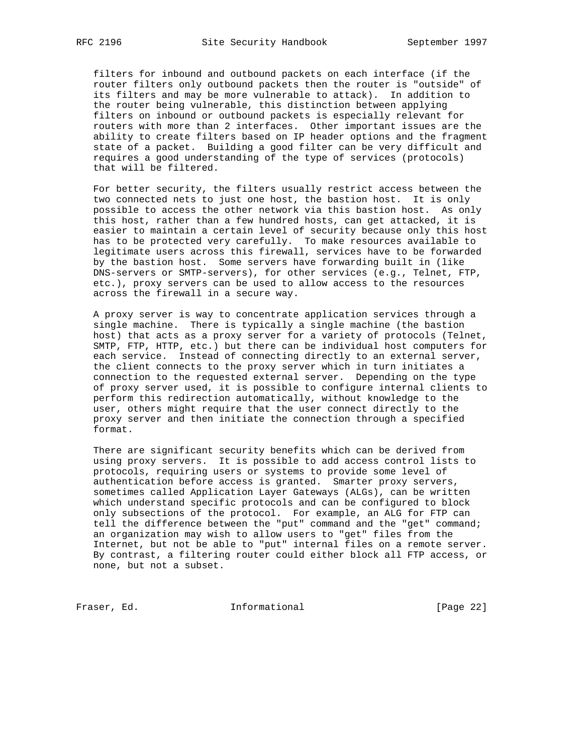filters for inbound and outbound packets on each interface (if the router filters only outbound packets then the router is "outside" of its filters and may be more vulnerable to attack). In addition to the router being vulnerable, this distinction between applying filters on inbound or outbound packets is especially relevant for routers with more than 2 interfaces. Other important issues are the ability to create filters based on IP header options and the fragment state of a packet. Building a good filter can be very difficult and requires a good understanding of the type of services (protocols) that will be filtered.

 For better security, the filters usually restrict access between the two connected nets to just one host, the bastion host. It is only possible to access the other network via this bastion host. As only this host, rather than a few hundred hosts, can get attacked, it is easier to maintain a certain level of security because only this host has to be protected very carefully. To make resources available to legitimate users across this firewall, services have to be forwarded by the bastion host. Some servers have forwarding built in (like DNS-servers or SMTP-servers), for other services (e.g., Telnet, FTP, etc.), proxy servers can be used to allow access to the resources across the firewall in a secure way.

 A proxy server is way to concentrate application services through a single machine. There is typically a single machine (the bastion host) that acts as a proxy server for a variety of protocols (Telnet, SMTP, FTP, HTTP, etc.) but there can be individual host computers for each service. Instead of connecting directly to an external server, the client connects to the proxy server which in turn initiates a connection to the requested external server. Depending on the type of proxy server used, it is possible to configure internal clients to perform this redirection automatically, without knowledge to the user, others might require that the user connect directly to the proxy server and then initiate the connection through a specified format.

 There are significant security benefits which can be derived from using proxy servers. It is possible to add access control lists to protocols, requiring users or systems to provide some level of authentication before access is granted. Smarter proxy servers, sometimes called Application Layer Gateways (ALGs), can be written which understand specific protocols and can be configured to block only subsections of the protocol. For example, an ALG for FTP can tell the difference between the "put" command and the "get" command; an organization may wish to allow users to "get" files from the Internet, but not be able to "put" internal files on a remote server. By contrast, a filtering router could either block all FTP access, or none, but not a subset.

Fraser, Ed. 1nformational [Page 22]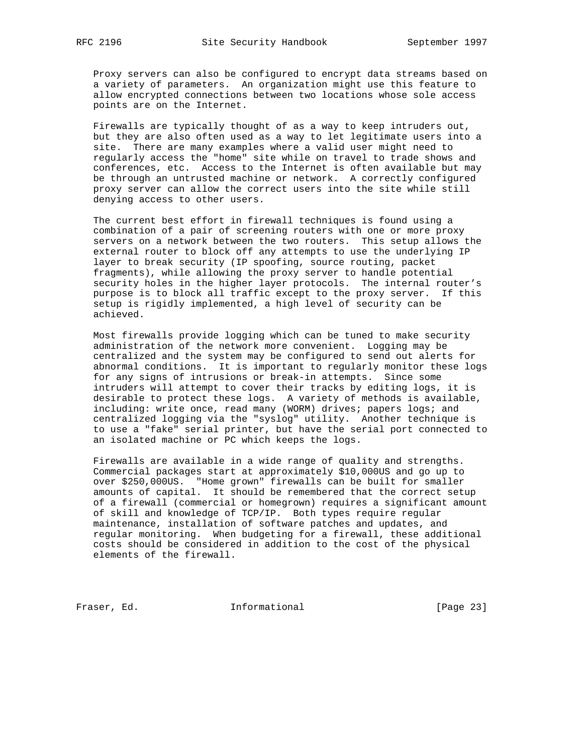Proxy servers can also be configured to encrypt data streams based on a variety of parameters. An organization might use this feature to allow encrypted connections between two locations whose sole access points are on the Internet.

 Firewalls are typically thought of as a way to keep intruders out, but they are also often used as a way to let legitimate users into a site. There are many examples where a valid user might need to regularly access the "home" site while on travel to trade shows and conferences, etc. Access to the Internet is often available but may be through an untrusted machine or network. A correctly configured proxy server can allow the correct users into the site while still denying access to other users.

 The current best effort in firewall techniques is found using a combination of a pair of screening routers with one or more proxy servers on a network between the two routers. This setup allows the external router to block off any attempts to use the underlying IP layer to break security (IP spoofing, source routing, packet fragments), while allowing the proxy server to handle potential security holes in the higher layer protocols. The internal router's purpose is to block all traffic except to the proxy server. If this setup is rigidly implemented, a high level of security can be achieved.

 Most firewalls provide logging which can be tuned to make security administration of the network more convenient. Logging may be centralized and the system may be configured to send out alerts for abnormal conditions. It is important to regularly monitor these logs for any signs of intrusions or break-in attempts. Since some intruders will attempt to cover their tracks by editing logs, it is desirable to protect these logs. A variety of methods is available, including: write once, read many (WORM) drives; papers logs; and centralized logging via the "syslog" utility. Another technique is to use a "fake" serial printer, but have the serial port connected to an isolated machine or PC which keeps the logs.

 Firewalls are available in a wide range of quality and strengths. Commercial packages start at approximately \$10,000US and go up to over \$250,000US. "Home grown" firewalls can be built for smaller amounts of capital. It should be remembered that the correct setup of a firewall (commercial or homegrown) requires a significant amount of skill and knowledge of TCP/IP. Both types require regular maintenance, installation of software patches and updates, and regular monitoring. When budgeting for a firewall, these additional costs should be considered in addition to the cost of the physical elements of the firewall.

Fraser, Ed. 1nformational [Page 23]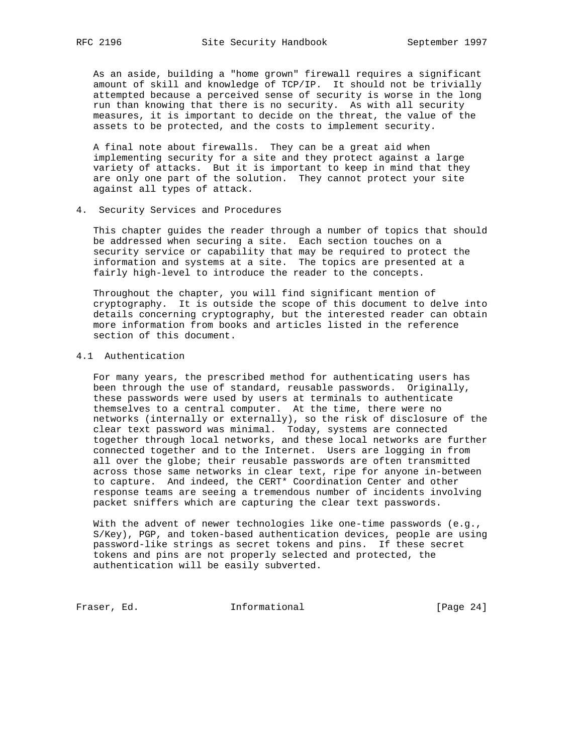As an aside, building a "home grown" firewall requires a significant amount of skill and knowledge of TCP/IP. It should not be trivially attempted because a perceived sense of security is worse in the long run than knowing that there is no security. As with all security measures, it is important to decide on the threat, the value of the assets to be protected, and the costs to implement security.

 A final note about firewalls. They can be a great aid when implementing security for a site and they protect against a large variety of attacks. But it is important to keep in mind that they are only one part of the solution. They cannot protect your site against all types of attack.

4. Security Services and Procedures

 This chapter guides the reader through a number of topics that should be addressed when securing a site. Each section touches on a security service or capability that may be required to protect the information and systems at a site. The topics are presented at a fairly high-level to introduce the reader to the concepts.

 Throughout the chapter, you will find significant mention of cryptography. It is outside the scope of this document to delve into details concerning cryptography, but the interested reader can obtain more information from books and articles listed in the reference section of this document.

# 4.1 Authentication

 For many years, the prescribed method for authenticating users has been through the use of standard, reusable passwords. Originally, these passwords were used by users at terminals to authenticate themselves to a central computer. At the time, there were no networks (internally or externally), so the risk of disclosure of the clear text password was minimal. Today, systems are connected together through local networks, and these local networks are further connected together and to the Internet. Users are logging in from all over the globe; their reusable passwords are often transmitted across those same networks in clear text, ripe for anyone in-between to capture. And indeed, the CERT\* Coordination Center and other response teams are seeing a tremendous number of incidents involving packet sniffers which are capturing the clear text passwords.

 With the advent of newer technologies like one-time passwords (e.g., S/Key), PGP, and token-based authentication devices, people are using password-like strings as secret tokens and pins. If these secret tokens and pins are not properly selected and protected, the authentication will be easily subverted.

Fraser, Ed. 1nformational [Page 24]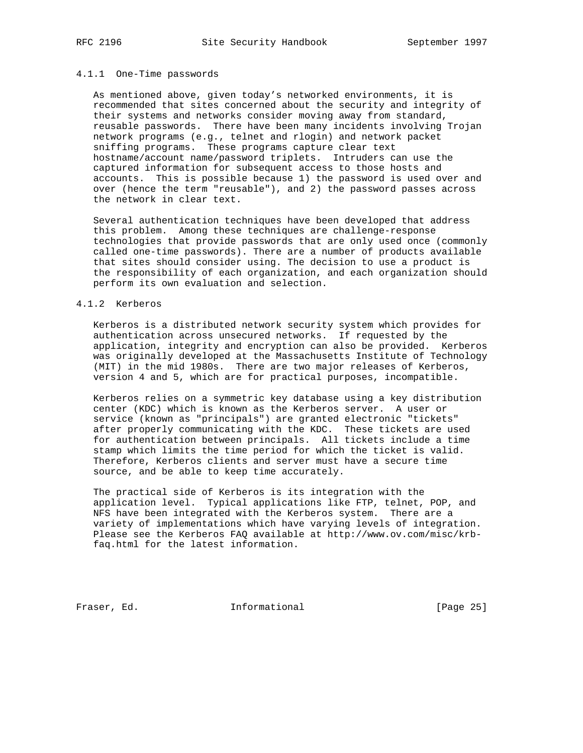### 4.1.1 One-Time passwords

 As mentioned above, given today's networked environments, it is recommended that sites concerned about the security and integrity of their systems and networks consider moving away from standard, reusable passwords. There have been many incidents involving Trojan network programs (e.g., telnet and rlogin) and network packet sniffing programs. These programs capture clear text hostname/account name/password triplets. Intruders can use the captured information for subsequent access to those hosts and accounts. This is possible because 1) the password is used over and over (hence the term "reusable"), and 2) the password passes across the network in clear text.

 Several authentication techniques have been developed that address this problem. Among these techniques are challenge-response technologies that provide passwords that are only used once (commonly called one-time passwords). There are a number of products available that sites should consider using. The decision to use a product is the responsibility of each organization, and each organization should perform its own evaluation and selection.

#### 4.1.2 Kerberos

 Kerberos is a distributed network security system which provides for authentication across unsecured networks. If requested by the application, integrity and encryption can also be provided. Kerberos was originally developed at the Massachusetts Institute of Technology (MIT) in the mid 1980s. There are two major releases of Kerberos, version 4 and 5, which are for practical purposes, incompatible.

 Kerberos relies on a symmetric key database using a key distribution center (KDC) which is known as the Kerberos server. A user or service (known as "principals") are granted electronic "tickets" after properly communicating with the KDC. These tickets are used for authentication between principals. All tickets include a time stamp which limits the time period for which the ticket is valid. Therefore, Kerberos clients and server must have a secure time source, and be able to keep time accurately.

 The practical side of Kerberos is its integration with the application level. Typical applications like FTP, telnet, POP, and NFS have been integrated with the Kerberos system. There are a variety of implementations which have varying levels of integration. Please see the Kerberos FAQ available at http://www.ov.com/misc/krb faq.html for the latest information.

Fraser, Ed. 1nformational [Page 25]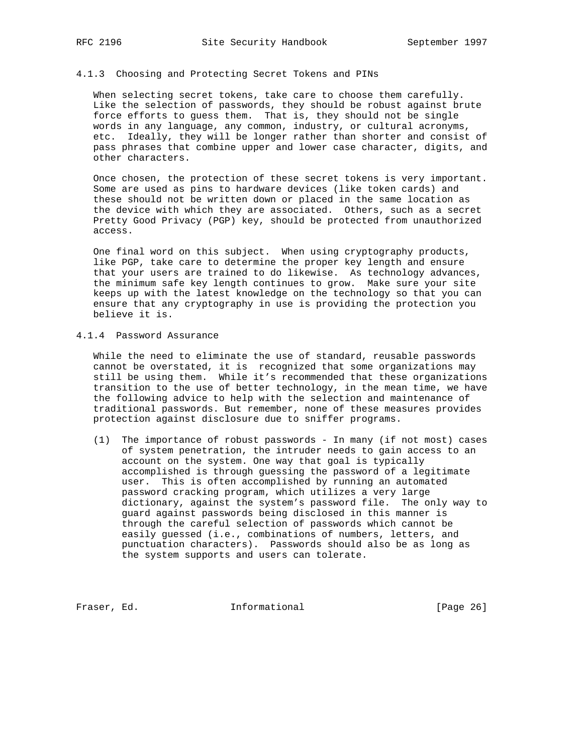### 4.1.3 Choosing and Protecting Secret Tokens and PINs

 When selecting secret tokens, take care to choose them carefully. Like the selection of passwords, they should be robust against brute force efforts to guess them. That is, they should not be single words in any language, any common, industry, or cultural acronyms, etc. Ideally, they will be longer rather than shorter and consist of pass phrases that combine upper and lower case character, digits, and other characters.

 Once chosen, the protection of these secret tokens is very important. Some are used as pins to hardware devices (like token cards) and these should not be written down or placed in the same location as the device with which they are associated. Others, such as a secret Pretty Good Privacy (PGP) key, should be protected from unauthorized access.

 One final word on this subject. When using cryptography products, like PGP, take care to determine the proper key length and ensure that your users are trained to do likewise. As technology advances, the minimum safe key length continues to grow. Make sure your site keeps up with the latest knowledge on the technology so that you can ensure that any cryptography in use is providing the protection you believe it is.

# 4.1.4 Password Assurance

 While the need to eliminate the use of standard, reusable passwords cannot be overstated, it is recognized that some organizations may still be using them. While it's recommended that these organizations transition to the use of better technology, in the mean time, we have the following advice to help with the selection and maintenance of traditional passwords. But remember, none of these measures provides protection against disclosure due to sniffer programs.

 (1) The importance of robust passwords - In many (if not most) cases of system penetration, the intruder needs to gain access to an account on the system. One way that goal is typically accomplished is through guessing the password of a legitimate user. This is often accomplished by running an automated password cracking program, which utilizes a very large dictionary, against the system's password file. The only way to guard against passwords being disclosed in this manner is through the careful selection of passwords which cannot be easily guessed (i.e., combinations of numbers, letters, and punctuation characters). Passwords should also be as long as the system supports and users can tolerate.

Fraser, Ed. 1nformational [Page 26]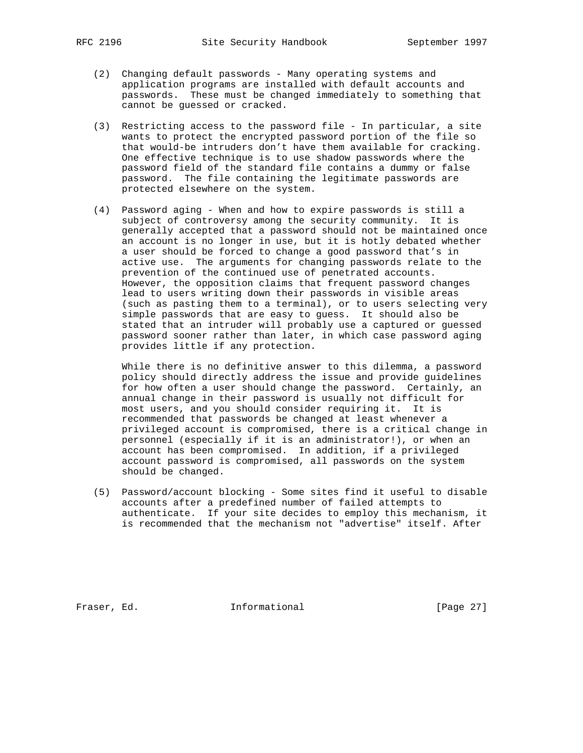- (2) Changing default passwords Many operating systems and application programs are installed with default accounts and passwords. These must be changed immediately to something that cannot be guessed or cracked.
- (3) Restricting access to the password file In particular, a site wants to protect the encrypted password portion of the file so that would-be intruders don't have them available for cracking. One effective technique is to use shadow passwords where the password field of the standard file contains a dummy or false password. The file containing the legitimate passwords are protected elsewhere on the system.
- (4) Password aging When and how to expire passwords is still a subject of controversy among the security community. It is generally accepted that a password should not be maintained once an account is no longer in use, but it is hotly debated whether a user should be forced to change a good password that's in active use. The arguments for changing passwords relate to the prevention of the continued use of penetrated accounts. However, the opposition claims that frequent password changes lead to users writing down their passwords in visible areas (such as pasting them to a terminal), or to users selecting very simple passwords that are easy to guess. It should also be stated that an intruder will probably use a captured or guessed password sooner rather than later, in which case password aging provides little if any protection.

 While there is no definitive answer to this dilemma, a password policy should directly address the issue and provide guidelines for how often a user should change the password. Certainly, an annual change in their password is usually not difficult for most users, and you should consider requiring it. It is recommended that passwords be changed at least whenever a privileged account is compromised, there is a critical change in personnel (especially if it is an administrator!), or when an account has been compromised. In addition, if a privileged account password is compromised, all passwords on the system should be changed.

 (5) Password/account blocking - Some sites find it useful to disable accounts after a predefined number of failed attempts to authenticate. If your site decides to employ this mechanism, it is recommended that the mechanism not "advertise" itself. After

Fraser, Ed. 1nformational Fraser, Ed.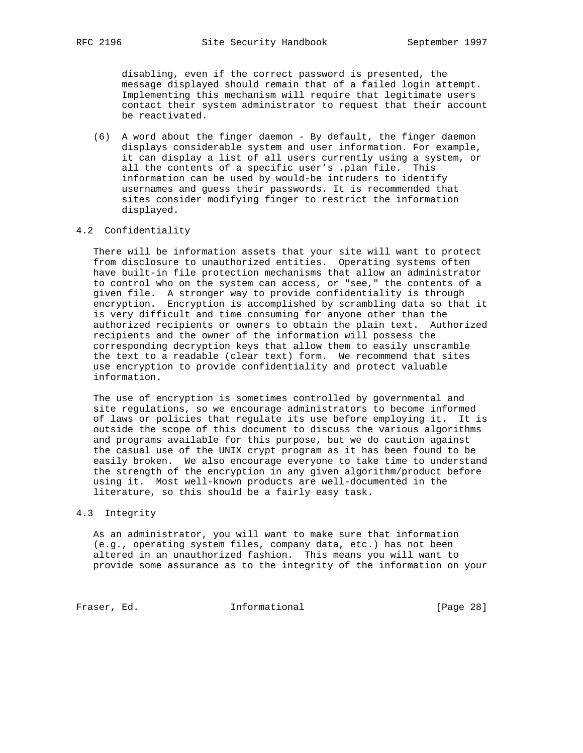disabling, even if the correct password is presented, the message displayed should remain that of a failed login attempt. Implementing this mechanism will require that legitimate users contact their system administrator to request that their account be reactivated.

 (6) A word about the finger daemon - By default, the finger daemon displays considerable system and user information. For example, it can display a list of all users currently using a system, or all the contents of a specific user's .plan file. This information can be used by would-be intruders to identify usernames and guess their passwords. It is recommended that sites consider modifying finger to restrict the information displayed.

### 4.2 Confidentiality

 There will be information assets that your site will want to protect from disclosure to unauthorized entities. Operating systems often have built-in file protection mechanisms that allow an administrator to control who on the system can access, or "see," the contents of a given file. A stronger way to provide confidentiality is through encryption. Encryption is accomplished by scrambling data so that it is very difficult and time consuming for anyone other than the authorized recipients or owners to obtain the plain text. Authorized recipients and the owner of the information will possess the corresponding decryption keys that allow them to easily unscramble the text to a readable (clear text) form. We recommend that sites use encryption to provide confidentiality and protect valuable information.

 The use of encryption is sometimes controlled by governmental and site regulations, so we encourage administrators to become informed of laws or policies that regulate its use before employing it. It is outside the scope of this document to discuss the various algorithms and programs available for this purpose, but we do caution against the casual use of the UNIX crypt program as it has been found to be easily broken. We also encourage everyone to take time to understand the strength of the encryption in any given algorithm/product before using it. Most well-known products are well-documented in the literature, so this should be a fairly easy task.

### 4.3 Integrity

 As an administrator, you will want to make sure that information (e.g., operating system files, company data, etc.) has not been altered in an unauthorized fashion. This means you will want to provide some assurance as to the integrity of the information on your

Fraser, Ed. 1nformational [Page 28]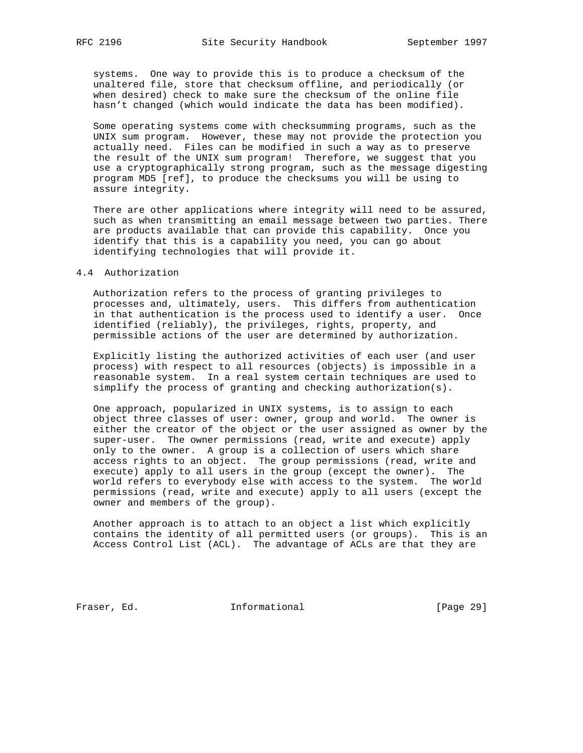systems. One way to provide this is to produce a checksum of the unaltered file, store that checksum offline, and periodically (or when desired) check to make sure the checksum of the online file hasn't changed (which would indicate the data has been modified).

 Some operating systems come with checksumming programs, such as the UNIX sum program. However, these may not provide the protection you actually need. Files can be modified in such a way as to preserve the result of the UNIX sum program! Therefore, we suggest that you use a cryptographically strong program, such as the message digesting program MD5 [ref], to produce the checksums you will be using to assure integrity.

 There are other applications where integrity will need to be assured, such as when transmitting an email message between two parties. There are products available that can provide this capability. Once you identify that this is a capability you need, you can go about identifying technologies that will provide it.

### 4.4 Authorization

 Authorization refers to the process of granting privileges to processes and, ultimately, users. This differs from authentication in that authentication is the process used to identify a user. Once identified (reliably), the privileges, rights, property, and permissible actions of the user are determined by authorization.

 Explicitly listing the authorized activities of each user (and user process) with respect to all resources (objects) is impossible in a reasonable system. In a real system certain techniques are used to simplify the process of granting and checking authorization(s).

 One approach, popularized in UNIX systems, is to assign to each object three classes of user: owner, group and world. The owner is either the creator of the object or the user assigned as owner by the super-user. The owner permissions (read, write and execute) apply only to the owner. A group is a collection of users which share access rights to an object. The group permissions (read, write and execute) apply to all users in the group (except the owner). The world refers to everybody else with access to the system. The world permissions (read, write and execute) apply to all users (except the owner and members of the group).

 Another approach is to attach to an object a list which explicitly contains the identity of all permitted users (or groups). This is an Access Control List (ACL). The advantage of ACLs are that they are

Fraser, Ed. 1nformational [Page 29]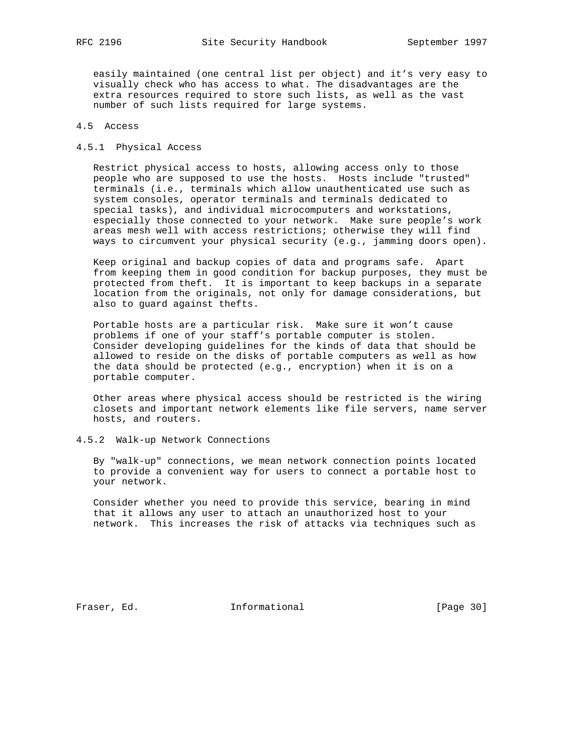easily maintained (one central list per object) and it's very easy to visually check who has access to what. The disadvantages are the extra resources required to store such lists, as well as the vast number of such lists required for large systems.

# 4.5 Access

#### 4.5.1 Physical Access

 Restrict physical access to hosts, allowing access only to those people who are supposed to use the hosts. Hosts include "trusted" terminals (i.e., terminals which allow unauthenticated use such as system consoles, operator terminals and terminals dedicated to special tasks), and individual microcomputers and workstations, especially those connected to your network. Make sure people's work areas mesh well with access restrictions; otherwise they will find ways to circumvent your physical security (e.g., jamming doors open).

 Keep original and backup copies of data and programs safe. Apart from keeping them in good condition for backup purposes, they must be protected from theft. It is important to keep backups in a separate location from the originals, not only for damage considerations, but also to guard against thefts.

 Portable hosts are a particular risk. Make sure it won't cause problems if one of your staff's portable computer is stolen. Consider developing guidelines for the kinds of data that should be allowed to reside on the disks of portable computers as well as how the data should be protected (e.g., encryption) when it is on a portable computer.

 Other areas where physical access should be restricted is the wiring closets and important network elements like file servers, name server hosts, and routers.

#### 4.5.2 Walk-up Network Connections

 By "walk-up" connections, we mean network connection points located to provide a convenient way for users to connect a portable host to your network.

 Consider whether you need to provide this service, bearing in mind that it allows any user to attach an unauthorized host to your network. This increases the risk of attacks via techniques such as

Fraser, Ed. 10. Informational 1.1 [Page 30]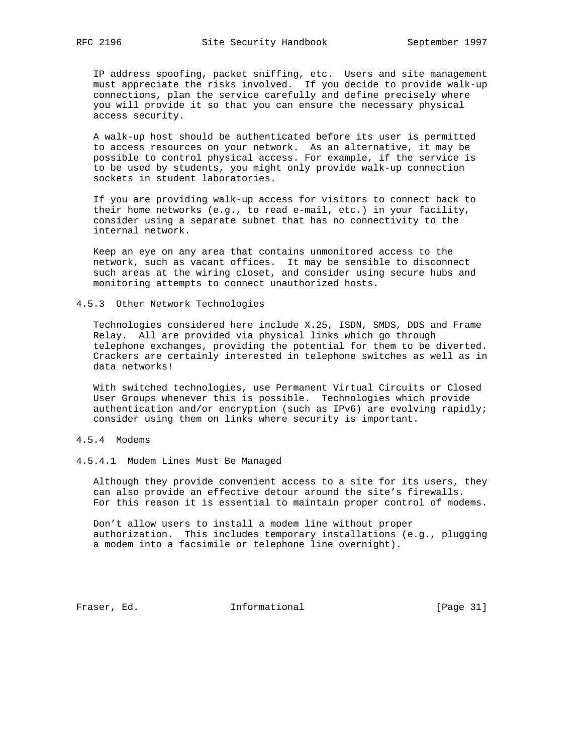IP address spoofing, packet sniffing, etc. Users and site management must appreciate the risks involved. If you decide to provide walk-up connections, plan the service carefully and define precisely where you will provide it so that you can ensure the necessary physical access security.

 A walk-up host should be authenticated before its user is permitted to access resources on your network. As an alternative, it may be possible to control physical access. For example, if the service is to be used by students, you might only provide walk-up connection sockets in student laboratories.

 If you are providing walk-up access for visitors to connect back to their home networks (e.g., to read e-mail, etc.) in your facility, consider using a separate subnet that has no connectivity to the internal network.

 Keep an eye on any area that contains unmonitored access to the network, such as vacant offices. It may be sensible to disconnect such areas at the wiring closet, and consider using secure hubs and monitoring attempts to connect unauthorized hosts.

#### 4.5.3 Other Network Technologies

 Technologies considered here include X.25, ISDN, SMDS, DDS and Frame Relay. All are provided via physical links which go through telephone exchanges, providing the potential for them to be diverted. Crackers are certainly interested in telephone switches as well as in data networks!

 With switched technologies, use Permanent Virtual Circuits or Closed User Groups whenever this is possible. Technologies which provide authentication and/or encryption (such as IPv6) are evolving rapidly; consider using them on links where security is important.

#### 4.5.4 Modems

4.5.4.1 Modem Lines Must Be Managed

 Although they provide convenient access to a site for its users, they can also provide an effective detour around the site's firewalls. For this reason it is essential to maintain proper control of modems.

 Don't allow users to install a modem line without proper authorization. This includes temporary installations (e.g., plugging a modem into a facsimile or telephone line overnight).

Fraser, Ed. 1nformational [Page 31]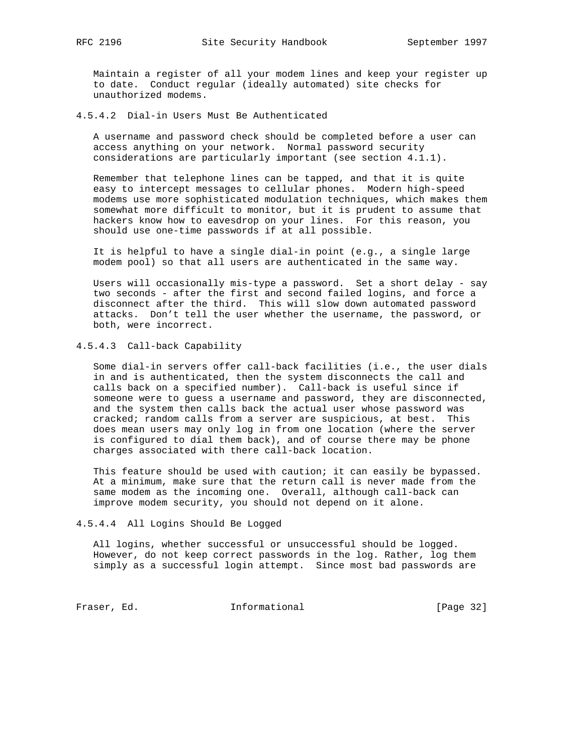Maintain a register of all your modem lines and keep your register up to date. Conduct regular (ideally automated) site checks for unauthorized modems.

4.5.4.2 Dial-in Users Must Be Authenticated

 A username and password check should be completed before a user can access anything on your network. Normal password security considerations are particularly important (see section 4.1.1).

 Remember that telephone lines can be tapped, and that it is quite easy to intercept messages to cellular phones. Modern high-speed modems use more sophisticated modulation techniques, which makes them somewhat more difficult to monitor, but it is prudent to assume that hackers know how to eavesdrop on your lines. For this reason, you should use one-time passwords if at all possible.

 It is helpful to have a single dial-in point (e.g., a single large modem pool) so that all users are authenticated in the same way.

 Users will occasionally mis-type a password. Set a short delay - say two seconds - after the first and second failed logins, and force a disconnect after the third. This will slow down automated password attacks. Don't tell the user whether the username, the password, or both, were incorrect.

## 4.5.4.3 Call-back Capability

 Some dial-in servers offer call-back facilities (i.e., the user dials in and is authenticated, then the system disconnects the call and calls back on a specified number). Call-back is useful since if someone were to guess a username and password, they are disconnected, and the system then calls back the actual user whose password was cracked; random calls from a server are suspicious, at best. This does mean users may only log in from one location (where the server is configured to dial them back), and of course there may be phone charges associated with there call-back location.

 This feature should be used with caution; it can easily be bypassed. At a minimum, make sure that the return call is never made from the same modem as the incoming one. Overall, although call-back can improve modem security, you should not depend on it alone.

### 4.5.4.4 All Logins Should Be Logged

 All logins, whether successful or unsuccessful should be logged. However, do not keep correct passwords in the log. Rather, log them simply as a successful login attempt. Since most bad passwords are

Fraser, Ed. 1nformational [Page 32]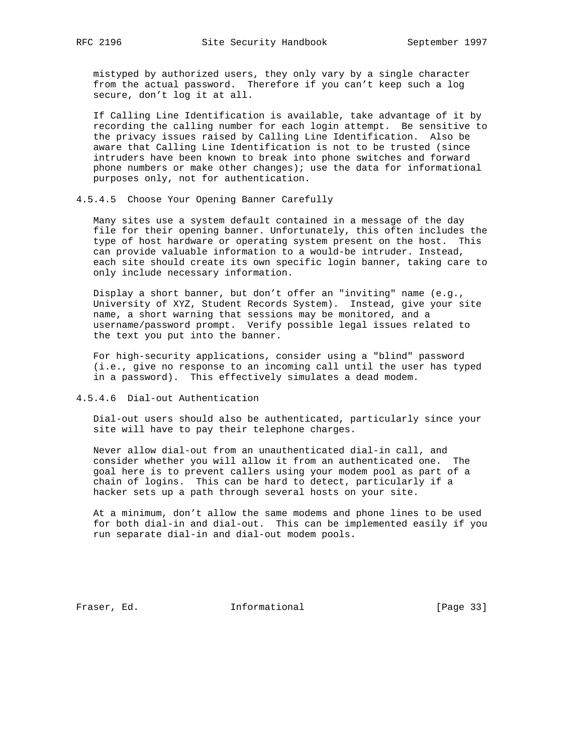mistyped by authorized users, they only vary by a single character from the actual password. Therefore if you can't keep such a log secure, don't log it at all.

 If Calling Line Identification is available, take advantage of it by recording the calling number for each login attempt. Be sensitive to the privacy issues raised by Calling Line Identification. Also be aware that Calling Line Identification is not to be trusted (since intruders have been known to break into phone switches and forward phone numbers or make other changes); use the data for informational purposes only, not for authentication.

# 4.5.4.5 Choose Your Opening Banner Carefully

 Many sites use a system default contained in a message of the day file for their opening banner. Unfortunately, this often includes the type of host hardware or operating system present on the host. This can provide valuable information to a would-be intruder. Instead, each site should create its own specific login banner, taking care to only include necessary information.

 Display a short banner, but don't offer an "inviting" name (e.g., University of XYZ, Student Records System). Instead, give your site name, a short warning that sessions may be monitored, and a username/password prompt. Verify possible legal issues related to the text you put into the banner.

 For high-security applications, consider using a "blind" password (i.e., give no response to an incoming call until the user has typed in a password). This effectively simulates a dead modem.

4.5.4.6 Dial-out Authentication

 Dial-out users should also be authenticated, particularly since your site will have to pay their telephone charges.

 Never allow dial-out from an unauthenticated dial-in call, and consider whether you will allow it from an authenticated one. The goal here is to prevent callers using your modem pool as part of a chain of logins. This can be hard to detect, particularly if a hacker sets up a path through several hosts on your site.

 At a minimum, don't allow the same modems and phone lines to be used for both dial-in and dial-out. This can be implemented easily if you run separate dial-in and dial-out modem pools.

Fraser, Ed. 1nformational [Page 33]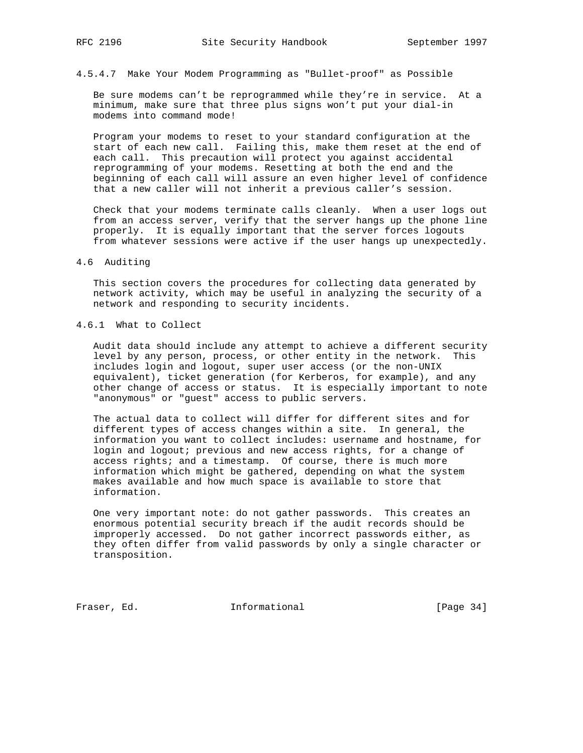4.5.4.7 Make Your Modem Programming as "Bullet-proof" as Possible

 Be sure modems can't be reprogrammed while they're in service. At a minimum, make sure that three plus signs won't put your dial-in modems into command mode!

 Program your modems to reset to your standard configuration at the start of each new call. Failing this, make them reset at the end of each call. This precaution will protect you against accidental reprogramming of your modems. Resetting at both the end and the beginning of each call will assure an even higher level of confidence that a new caller will not inherit a previous caller's session.

 Check that your modems terminate calls cleanly. When a user logs out from an access server, verify that the server hangs up the phone line properly. It is equally important that the server forces logouts from whatever sessions were active if the user hangs up unexpectedly.

### 4.6 Auditing

 This section covers the procedures for collecting data generated by network activity, which may be useful in analyzing the security of a network and responding to security incidents.

# 4.6.1 What to Collect

 Audit data should include any attempt to achieve a different security level by any person, process, or other entity in the network. This includes login and logout, super user access (or the non-UNIX equivalent), ticket generation (for Kerberos, for example), and any other change of access or status. It is especially important to note "anonymous" or "guest" access to public servers.

 The actual data to collect will differ for different sites and for different types of access changes within a site. In general, the information you want to collect includes: username and hostname, for login and logout; previous and new access rights, for a change of access rights; and a timestamp. Of course, there is much more information which might be gathered, depending on what the system makes available and how much space is available to store that information.

 One very important note: do not gather passwords. This creates an enormous potential security breach if the audit records should be improperly accessed. Do not gather incorrect passwords either, as they often differ from valid passwords by only a single character or transposition.

Fraser, Ed. 1nformational [Page 34]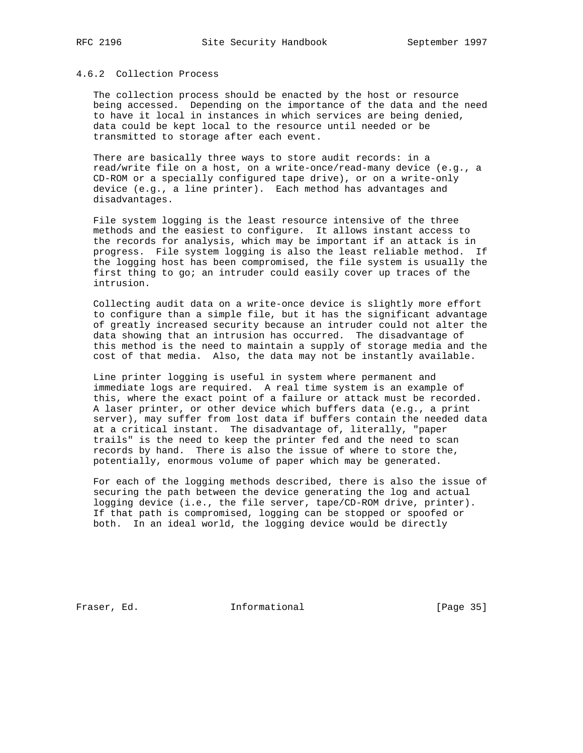# 4.6.2 Collection Process

 The collection process should be enacted by the host or resource being accessed. Depending on the importance of the data and the need to have it local in instances in which services are being denied, data could be kept local to the resource until needed or be transmitted to storage after each event.

 There are basically three ways to store audit records: in a read/write file on a host, on a write-once/read-many device (e.g., a CD-ROM or a specially configured tape drive), or on a write-only device (e.g., a line printer). Each method has advantages and disadvantages.

 File system logging is the least resource intensive of the three methods and the easiest to configure. It allows instant access to the records for analysis, which may be important if an attack is in progress. File system logging is also the least reliable method. If the logging host has been compromised, the file system is usually the first thing to go; an intruder could easily cover up traces of the intrusion.

 Collecting audit data on a write-once device is slightly more effort to configure than a simple file, but it has the significant advantage of greatly increased security because an intruder could not alter the data showing that an intrusion has occurred. The disadvantage of this method is the need to maintain a supply of storage media and the cost of that media. Also, the data may not be instantly available.

 Line printer logging is useful in system where permanent and immediate logs are required. A real time system is an example of this, where the exact point of a failure or attack must be recorded. A laser printer, or other device which buffers data (e.g., a print server), may suffer from lost data if buffers contain the needed data at a critical instant. The disadvantage of, literally, "paper trails" is the need to keep the printer fed and the need to scan records by hand. There is also the issue of where to store the, potentially, enormous volume of paper which may be generated.

 For each of the logging methods described, there is also the issue of securing the path between the device generating the log and actual logging device (i.e., the file server, tape/CD-ROM drive, printer). If that path is compromised, logging can be stopped or spoofed or both. In an ideal world, the logging device would be directly

Fraser, Ed. 1nformational [Page 35]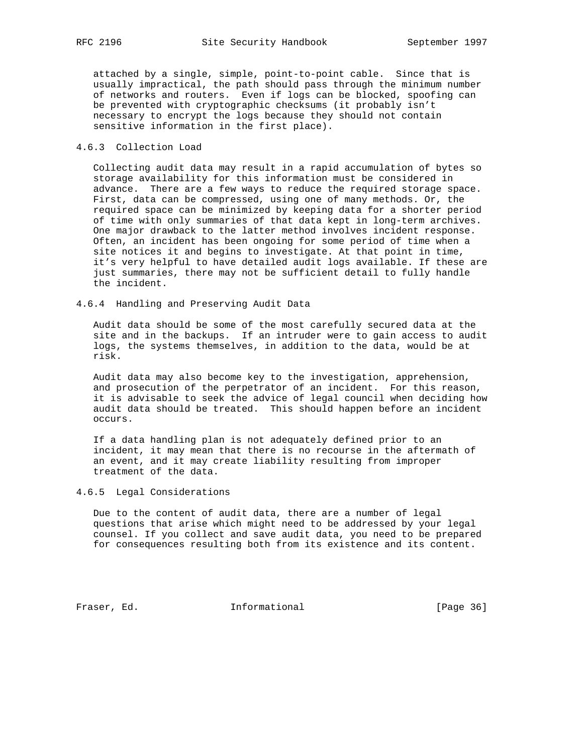attached by a single, simple, point-to-point cable. Since that is usually impractical, the path should pass through the minimum number of networks and routers. Even if logs can be blocked, spoofing can be prevented with cryptographic checksums (it probably isn't necessary to encrypt the logs because they should not contain sensitive information in the first place).

## 4.6.3 Collection Load

 Collecting audit data may result in a rapid accumulation of bytes so storage availability for this information must be considered in advance. There are a few ways to reduce the required storage space. First, data can be compressed, using one of many methods. Or, the required space can be minimized by keeping data for a shorter period of time with only summaries of that data kept in long-term archives. One major drawback to the latter method involves incident response. Often, an incident has been ongoing for some period of time when a site notices it and begins to investigate. At that point in time, it's very helpful to have detailed audit logs available. If these are just summaries, there may not be sufficient detail to fully handle the incident.

4.6.4 Handling and Preserving Audit Data

 Audit data should be some of the most carefully secured data at the site and in the backups. If an intruder were to gain access to audit logs, the systems themselves, in addition to the data, would be at risk.

 Audit data may also become key to the investigation, apprehension, and prosecution of the perpetrator of an incident. For this reason, it is advisable to seek the advice of legal council when deciding how audit data should be treated. This should happen before an incident occurs.

 If a data handling plan is not adequately defined prior to an incident, it may mean that there is no recourse in the aftermath of an event, and it may create liability resulting from improper treatment of the data.

4.6.5 Legal Considerations

 Due to the content of audit data, there are a number of legal questions that arise which might need to be addressed by your legal counsel. If you collect and save audit data, you need to be prepared for consequences resulting both from its existence and its content.

Fraser, Ed. 1nformational [Page 36]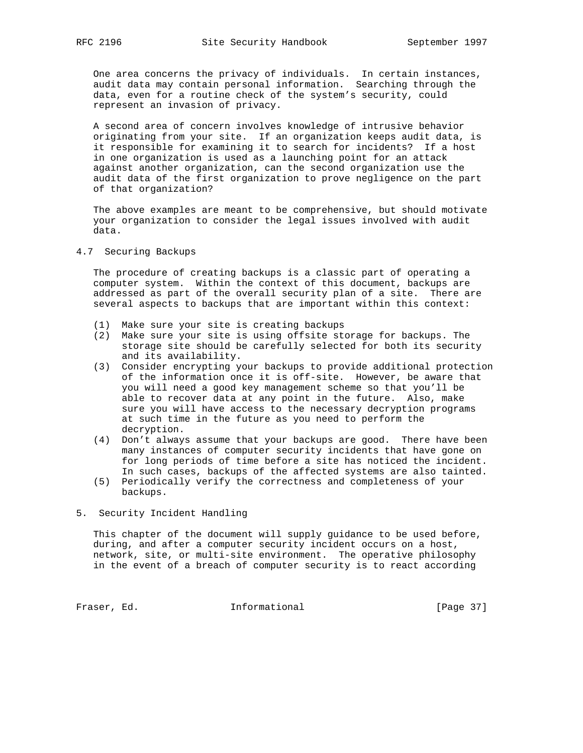One area concerns the privacy of individuals. In certain instances, audit data may contain personal information. Searching through the data, even for a routine check of the system's security, could represent an invasion of privacy.

 A second area of concern involves knowledge of intrusive behavior originating from your site. If an organization keeps audit data, is it responsible for examining it to search for incidents? If a host in one organization is used as a launching point for an attack against another organization, can the second organization use the audit data of the first organization to prove negligence on the part of that organization?

 The above examples are meant to be comprehensive, but should motivate your organization to consider the legal issues involved with audit data.

# 4.7 Securing Backups

 The procedure of creating backups is a classic part of operating a computer system. Within the context of this document, backups are addressed as part of the overall security plan of a site. There are several aspects to backups that are important within this context:

- (1) Make sure your site is creating backups
- (2) Make sure your site is using offsite storage for backups. The storage site should be carefully selected for both its security and its availability.
- (3) Consider encrypting your backups to provide additional protection of the information once it is off-site. However, be aware that you will need a good key management scheme so that you'll be able to recover data at any point in the future. Also, make sure you will have access to the necessary decryption programs at such time in the future as you need to perform the decryption.
- (4) Don't always assume that your backups are good. There have been many instances of computer security incidents that have gone on for long periods of time before a site has noticed the incident. In such cases, backups of the affected systems are also tainted.
- (5) Periodically verify the correctness and completeness of your backups.
- 5. Security Incident Handling

 This chapter of the document will supply guidance to be used before, during, and after a computer security incident occurs on a host, network, site, or multi-site environment. The operative philosophy in the event of a breach of computer security is to react according

Fraser, Ed. 10. Informational [Page 37]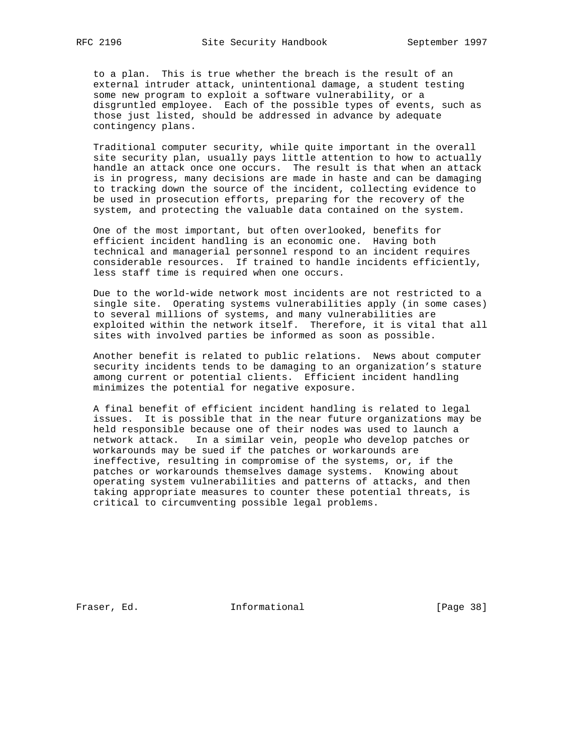to a plan. This is true whether the breach is the result of an external intruder attack, unintentional damage, a student testing some new program to exploit a software vulnerability, or a disgruntled employee. Each of the possible types of events, such as those just listed, should be addressed in advance by adequate contingency plans.

 Traditional computer security, while quite important in the overall site security plan, usually pays little attention to how to actually handle an attack once one occurs. The result is that when an attack is in progress, many decisions are made in haste and can be damaging to tracking down the source of the incident, collecting evidence to be used in prosecution efforts, preparing for the recovery of the system, and protecting the valuable data contained on the system.

 One of the most important, but often overlooked, benefits for efficient incident handling is an economic one. Having both technical and managerial personnel respond to an incident requires considerable resources. If trained to handle incidents efficiently, less staff time is required when one occurs.

 Due to the world-wide network most incidents are not restricted to a single site. Operating systems vulnerabilities apply (in some cases) to several millions of systems, and many vulnerabilities are exploited within the network itself. Therefore, it is vital that all sites with involved parties be informed as soon as possible.

 Another benefit is related to public relations. News about computer security incidents tends to be damaging to an organization's stature among current or potential clients. Efficient incident handling minimizes the potential for negative exposure.

 A final benefit of efficient incident handling is related to legal issues. It is possible that in the near future organizations may be held responsible because one of their nodes was used to launch a network attack. In a similar vein, people who develop patches or workarounds may be sued if the patches or workarounds are ineffective, resulting in compromise of the systems, or, if the patches or workarounds themselves damage systems. Knowing about operating system vulnerabilities and patterns of attacks, and then taking appropriate measures to counter these potential threats, is critical to circumventing possible legal problems.

Fraser, Ed. 1nformational [Page 38]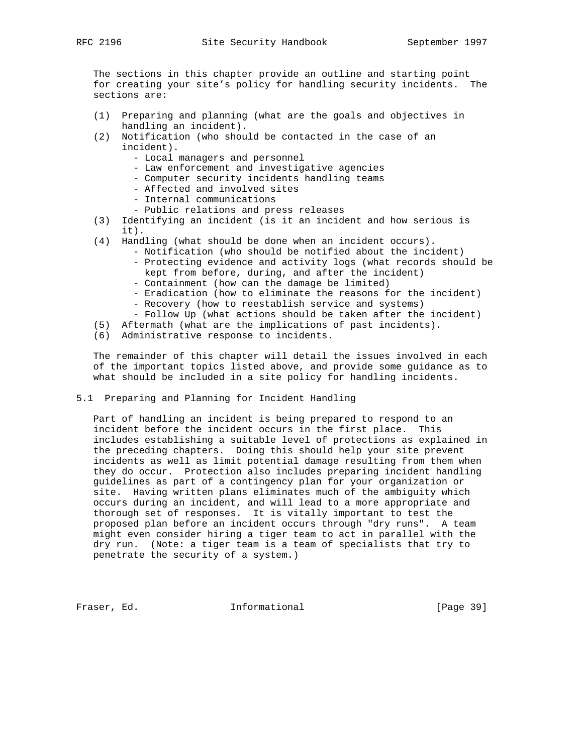The sections in this chapter provide an outline and starting point for creating your site's policy for handling security incidents. The sections are:

- (1) Preparing and planning (what are the goals and objectives in handling an incident).
- (2) Notification (who should be contacted in the case of an incident).
	- Local managers and personnel
	- Law enforcement and investigative agencies
	- Computer security incidents handling teams
	- Affected and involved sites
	- Internal communications
	- Public relations and press releases
- (3) Identifying an incident (is it an incident and how serious is it).
- (4) Handling (what should be done when an incident occurs).
	- Notification (who should be notified about the incident) - Protecting evidence and activity logs (what records should be kept from before, during, and after the incident)
	- Containment (how can the damage be limited)
	- Eradication (how to eliminate the reasons for the incident) - Recovery (how to reestablish service and systems)
	- Follow Up (what actions should be taken after the incident)
- (5) Aftermath (what are the implications of past incidents).
- (6) Administrative response to incidents.

 The remainder of this chapter will detail the issues involved in each of the important topics listed above, and provide some guidance as to what should be included in a site policy for handling incidents.

5.1 Preparing and Planning for Incident Handling

 Part of handling an incident is being prepared to respond to an incident before the incident occurs in the first place. This includes establishing a suitable level of protections as explained in the preceding chapters. Doing this should help your site prevent incidents as well as limit potential damage resulting from them when they do occur. Protection also includes preparing incident handling guidelines as part of a contingency plan for your organization or site. Having written plans eliminates much of the ambiguity which occurs during an incident, and will lead to a more appropriate and thorough set of responses. It is vitally important to test the proposed plan before an incident occurs through "dry runs". A team might even consider hiring a tiger team to act in parallel with the dry run. (Note: a tiger team is a team of specialists that try to penetrate the security of a system.)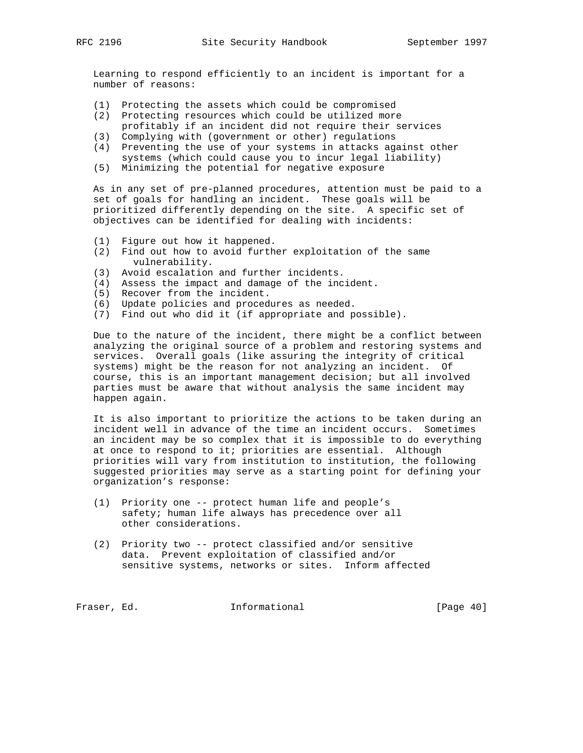Learning to respond efficiently to an incident is important for a number of reasons:

- (1) Protecting the assets which could be compromised
- (2) Protecting resources which could be utilized more
- profitably if an incident did not require their services (3) Complying with (government or other) regulations
- (4) Preventing the use of your systems in attacks against other
- systems (which could cause you to incur legal liability) (5) Minimizing the potential for negative exposure
- 

 As in any set of pre-planned procedures, attention must be paid to a set of goals for handling an incident. These goals will be prioritized differently depending on the site. A specific set of objectives can be identified for dealing with incidents:

- (1) Figure out how it happened.
- (2) Find out how to avoid further exploitation of the same vulnerability.
- (3) Avoid escalation and further incidents.
- (4) Assess the impact and damage of the incident.
- (5) Recover from the incident.
- (6) Update policies and procedures as needed.
- (7) Find out who did it (if appropriate and possible).

 Due to the nature of the incident, there might be a conflict between analyzing the original source of a problem and restoring systems and services. Overall goals (like assuring the integrity of critical systems) might be the reason for not analyzing an incident. Of course, this is an important management decision; but all involved parties must be aware that without analysis the same incident may happen again.

 It is also important to prioritize the actions to be taken during an incident well in advance of the time an incident occurs. Sometimes an incident may be so complex that it is impossible to do everything at once to respond to it; priorities are essential. Although priorities will vary from institution to institution, the following suggested priorities may serve as a starting point for defining your organization's response:

- (1) Priority one -- protect human life and people's safety; human life always has precedence over all other considerations.
- (2) Priority two -- protect classified and/or sensitive data. Prevent exploitation of classified and/or sensitive systems, networks or sites. Inform affected

Fraser, Ed. 1nformational 1999 [Page 40]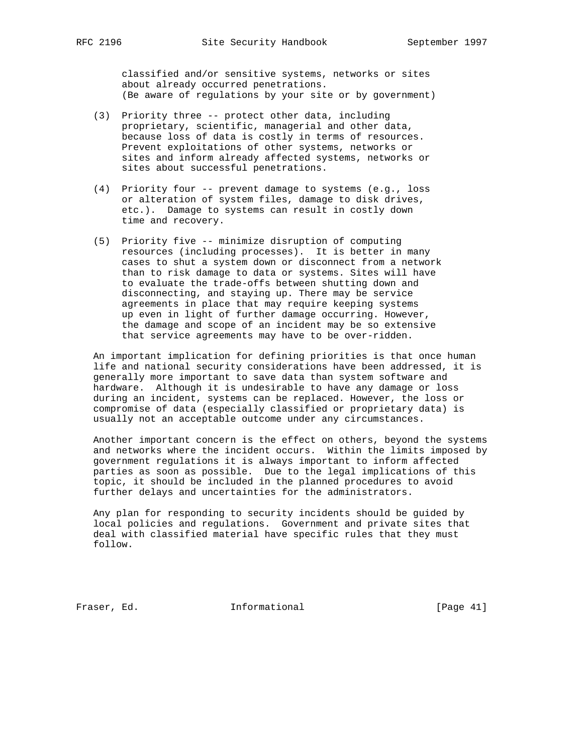classified and/or sensitive systems, networks or sites about already occurred penetrations. (Be aware of regulations by your site or by government)

- (3) Priority three -- protect other data, including proprietary, scientific, managerial and other data, because loss of data is costly in terms of resources. Prevent exploitations of other systems, networks or sites and inform already affected systems, networks or sites about successful penetrations.
- (4) Priority four -- prevent damage to systems (e.g., loss or alteration of system files, damage to disk drives, etc.). Damage to systems can result in costly down time and recovery.
- (5) Priority five -- minimize disruption of computing resources (including processes). It is better in many cases to shut a system down or disconnect from a network than to risk damage to data or systems. Sites will have to evaluate the trade-offs between shutting down and disconnecting, and staying up. There may be service agreements in place that may require keeping systems up even in light of further damage occurring. However, the damage and scope of an incident may be so extensive that service agreements may have to be over-ridden.

 An important implication for defining priorities is that once human life and national security considerations have been addressed, it is generally more important to save data than system software and hardware. Although it is undesirable to have any damage or loss during an incident, systems can be replaced. However, the loss or compromise of data (especially classified or proprietary data) is usually not an acceptable outcome under any circumstances.

 Another important concern is the effect on others, beyond the systems and networks where the incident occurs. Within the limits imposed by government regulations it is always important to inform affected parties as soon as possible. Due to the legal implications of this topic, it should be included in the planned procedures to avoid further delays and uncertainties for the administrators.

 Any plan for responding to security incidents should be guided by local policies and regulations. Government and private sites that deal with classified material have specific rules that they must follow.

Fraser, Ed. 10. Informational 1.1 [Page 41]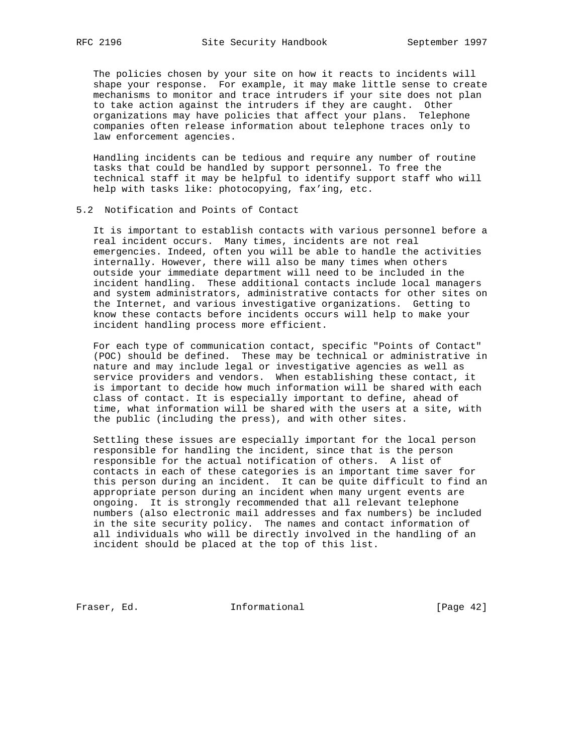The policies chosen by your site on how it reacts to incidents will shape your response. For example, it may make little sense to create mechanisms to monitor and trace intruders if your site does not plan to take action against the intruders if they are caught. Other organizations may have policies that affect your plans. Telephone companies often release information about telephone traces only to law enforcement agencies.

 Handling incidents can be tedious and require any number of routine tasks that could be handled by support personnel. To free the technical staff it may be helpful to identify support staff who will help with tasks like: photocopying, fax'ing, etc.

#### 5.2 Notification and Points of Contact

 It is important to establish contacts with various personnel before a real incident occurs. Many times, incidents are not real emergencies. Indeed, often you will be able to handle the activities internally. However, there will also be many times when others outside your immediate department will need to be included in the incident handling. These additional contacts include local managers and system administrators, administrative contacts for other sites on the Internet, and various investigative organizations. Getting to know these contacts before incidents occurs will help to make your incident handling process more efficient.

 For each type of communication contact, specific "Points of Contact" (POC) should be defined. These may be technical or administrative in nature and may include legal or investigative agencies as well as service providers and vendors. When establishing these contact, it is important to decide how much information will be shared with each class of contact. It is especially important to define, ahead of time, what information will be shared with the users at a site, with the public (including the press), and with other sites.

 Settling these issues are especially important for the local person responsible for handling the incident, since that is the person responsible for the actual notification of others. A list of contacts in each of these categories is an important time saver for this person during an incident. It can be quite difficult to find an appropriate person during an incident when many urgent events are ongoing. It is strongly recommended that all relevant telephone numbers (also electronic mail addresses and fax numbers) be included in the site security policy. The names and contact information of all individuals who will be directly involved in the handling of an incident should be placed at the top of this list.

Fraser, Ed. 1nformational [Page 42]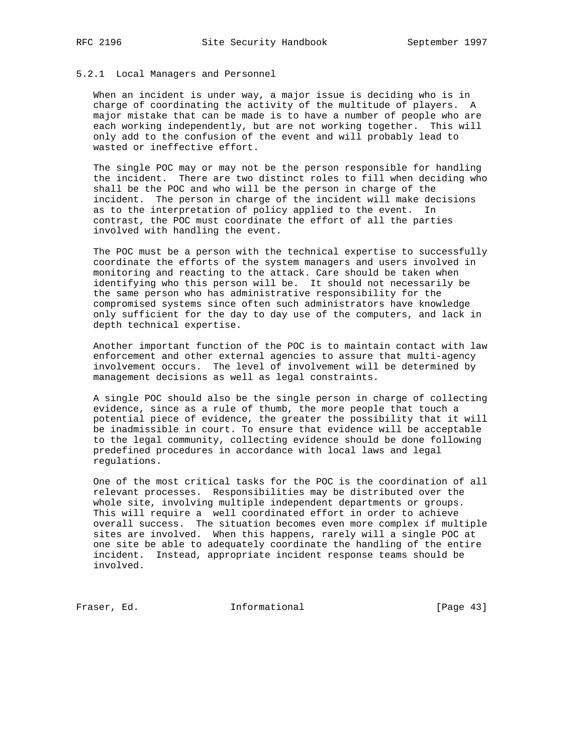#### 5.2.1 Local Managers and Personnel

 When an incident is under way, a major issue is deciding who is in charge of coordinating the activity of the multitude of players. A major mistake that can be made is to have a number of people who are each working independently, but are not working together. This will only add to the confusion of the event and will probably lead to wasted or ineffective effort.

 The single POC may or may not be the person responsible for handling the incident. There are two distinct roles to fill when deciding who shall be the POC and who will be the person in charge of the incident. The person in charge of the incident will make decisions as to the interpretation of policy applied to the event. In contrast, the POC must coordinate the effort of all the parties involved with handling the event.

 The POC must be a person with the technical expertise to successfully coordinate the efforts of the system managers and users involved in monitoring and reacting to the attack. Care should be taken when identifying who this person will be. It should not necessarily be the same person who has administrative responsibility for the compromised systems since often such administrators have knowledge only sufficient for the day to day use of the computers, and lack in depth technical expertise.

 Another important function of the POC is to maintain contact with law enforcement and other external agencies to assure that multi-agency involvement occurs. The level of involvement will be determined by management decisions as well as legal constraints.

 A single POC should also be the single person in charge of collecting evidence, since as a rule of thumb, the more people that touch a potential piece of evidence, the greater the possibility that it will be inadmissible in court. To ensure that evidence will be acceptable to the legal community, collecting evidence should be done following predefined procedures in accordance with local laws and legal regulations.

 One of the most critical tasks for the POC is the coordination of all relevant processes. Responsibilities may be distributed over the whole site, involving multiple independent departments or groups. This will require a well coordinated effort in order to achieve overall success. The situation becomes even more complex if multiple sites are involved. When this happens, rarely will a single POC at one site be able to adequately coordinate the handling of the entire incident. Instead, appropriate incident response teams should be involved.

Fraser, Ed. 1nformational [Page 43]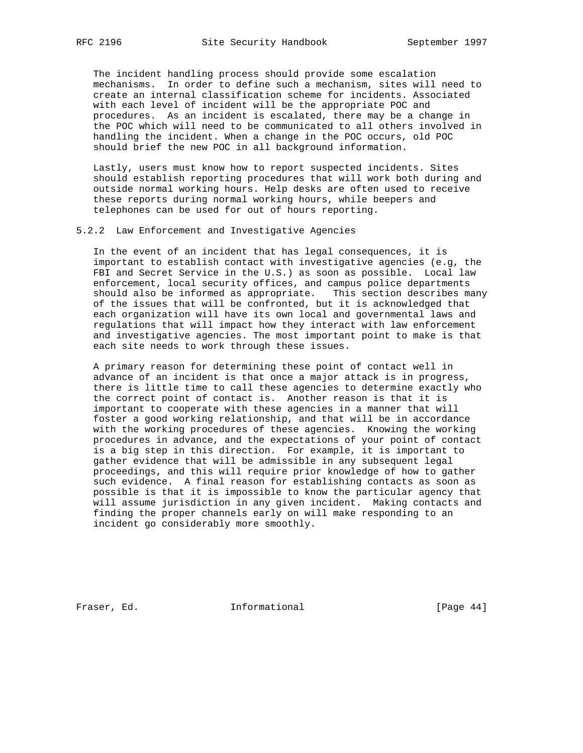The incident handling process should provide some escalation mechanisms. In order to define such a mechanism, sites will need to create an internal classification scheme for incidents. Associated with each level of incident will be the appropriate POC and procedures. As an incident is escalated, there may be a change in the POC which will need to be communicated to all others involved in handling the incident. When a change in the POC occurs, old POC should brief the new POC in all background information.

 Lastly, users must know how to report suspected incidents. Sites should establish reporting procedures that will work both during and outside normal working hours. Help desks are often used to receive these reports during normal working hours, while beepers and telephones can be used for out of hours reporting.

### 5.2.2 Law Enforcement and Investigative Agencies

 In the event of an incident that has legal consequences, it is important to establish contact with investigative agencies (e.g, the FBI and Secret Service in the U.S.) as soon as possible. Local law enforcement, local security offices, and campus police departments should also be informed as appropriate. This section describes many of the issues that will be confronted, but it is acknowledged that each organization will have its own local and governmental laws and regulations that will impact how they interact with law enforcement and investigative agencies. The most important point to make is that each site needs to work through these issues.

 A primary reason for determining these point of contact well in advance of an incident is that once a major attack is in progress, there is little time to call these agencies to determine exactly who the correct point of contact is. Another reason is that it is important to cooperate with these agencies in a manner that will foster a good working relationship, and that will be in accordance with the working procedures of these agencies. Knowing the working procedures in advance, and the expectations of your point of contact is a big step in this direction. For example, it is important to gather evidence that will be admissible in any subsequent legal proceedings, and this will require prior knowledge of how to gather such evidence. A final reason for establishing contacts as soon as possible is that it is impossible to know the particular agency that will assume jurisdiction in any given incident. Making contacts and finding the proper channels early on will make responding to an incident go considerably more smoothly.

Fraser, Ed. 1nformational [Page 44]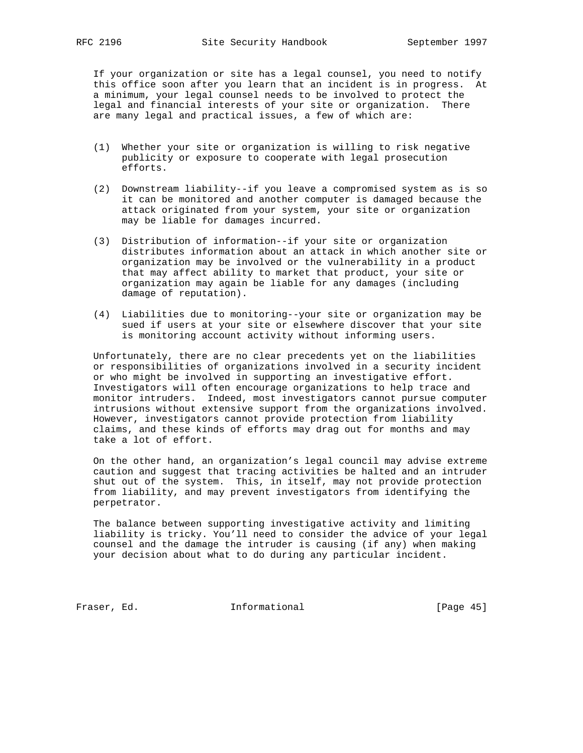If your organization or site has a legal counsel, you need to notify this office soon after you learn that an incident is in progress. At a minimum, your legal counsel needs to be involved to protect the legal and financial interests of your site or organization. There are many legal and practical issues, a few of which are:

- (1) Whether your site or organization is willing to risk negative publicity or exposure to cooperate with legal prosecution efforts.
- (2) Downstream liability--if you leave a compromised system as is so it can be monitored and another computer is damaged because the attack originated from your system, your site or organization may be liable for damages incurred.
- (3) Distribution of information--if your site or organization distributes information about an attack in which another site or organization may be involved or the vulnerability in a product that may affect ability to market that product, your site or organization may again be liable for any damages (including damage of reputation).
- (4) Liabilities due to monitoring--your site or organization may be sued if users at your site or elsewhere discover that your site is monitoring account activity without informing users.

 Unfortunately, there are no clear precedents yet on the liabilities or responsibilities of organizations involved in a security incident or who might be involved in supporting an investigative effort. Investigators will often encourage organizations to help trace and monitor intruders. Indeed, most investigators cannot pursue computer intrusions without extensive support from the organizations involved. However, investigators cannot provide protection from liability claims, and these kinds of efforts may drag out for months and may take a lot of effort.

 On the other hand, an organization's legal council may advise extreme caution and suggest that tracing activities be halted and an intruder shut out of the system. This, in itself, may not provide protection from liability, and may prevent investigators from identifying the perpetrator.

 The balance between supporting investigative activity and limiting liability is tricky. You'll need to consider the advice of your legal counsel and the damage the intruder is causing (if any) when making your decision about what to do during any particular incident.

Fraser, Ed. 1nformational [Page 45]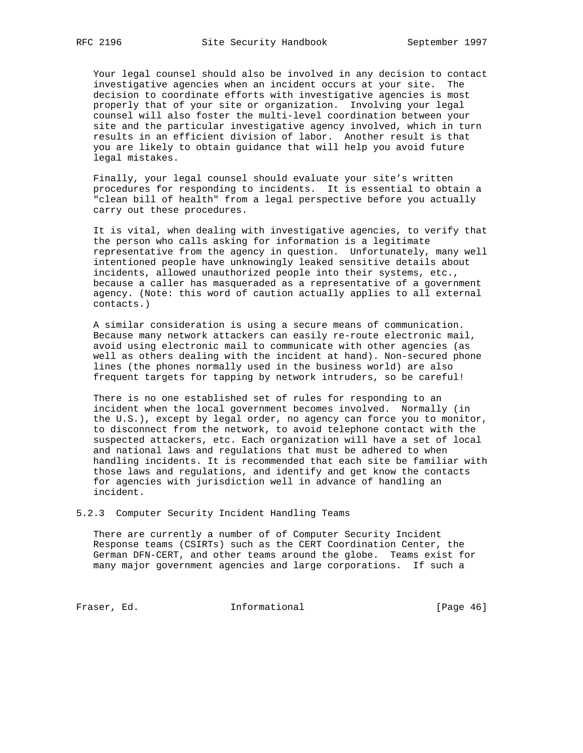Your legal counsel should also be involved in any decision to contact investigative agencies when an incident occurs at your site. The decision to coordinate efforts with investigative agencies is most properly that of your site or organization. Involving your legal counsel will also foster the multi-level coordination between your site and the particular investigative agency involved, which in turn results in an efficient division of labor. Another result is that you are likely to obtain guidance that will help you avoid future legal mistakes.

 Finally, your legal counsel should evaluate your site's written procedures for responding to incidents. It is essential to obtain a "clean bill of health" from a legal perspective before you actually carry out these procedures.

 It is vital, when dealing with investigative agencies, to verify that the person who calls asking for information is a legitimate representative from the agency in question. Unfortunately, many well intentioned people have unknowingly leaked sensitive details about incidents, allowed unauthorized people into their systems, etc., because a caller has masqueraded as a representative of a government agency. (Note: this word of caution actually applies to all external contacts.)

 A similar consideration is using a secure means of communication. Because many network attackers can easily re-route electronic mail, avoid using electronic mail to communicate with other agencies (as well as others dealing with the incident at hand). Non-secured phone lines (the phones normally used in the business world) are also frequent targets for tapping by network intruders, so be careful!

 There is no one established set of rules for responding to an incident when the local government becomes involved. Normally (in the U.S.), except by legal order, no agency can force you to monitor, to disconnect from the network, to avoid telephone contact with the suspected attackers, etc. Each organization will have a set of local and national laws and regulations that must be adhered to when handling incidents. It is recommended that each site be familiar with those laws and regulations, and identify and get know the contacts for agencies with jurisdiction well in advance of handling an incident.

5.2.3 Computer Security Incident Handling Teams

 There are currently a number of of Computer Security Incident Response teams (CSIRTs) such as the CERT Coordination Center, the German DFN-CERT, and other teams around the globe. Teams exist for many major government agencies and large corporations. If such a

Fraser, Ed. 10. Informational [Page 46]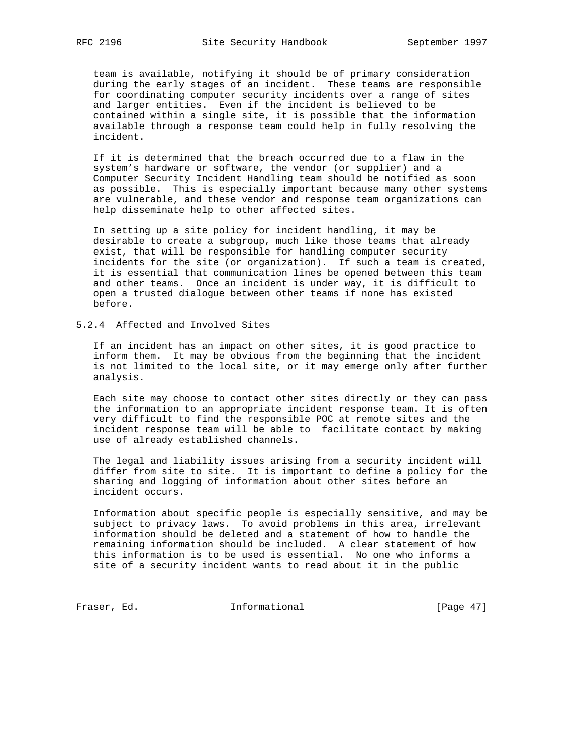team is available, notifying it should be of primary consideration during the early stages of an incident. These teams are responsible for coordinating computer security incidents over a range of sites and larger entities. Even if the incident is believed to be contained within a single site, it is possible that the information available through a response team could help in fully resolving the incident.

 If it is determined that the breach occurred due to a flaw in the system's hardware or software, the vendor (or supplier) and a Computer Security Incident Handling team should be notified as soon as possible. This is especially important because many other systems are vulnerable, and these vendor and response team organizations can help disseminate help to other affected sites.

 In setting up a site policy for incident handling, it may be desirable to create a subgroup, much like those teams that already exist, that will be responsible for handling computer security incidents for the site (or organization). If such a team is created, it is essential that communication lines be opened between this team and other teams. Once an incident is under way, it is difficult to open a trusted dialogue between other teams if none has existed before.

5.2.4 Affected and Involved Sites

 If an incident has an impact on other sites, it is good practice to inform them. It may be obvious from the beginning that the incident is not limited to the local site, or it may emerge only after further analysis.

 Each site may choose to contact other sites directly or they can pass the information to an appropriate incident response team. It is often very difficult to find the responsible POC at remote sites and the incident response team will be able to facilitate contact by making use of already established channels.

 The legal and liability issues arising from a security incident will differ from site to site. It is important to define a policy for the sharing and logging of information about other sites before an incident occurs.

 Information about specific people is especially sensitive, and may be subject to privacy laws. To avoid problems in this area, irrelevant information should be deleted and a statement of how to handle the remaining information should be included. A clear statement of how this information is to be used is essential. No one who informs a site of a security incident wants to read about it in the public

Fraser, Ed. 1nformational 1999 [Page 47]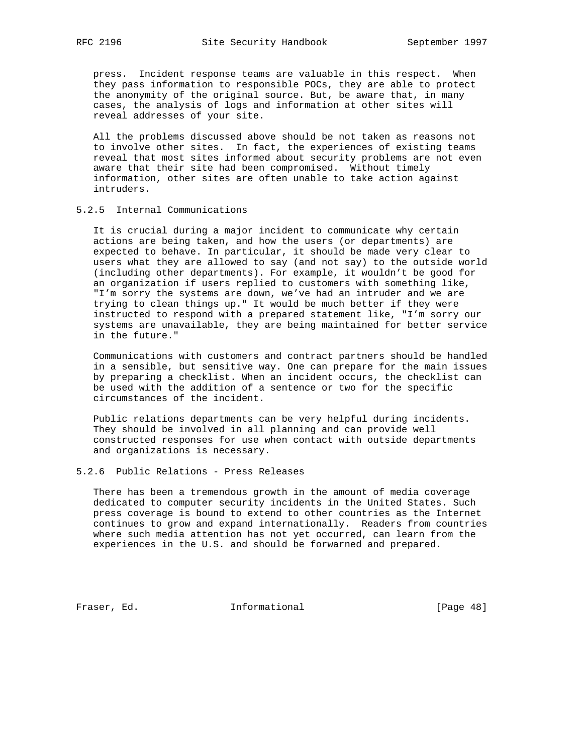press. Incident response teams are valuable in this respect. When they pass information to responsible POCs, they are able to protect the anonymity of the original source. But, be aware that, in many cases, the analysis of logs and information at other sites will reveal addresses of your site.

 All the problems discussed above should be not taken as reasons not to involve other sites. In fact, the experiences of existing teams reveal that most sites informed about security problems are not even aware that their site had been compromised. Without timely information, other sites are often unable to take action against intruders.

# 5.2.5 Internal Communications

 It is crucial during a major incident to communicate why certain actions are being taken, and how the users (or departments) are expected to behave. In particular, it should be made very clear to users what they are allowed to say (and not say) to the outside world (including other departments). For example, it wouldn't be good for an organization if users replied to customers with something like, "I'm sorry the systems are down, we've had an intruder and we are trying to clean things up." It would be much better if they were instructed to respond with a prepared statement like, "I'm sorry our systems are unavailable, they are being maintained for better service in the future."

 Communications with customers and contract partners should be handled in a sensible, but sensitive way. One can prepare for the main issues by preparing a checklist. When an incident occurs, the checklist can be used with the addition of a sentence or two for the specific circumstances of the incident.

 Public relations departments can be very helpful during incidents. They should be involved in all planning and can provide well constructed responses for use when contact with outside departments and organizations is necessary.

## 5.2.6 Public Relations - Press Releases

 There has been a tremendous growth in the amount of media coverage dedicated to computer security incidents in the United States. Such press coverage is bound to extend to other countries as the Internet continues to grow and expand internationally. Readers from countries where such media attention has not yet occurred, can learn from the experiences in the U.S. and should be forwarned and prepared.

Fraser, Ed. 1nformational [Page 48]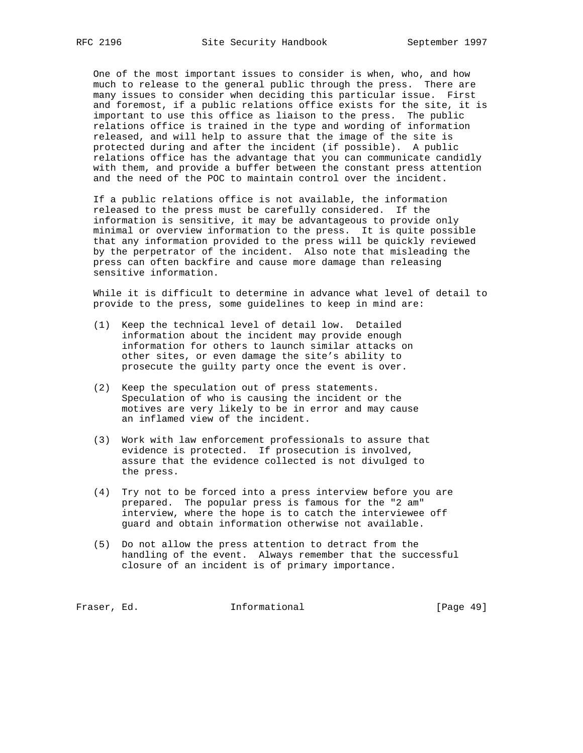One of the most important issues to consider is when, who, and how much to release to the general public through the press. There are many issues to consider when deciding this particular issue. First and foremost, if a public relations office exists for the site, it is important to use this office as liaison to the press. The public relations office is trained in the type and wording of information released, and will help to assure that the image of the site is protected during and after the incident (if possible). A public relations office has the advantage that you can communicate candidly with them, and provide a buffer between the constant press attention and the need of the POC to maintain control over the incident.

 If a public relations office is not available, the information released to the press must be carefully considered. If the information is sensitive, it may be advantageous to provide only minimal or overview information to the press. It is quite possible that any information provided to the press will be quickly reviewed by the perpetrator of the incident. Also note that misleading the press can often backfire and cause more damage than releasing sensitive information.

 While it is difficult to determine in advance what level of detail to provide to the press, some guidelines to keep in mind are:

- (1) Keep the technical level of detail low. Detailed information about the incident may provide enough information for others to launch similar attacks on other sites, or even damage the site's ability to prosecute the guilty party once the event is over.
- (2) Keep the speculation out of press statements. Speculation of who is causing the incident or the motives are very likely to be in error and may cause an inflamed view of the incident.
- (3) Work with law enforcement professionals to assure that evidence is protected. If prosecution is involved, assure that the evidence collected is not divulged to the press.
- (4) Try not to be forced into a press interview before you are prepared. The popular press is famous for the "2 am" interview, where the hope is to catch the interviewee off guard and obtain information otherwise not available.
- (5) Do not allow the press attention to detract from the handling of the event. Always remember that the successful closure of an incident is of primary importance.

Fraser, Ed. 1nformational [Page 49]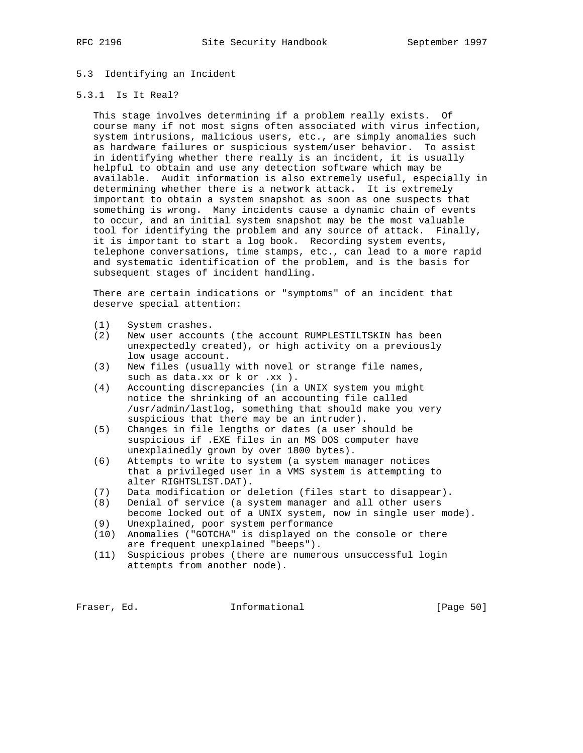# 5.3 Identifying an Incident

# 5.3.1 Is It Real?

 This stage involves determining if a problem really exists. Of course many if not most signs often associated with virus infection, system intrusions, malicious users, etc., are simply anomalies such as hardware failures or suspicious system/user behavior. To assist in identifying whether there really is an incident, it is usually helpful to obtain and use any detection software which may be available. Audit information is also extremely useful, especially in determining whether there is a network attack. It is extremely important to obtain a system snapshot as soon as one suspects that something is wrong. Many incidents cause a dynamic chain of events to occur, and an initial system snapshot may be the most valuable tool for identifying the problem and any source of attack. Finally, it is important to start a log book. Recording system events, telephone conversations, time stamps, etc., can lead to a more rapid and systematic identification of the problem, and is the basis for subsequent stages of incident handling.

 There are certain indications or "symptoms" of an incident that deserve special attention:

- (1) System crashes.
- (2) New user accounts (the account RUMPLESTILTSKIN has been unexpectedly created), or high activity on a previously low usage account.
- (3) New files (usually with novel or strange file names, such as data.xx or k or .xx ).
- (4) Accounting discrepancies (in a UNIX system you might notice the shrinking of an accounting file called /usr/admin/lastlog, something that should make you very suspicious that there may be an intruder).
- (5) Changes in file lengths or dates (a user should be suspicious if .EXE files in an MS DOS computer have unexplainedly grown by over 1800 bytes).
- (6) Attempts to write to system (a system manager notices that a privileged user in a VMS system is attempting to alter RIGHTSLIST.DAT).
- (7) Data modification or deletion (files start to disappear).
- (8) Denial of service (a system manager and all other users become locked out of a UNIX system, now in single user mode).
- (9) Unexplained, poor system performance
- (10) Anomalies ("GOTCHA" is displayed on the console or there are frequent unexplained "beeps").
- (11) Suspicious probes (there are numerous unsuccessful login attempts from another node).

Fraser, Ed. 1nformational 1999 [Page 50]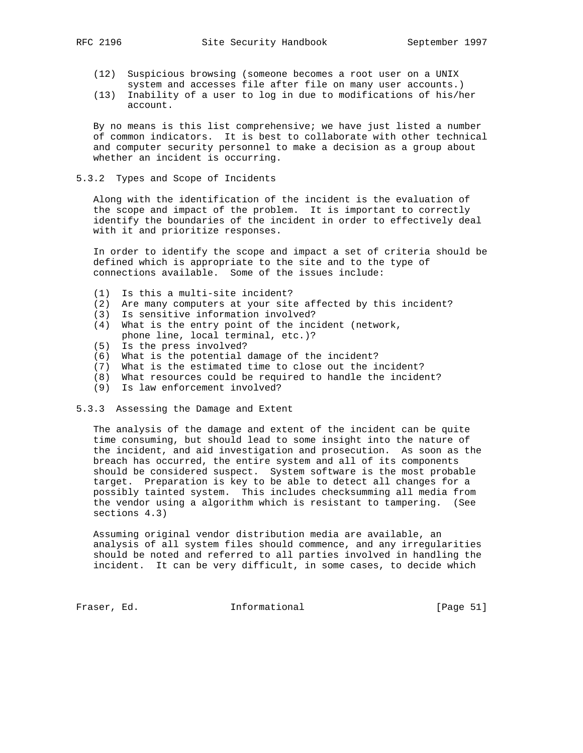- (12) Suspicious browsing (someone becomes a root user on a UNIX system and accesses file after file on many user accounts.)
- (13) Inability of a user to log in due to modifications of his/her account.

 By no means is this list comprehensive; we have just listed a number of common indicators. It is best to collaborate with other technical and computer security personnel to make a decision as a group about whether an incident is occurring.

5.3.2 Types and Scope of Incidents

 Along with the identification of the incident is the evaluation of the scope and impact of the problem. It is important to correctly identify the boundaries of the incident in order to effectively deal with it and prioritize responses.

 In order to identify the scope and impact a set of criteria should be defined which is appropriate to the site and to the type of connections available. Some of the issues include:

- (1) Is this a multi-site incident?
- (2) Are many computers at your site affected by this incident?
- (3) Is sensitive information involved?
- (4) What is the entry point of the incident (network, phone line, local terminal, etc.)?
- (5) Is the press involved?
- (6) What is the potential damage of the incident?
- (7) What is the estimated time to close out the incident?
- (8) What resources could be required to handle the incident?
- (9) Is law enforcement involved?
- 5.3.3 Assessing the Damage and Extent

 The analysis of the damage and extent of the incident can be quite time consuming, but should lead to some insight into the nature of the incident, and aid investigation and prosecution. As soon as the breach has occurred, the entire system and all of its components should be considered suspect. System software is the most probable target. Preparation is key to be able to detect all changes for a possibly tainted system. This includes checksumming all media from the vendor using a algorithm which is resistant to tampering. (See sections 4.3)

 Assuming original vendor distribution media are available, an analysis of all system files should commence, and any irregularities should be noted and referred to all parties involved in handling the incident. It can be very difficult, in some cases, to decide which

Fraser, Ed. 10. Informational [Page 51]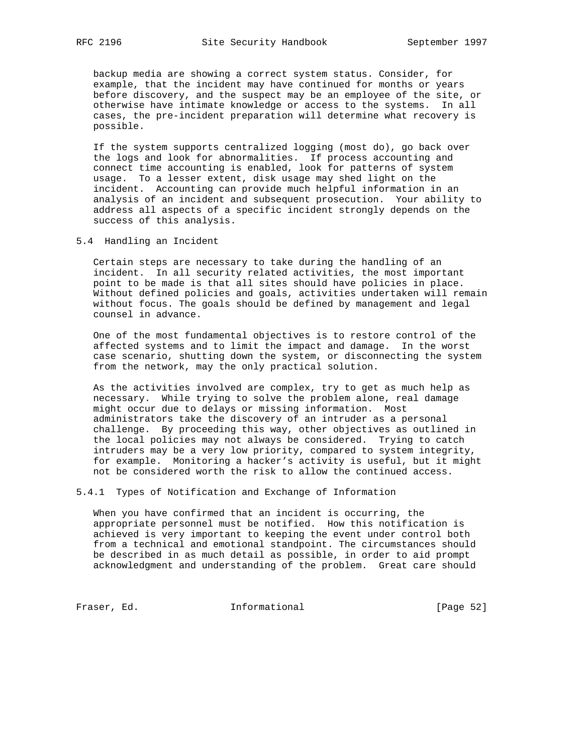backup media are showing a correct system status. Consider, for example, that the incident may have continued for months or years before discovery, and the suspect may be an employee of the site, or otherwise have intimate knowledge or access to the systems. In all cases, the pre-incident preparation will determine what recovery is possible.

 If the system supports centralized logging (most do), go back over the logs and look for abnormalities. If process accounting and connect time accounting is enabled, look for patterns of system usage. To a lesser extent, disk usage may shed light on the incident. Accounting can provide much helpful information in an analysis of an incident and subsequent prosecution. Your ability to address all aspects of a specific incident strongly depends on the success of this analysis.

5.4 Handling an Incident

 Certain steps are necessary to take during the handling of an incident. In all security related activities, the most important point to be made is that all sites should have policies in place. Without defined policies and goals, activities undertaken will remain without focus. The goals should be defined by management and legal counsel in advance.

 One of the most fundamental objectives is to restore control of the affected systems and to limit the impact and damage. In the worst case scenario, shutting down the system, or disconnecting the system from the network, may the only practical solution.

 As the activities involved are complex, try to get as much help as necessary. While trying to solve the problem alone, real damage might occur due to delays or missing information. Most administrators take the discovery of an intruder as a personal challenge. By proceeding this way, other objectives as outlined in the local policies may not always be considered. Trying to catch intruders may be a very low priority, compared to system integrity, for example. Monitoring a hacker's activity is useful, but it might not be considered worth the risk to allow the continued access.

5.4.1 Types of Notification and Exchange of Information

 When you have confirmed that an incident is occurring, the appropriate personnel must be notified. How this notification is achieved is very important to keeping the event under control both from a technical and emotional standpoint. The circumstances should be described in as much detail as possible, in order to aid prompt acknowledgment and understanding of the problem. Great care should

Fraser, Ed. 1nformational [Page 52]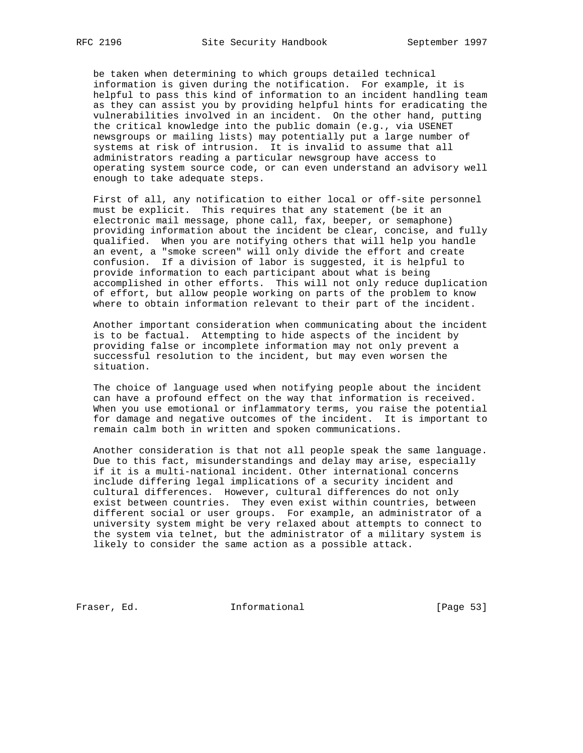be taken when determining to which groups detailed technical information is given during the notification. For example, it is helpful to pass this kind of information to an incident handling team as they can assist you by providing helpful hints for eradicating the vulnerabilities involved in an incident. On the other hand, putting the critical knowledge into the public domain (e.g., via USENET newsgroups or mailing lists) may potentially put a large number of systems at risk of intrusion. It is invalid to assume that all administrators reading a particular newsgroup have access to operating system source code, or can even understand an advisory well enough to take adequate steps.

 First of all, any notification to either local or off-site personnel must be explicit. This requires that any statement (be it an electronic mail message, phone call, fax, beeper, or semaphone) providing information about the incident be clear, concise, and fully qualified. When you are notifying others that will help you handle an event, a "smoke screen" will only divide the effort and create confusion. If a division of labor is suggested, it is helpful to provide information to each participant about what is being accomplished in other efforts. This will not only reduce duplication of effort, but allow people working on parts of the problem to know where to obtain information relevant to their part of the incident.

 Another important consideration when communicating about the incident is to be factual. Attempting to hide aspects of the incident by providing false or incomplete information may not only prevent a successful resolution to the incident, but may even worsen the situation.

 The choice of language used when notifying people about the incident can have a profound effect on the way that information is received. When you use emotional or inflammatory terms, you raise the potential for damage and negative outcomes of the incident. It is important to remain calm both in written and spoken communications.

 Another consideration is that not all people speak the same language. Due to this fact, misunderstandings and delay may arise, especially if it is a multi-national incident. Other international concerns include differing legal implications of a security incident and cultural differences. However, cultural differences do not only exist between countries. They even exist within countries, between different social or user groups. For example, an administrator of a university system might be very relaxed about attempts to connect to the system via telnet, but the administrator of a military system is likely to consider the same action as a possible attack.

Fraser, Ed. 1nformational [Page 53]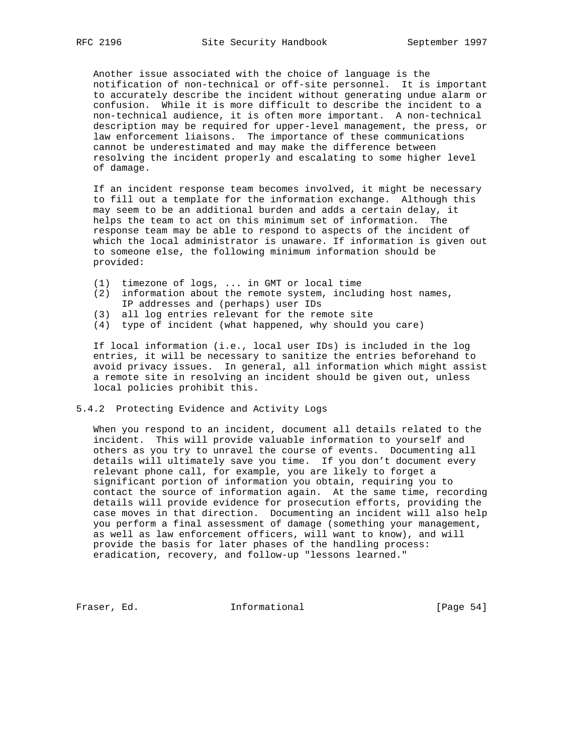Another issue associated with the choice of language is the notification of non-technical or off-site personnel. It is important to accurately describe the incident without generating undue alarm or confusion. While it is more difficult to describe the incident to a non-technical audience, it is often more important. A non-technical description may be required for upper-level management, the press, or law enforcement liaisons. The importance of these communications cannot be underestimated and may make the difference between resolving the incident properly and escalating to some higher level of damage.

 If an incident response team becomes involved, it might be necessary to fill out a template for the information exchange. Although this may seem to be an additional burden and adds a certain delay, it helps the team to act on this minimum set of information. The response team may be able to respond to aspects of the incident of which the local administrator is unaware. If information is given out to someone else, the following minimum information should be provided:

- (1) timezone of logs, ... in GMT or local time
- (2) information about the remote system, including host names, IP addresses and (perhaps) user IDs
- (3) all log entries relevant for the remote site
- (4) type of incident (what happened, why should you care)

 If local information (i.e., local user IDs) is included in the log entries, it will be necessary to sanitize the entries beforehand to avoid privacy issues. In general, all information which might assist a remote site in resolving an incident should be given out, unless local policies prohibit this.

5.4.2 Protecting Evidence and Activity Logs

 When you respond to an incident, document all details related to the incident. This will provide valuable information to yourself and others as you try to unravel the course of events. Documenting all details will ultimately save you time. If you don't document every relevant phone call, for example, you are likely to forget a significant portion of information you obtain, requiring you to contact the source of information again. At the same time, recording details will provide evidence for prosecution efforts, providing the case moves in that direction. Documenting an incident will also help you perform a final assessment of damage (something your management, as well as law enforcement officers, will want to know), and will provide the basis for later phases of the handling process: eradication, recovery, and follow-up "lessons learned."

Fraser, Ed. 1nformational [Page 54]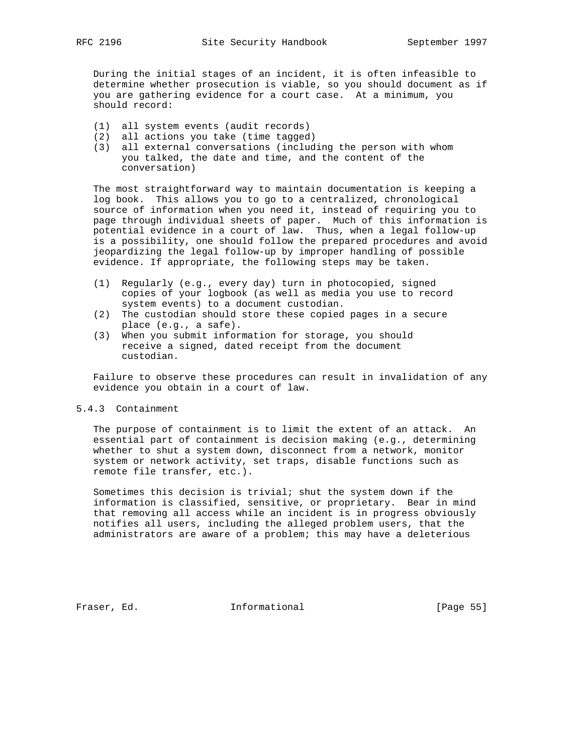During the initial stages of an incident, it is often infeasible to determine whether prosecution is viable, so you should document as if you are gathering evidence for a court case. At a minimum, you should record:

- (1) all system events (audit records)
- (2) all actions you take (time tagged)
- (3) all external conversations (including the person with whom you talked, the date and time, and the content of the conversation)

 The most straightforward way to maintain documentation is keeping a log book. This allows you to go to a centralized, chronological source of information when you need it, instead of requiring you to page through individual sheets of paper. Much of this information is potential evidence in a court of law. Thus, when a legal follow-up is a possibility, one should follow the prepared procedures and avoid jeopardizing the legal follow-up by improper handling of possible evidence. If appropriate, the following steps may be taken.

- (1) Regularly (e.g., every day) turn in photocopied, signed copies of your logbook (as well as media you use to record system events) to a document custodian.
- (2) The custodian should store these copied pages in a secure place (e.g., a safe).
- (3) When you submit information for storage, you should receive a signed, dated receipt from the document custodian.

 Failure to observe these procedures can result in invalidation of any evidence you obtain in a court of law.

## 5.4.3 Containment

 The purpose of containment is to limit the extent of an attack. An essential part of containment is decision making (e.g., determining whether to shut a system down, disconnect from a network, monitor system or network activity, set traps, disable functions such as remote file transfer, etc.).

 Sometimes this decision is trivial; shut the system down if the information is classified, sensitive, or proprietary. Bear in mind that removing all access while an incident is in progress obviously notifies all users, including the alleged problem users, that the administrators are aware of a problem; this may have a deleterious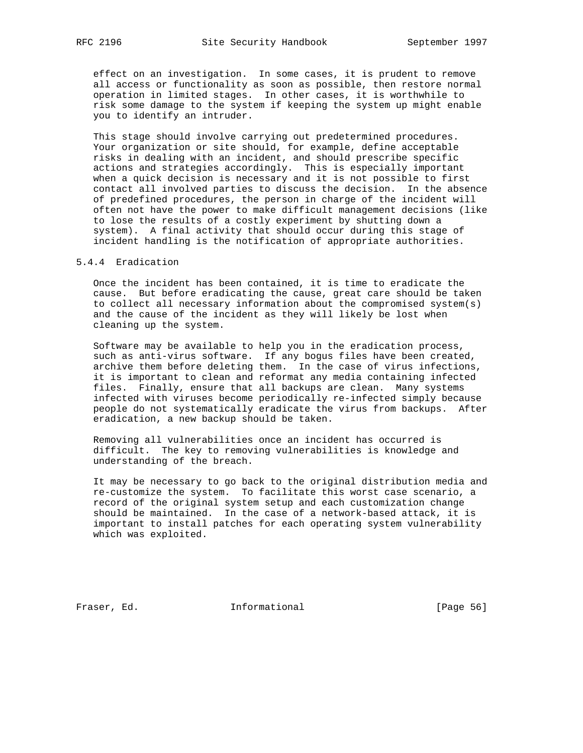effect on an investigation. In some cases, it is prudent to remove all access or functionality as soon as possible, then restore normal operation in limited stages. In other cases, it is worthwhile to risk some damage to the system if keeping the system up might enable you to identify an intruder.

 This stage should involve carrying out predetermined procedures. Your organization or site should, for example, define acceptable risks in dealing with an incident, and should prescribe specific actions and strategies accordingly. This is especially important when a quick decision is necessary and it is not possible to first contact all involved parties to discuss the decision. In the absence of predefined procedures, the person in charge of the incident will often not have the power to make difficult management decisions (like to lose the results of a costly experiment by shutting down a system). A final activity that should occur during this stage of incident handling is the notification of appropriate authorities.

# 5.4.4 Eradication

 Once the incident has been contained, it is time to eradicate the cause. But before eradicating the cause, great care should be taken to collect all necessary information about the compromised system(s) and the cause of the incident as they will likely be lost when cleaning up the system.

 Software may be available to help you in the eradication process, such as anti-virus software. If any bogus files have been created, archive them before deleting them. In the case of virus infections, it is important to clean and reformat any media containing infected files. Finally, ensure that all backups are clean. Many systems infected with viruses become periodically re-infected simply because people do not systematically eradicate the virus from backups. After eradication, a new backup should be taken.

 Removing all vulnerabilities once an incident has occurred is difficult. The key to removing vulnerabilities is knowledge and understanding of the breach.

 It may be necessary to go back to the original distribution media and re-customize the system. To facilitate this worst case scenario, a record of the original system setup and each customization change should be maintained. In the case of a network-based attack, it is important to install patches for each operating system vulnerability which was exploited.

Fraser, Ed. 1nformational [Page 56]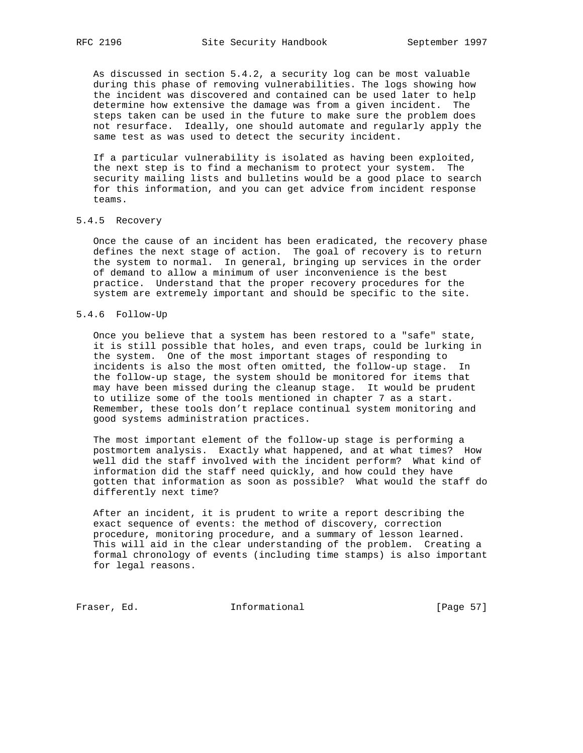As discussed in section 5.4.2, a security log can be most valuable during this phase of removing vulnerabilities. The logs showing how the incident was discovered and contained can be used later to help determine how extensive the damage was from a given incident. The steps taken can be used in the future to make sure the problem does not resurface. Ideally, one should automate and regularly apply the same test as was used to detect the security incident.

 If a particular vulnerability is isolated as having been exploited, the next step is to find a mechanism to protect your system. The security mailing lists and bulletins would be a good place to search for this information, and you can get advice from incident response teams.

# 5.4.5 Recovery

 Once the cause of an incident has been eradicated, the recovery phase defines the next stage of action. The goal of recovery is to return the system to normal. In general, bringing up services in the order of demand to allow a minimum of user inconvenience is the best practice. Understand that the proper recovery procedures for the system are extremely important and should be specific to the site.

## 5.4.6 Follow-Up

 Once you believe that a system has been restored to a "safe" state, it is still possible that holes, and even traps, could be lurking in the system. One of the most important stages of responding to incidents is also the most often omitted, the follow-up stage. In the follow-up stage, the system should be monitored for items that may have been missed during the cleanup stage. It would be prudent to utilize some of the tools mentioned in chapter 7 as a start. Remember, these tools don't replace continual system monitoring and good systems administration practices.

 The most important element of the follow-up stage is performing a postmortem analysis. Exactly what happened, and at what times? How well did the staff involved with the incident perform? What kind of information did the staff need quickly, and how could they have gotten that information as soon as possible? What would the staff do differently next time?

 After an incident, it is prudent to write a report describing the exact sequence of events: the method of discovery, correction procedure, monitoring procedure, and a summary of lesson learned. This will aid in the clear understanding of the problem. Creating a formal chronology of events (including time stamps) is also important for legal reasons.

Fraser, Ed. 1nformational [Page 57]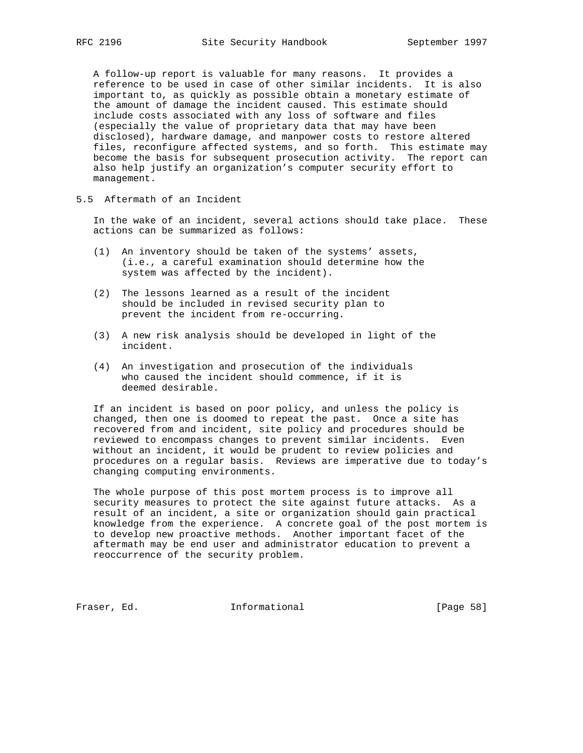A follow-up report is valuable for many reasons. It provides a reference to be used in case of other similar incidents. It is also important to, as quickly as possible obtain a monetary estimate of the amount of damage the incident caused. This estimate should include costs associated with any loss of software and files (especially the value of proprietary data that may have been disclosed), hardware damage, and manpower costs to restore altered files, reconfigure affected systems, and so forth. This estimate may become the basis for subsequent prosecution activity. The report can also help justify an organization's computer security effort to management.

5.5 Aftermath of an Incident

 In the wake of an incident, several actions should take place. These actions can be summarized as follows:

- (1) An inventory should be taken of the systems' assets, (i.e., a careful examination should determine how the system was affected by the incident).
- (2) The lessons learned as a result of the incident should be included in revised security plan to prevent the incident from re-occurring.
- (3) A new risk analysis should be developed in light of the incident.
- (4) An investigation and prosecution of the individuals who caused the incident should commence, if it is deemed desirable.

 If an incident is based on poor policy, and unless the policy is changed, then one is doomed to repeat the past. Once a site has recovered from and incident, site policy and procedures should be reviewed to encompass changes to prevent similar incidents. Even without an incident, it would be prudent to review policies and procedures on a regular basis. Reviews are imperative due to today's changing computing environments.

 The whole purpose of this post mortem process is to improve all security measures to protect the site against future attacks. As a result of an incident, a site or organization should gain practical knowledge from the experience. A concrete goal of the post mortem is to develop new proactive methods. Another important facet of the aftermath may be end user and administrator education to prevent a reoccurrence of the security problem.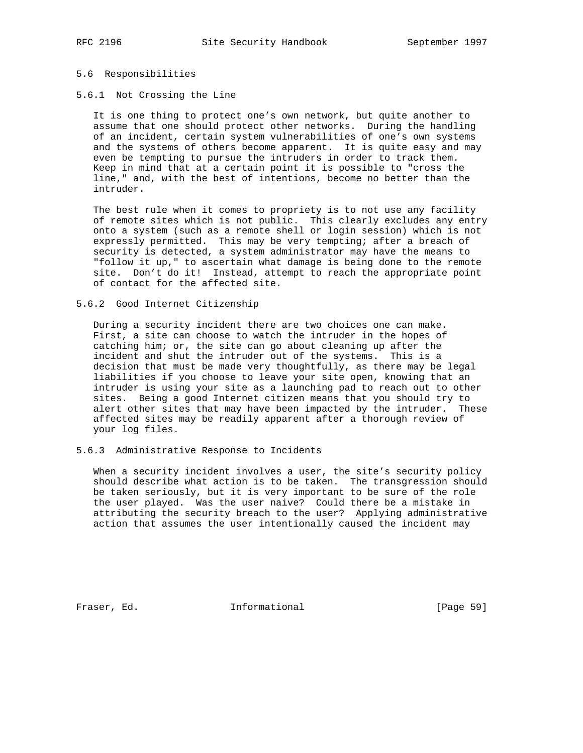## 5.6 Responsibilities

# 5.6.1 Not Crossing the Line

 It is one thing to protect one's own network, but quite another to assume that one should protect other networks. During the handling of an incident, certain system vulnerabilities of one's own systems and the systems of others become apparent. It is quite easy and may even be tempting to pursue the intruders in order to track them. Keep in mind that at a certain point it is possible to "cross the line," and, with the best of intentions, become no better than the intruder.

 The best rule when it comes to propriety is to not use any facility of remote sites which is not public. This clearly excludes any entry onto a system (such as a remote shell or login session) which is not expressly permitted. This may be very tempting; after a breach of security is detected, a system administrator may have the means to "follow it up," to ascertain what damage is being done to the remote site. Don't do it! Instead, attempt to reach the appropriate point of contact for the affected site.

### 5.6.2 Good Internet Citizenship

 During a security incident there are two choices one can make. First, a site can choose to watch the intruder in the hopes of catching him; or, the site can go about cleaning up after the incident and shut the intruder out of the systems. This is a decision that must be made very thoughtfully, as there may be legal liabilities if you choose to leave your site open, knowing that an intruder is using your site as a launching pad to reach out to other sites. Being a good Internet citizen means that you should try to alert other sites that may have been impacted by the intruder. These affected sites may be readily apparent after a thorough review of your log files.

### 5.6.3 Administrative Response to Incidents

 When a security incident involves a user, the site's security policy should describe what action is to be taken. The transgression should be taken seriously, but it is very important to be sure of the role the user played. Was the user naive? Could there be a mistake in attributing the security breach to the user? Applying administrative action that assumes the user intentionally caused the incident may

Fraser, Ed. 1nformational [Page 59]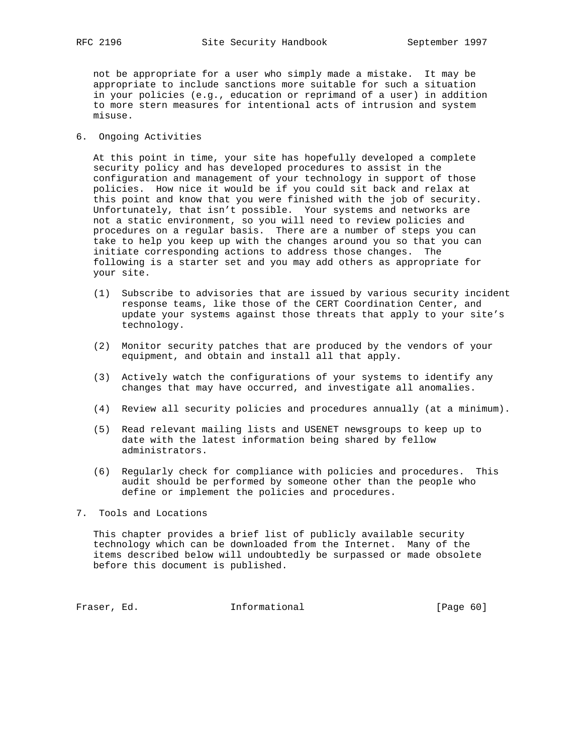not be appropriate for a user who simply made a mistake. It may be appropriate to include sanctions more suitable for such a situation in your policies (e.g., education or reprimand of a user) in addition to more stern measures for intentional acts of intrusion and system misuse.

6. Ongoing Activities

 At this point in time, your site has hopefully developed a complete security policy and has developed procedures to assist in the configuration and management of your technology in support of those policies. How nice it would be if you could sit back and relax at this point and know that you were finished with the job of security. Unfortunately, that isn't possible. Your systems and networks are not a static environment, so you will need to review policies and procedures on a regular basis. There are a number of steps you can take to help you keep up with the changes around you so that you can initiate corresponding actions to address those changes. The following is a starter set and you may add others as appropriate for your site.

- (1) Subscribe to advisories that are issued by various security incident response teams, like those of the CERT Coordination Center, and update your systems against those threats that apply to your site's technology.
- (2) Monitor security patches that are produced by the vendors of your equipment, and obtain and install all that apply.
- (3) Actively watch the configurations of your systems to identify any changes that may have occurred, and investigate all anomalies.
- (4) Review all security policies and procedures annually (at a minimum).
- (5) Read relevant mailing lists and USENET newsgroups to keep up to date with the latest information being shared by fellow administrators.
- (6) Regularly check for compliance with policies and procedures. This audit should be performed by someone other than the people who define or implement the policies and procedures.

7. Tools and Locations

 This chapter provides a brief list of publicly available security technology which can be downloaded from the Internet. Many of the items described below will undoubtedly be surpassed or made obsolete before this document is published.

Fraser, Ed. 1nformational 1999 [Page 60]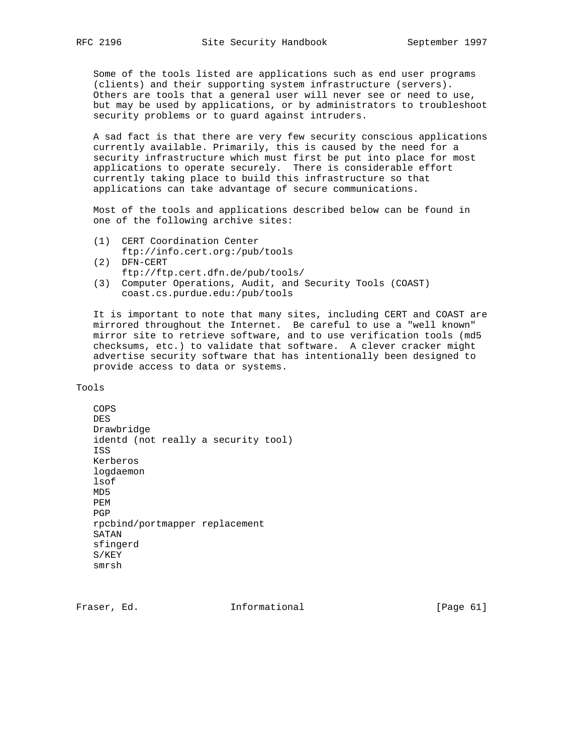Some of the tools listed are applications such as end user programs (clients) and their supporting system infrastructure (servers). Others are tools that a general user will never see or need to use, but may be used by applications, or by administrators to troubleshoot security problems or to guard against intruders.

 A sad fact is that there are very few security conscious applications currently available. Primarily, this is caused by the need for a security infrastructure which must first be put into place for most applications to operate securely. There is considerable effort currently taking place to build this infrastructure so that applications can take advantage of secure communications.

 Most of the tools and applications described below can be found in one of the following archive sites:

- (1) CERT Coordination Center ftp://info.cert.org:/pub/tools
- (2) DFN-CERT ftp://ftp.cert.dfn.de/pub/tools/
- (3) Computer Operations, Audit, and Security Tools (COAST) coast.cs.purdue.edu:/pub/tools

 It is important to note that many sites, including CERT and COAST are mirrored throughout the Internet. Be careful to use a "well known" mirror site to retrieve software, and to use verification tools (md5 checksums, etc.) to validate that software. A clever cracker might advertise security software that has intentionally been designed to provide access to data or systems.

Tools

 COPS DES Drawbridge identd (not really a security tool) **TSS**  Kerberos logdaemon lsof MD5 PEM PGP rpcbind/portmapper replacement SATAN sfingerd S/KEY smrsh

Fraser, Ed. 10. Informational 1.1 [Page 61]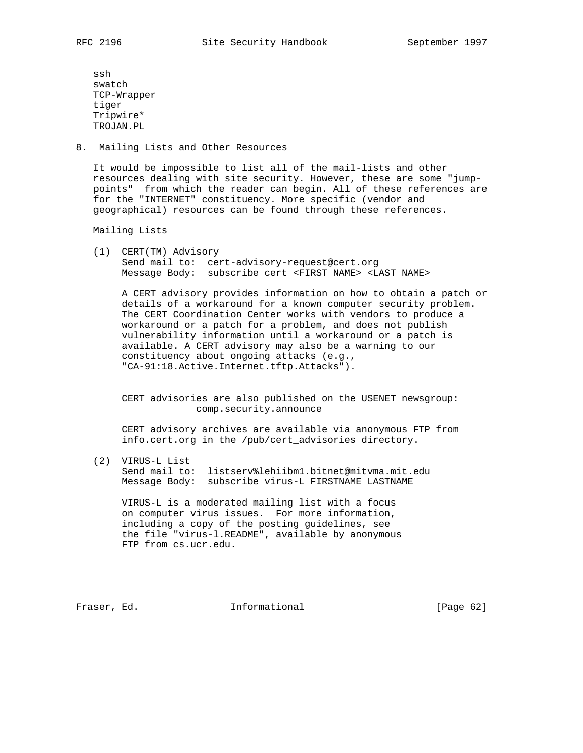ssh swatch TCP-Wrapper tiger Tripwire\* TROJAN.PL

8. Mailing Lists and Other Resources

 It would be impossible to list all of the mail-lists and other resources dealing with site security. However, these are some "jump points" from which the reader can begin. All of these references are for the "INTERNET" constituency. More specific (vendor and geographical) resources can be found through these references.

Mailing Lists

 (1) CERT(TM) Advisory Send mail to: cert-advisory-request@cert.org Message Body: subscribe cert <FIRST NAME> <LAST NAME>

 A CERT advisory provides information on how to obtain a patch or details of a workaround for a known computer security problem. The CERT Coordination Center works with vendors to produce a workaround or a patch for a problem, and does not publish vulnerability information until a workaround or a patch is available. A CERT advisory may also be a warning to our constituency about ongoing attacks (e.g., "CA-91:18.Active.Internet.tftp.Attacks").

 CERT advisories are also published on the USENET newsgroup: comp.security.announce

 CERT advisory archives are available via anonymous FTP from info.cert.org in the /pub/cert\_advisories directory.

 (2) VIRUS-L List Send mail to: listserv%lehiibm1.bitnet@mitvma.mit.edu Message Body: subscribe virus-L FIRSTNAME LASTNAME

 VIRUS-L is a moderated mailing list with a focus on computer virus issues. For more information, including a copy of the posting guidelines, see the file "virus-l.README", available by anonymous FTP from cs.ucr.edu.

Fraser, Ed. 10. Informational 1.1 [Page 62]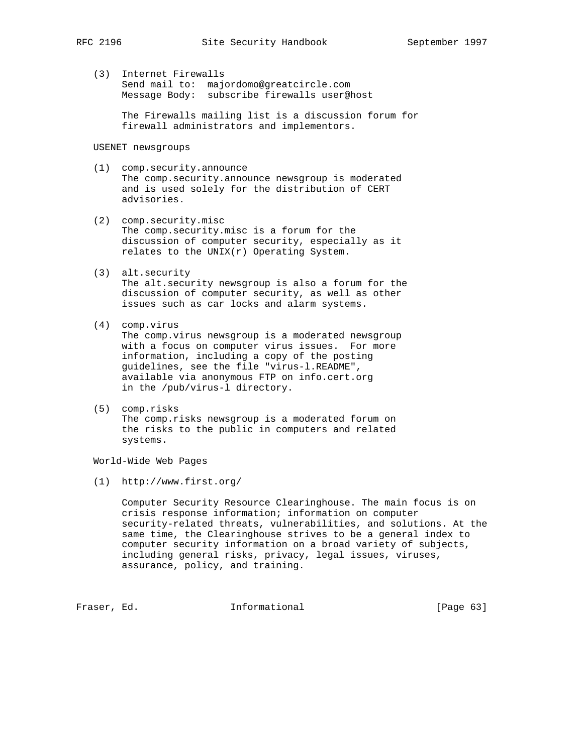(3) Internet Firewalls Send mail to: majordomo@greatcircle.com Message Body: subscribe firewalls user@host

> The Firewalls mailing list is a discussion forum for firewall administrators and implementors.

USENET newsgroups

- (1) comp.security.announce The comp.security.announce newsgroup is moderated and is used solely for the distribution of CERT advisories.
- (2) comp.security.misc The comp.security.misc is a forum for the discussion of computer security, especially as it relates to the  $UNIX(r)$  Operating System.
- (3) alt.security The alt.security newsgroup is also a forum for the discussion of computer security, as well as other issues such as car locks and alarm systems.
- (4) comp.virus The comp.virus newsgroup is a moderated newsgroup with a focus on computer virus issues. For more information, including a copy of the posting guidelines, see the file "virus-l.README", available via anonymous FTP on info.cert.org in the /pub/virus-l directory.
- (5) comp.risks The comp.risks newsgroup is a moderated forum on the risks to the public in computers and related systems.

World-Wide Web Pages

(1) http://www.first.org/

 Computer Security Resource Clearinghouse. The main focus is on crisis response information; information on computer security-related threats, vulnerabilities, and solutions. At the same time, the Clearinghouse strives to be a general index to computer security information on a broad variety of subjects, including general risks, privacy, legal issues, viruses, assurance, policy, and training.

Fraser, Ed. 10. Informational 1.1 [Page 63]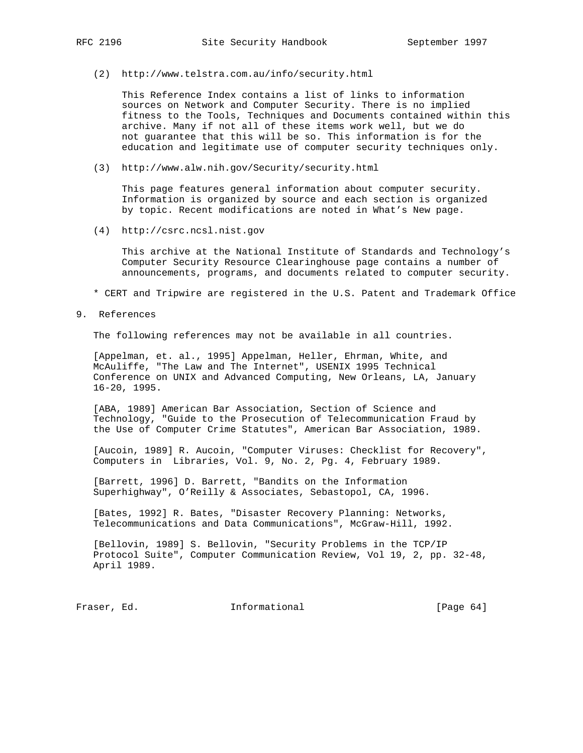(2) http://www.telstra.com.au/info/security.html

 This Reference Index contains a list of links to information sources on Network and Computer Security. There is no implied fitness to the Tools, Techniques and Documents contained within this archive. Many if not all of these items work well, but we do not guarantee that this will be so. This information is for the education and legitimate use of computer security techniques only.

(3) http://www.alw.nih.gov/Security/security.html

 This page features general information about computer security. Information is organized by source and each section is organized by topic. Recent modifications are noted in What's New page.

(4) http://csrc.ncsl.nist.gov

 This archive at the National Institute of Standards and Technology's Computer Security Resource Clearinghouse page contains a number of announcements, programs, and documents related to computer security.

- \* CERT and Tripwire are registered in the U.S. Patent and Trademark Office
- 9. References

The following references may not be available in all countries.

 [Appelman, et. al., 1995] Appelman, Heller, Ehrman, White, and McAuliffe, "The Law and The Internet", USENIX 1995 Technical Conference on UNIX and Advanced Computing, New Orleans, LA, January 16-20, 1995.

 [ABA, 1989] American Bar Association, Section of Science and Technology, "Guide to the Prosecution of Telecommunication Fraud by the Use of Computer Crime Statutes", American Bar Association, 1989.

 [Aucoin, 1989] R. Aucoin, "Computer Viruses: Checklist for Recovery", Computers in Libraries, Vol. 9, No. 2, Pg. 4, February 1989.

 [Barrett, 1996] D. Barrett, "Bandits on the Information Superhighway", O'Reilly & Associates, Sebastopol, CA, 1996.

 [Bates, 1992] R. Bates, "Disaster Recovery Planning: Networks, Telecommunications and Data Communications", McGraw-Hill, 1992.

 [Bellovin, 1989] S. Bellovin, "Security Problems in the TCP/IP Protocol Suite", Computer Communication Review, Vol 19, 2, pp. 32-48, April 1989.

Fraser, Ed. 1nformational [Page 64]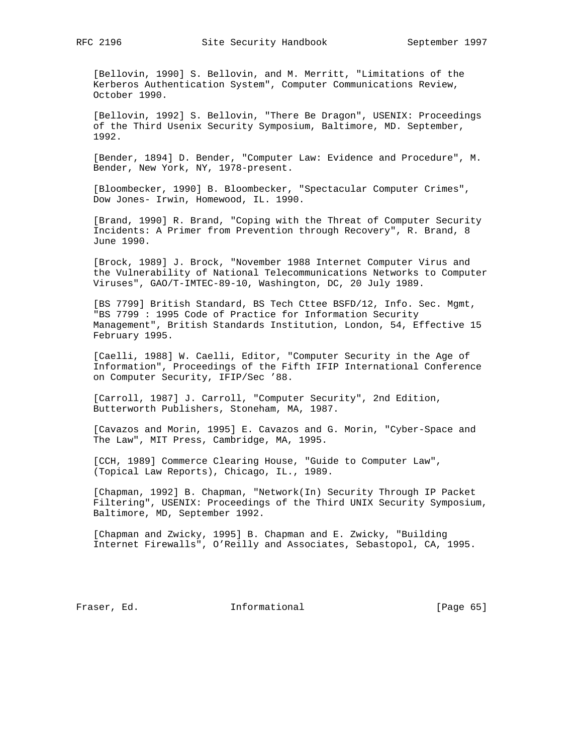[Bellovin, 1990] S. Bellovin, and M. Merritt, "Limitations of the Kerberos Authentication System", Computer Communications Review, October 1990.

 [Bellovin, 1992] S. Bellovin, "There Be Dragon", USENIX: Proceedings of the Third Usenix Security Symposium, Baltimore, MD. September, 1992.

 [Bender, 1894] D. Bender, "Computer Law: Evidence and Procedure", M. Bender, New York, NY, 1978-present.

 [Bloombecker, 1990] B. Bloombecker, "Spectacular Computer Crimes", Dow Jones- Irwin, Homewood, IL. 1990.

 [Brand, 1990] R. Brand, "Coping with the Threat of Computer Security Incidents: A Primer from Prevention through Recovery", R. Brand, 8 June 1990.

 [Brock, 1989] J. Brock, "November 1988 Internet Computer Virus and the Vulnerability of National Telecommunications Networks to Computer Viruses", GAO/T-IMTEC-89-10, Washington, DC, 20 July 1989.

 [BS 7799] British Standard, BS Tech Cttee BSFD/12, Info. Sec. Mgmt, "BS 7799 : 1995 Code of Practice for Information Security Management", British Standards Institution, London, 54, Effective 15 February 1995.

 [Caelli, 1988] W. Caelli, Editor, "Computer Security in the Age of Information", Proceedings of the Fifth IFIP International Conference on Computer Security, IFIP/Sec '88.

 [Carroll, 1987] J. Carroll, "Computer Security", 2nd Edition, Butterworth Publishers, Stoneham, MA, 1987.

 [Cavazos and Morin, 1995] E. Cavazos and G. Morin, "Cyber-Space and The Law", MIT Press, Cambridge, MA, 1995.

 [CCH, 1989] Commerce Clearing House, "Guide to Computer Law", (Topical Law Reports), Chicago, IL., 1989.

 [Chapman, 1992] B. Chapman, "Network(In) Security Through IP Packet Filtering", USENIX: Proceedings of the Third UNIX Security Symposium, Baltimore, MD, September 1992.

 [Chapman and Zwicky, 1995] B. Chapman and E. Zwicky, "Building Internet Firewalls", O'Reilly and Associates, Sebastopol, CA, 1995.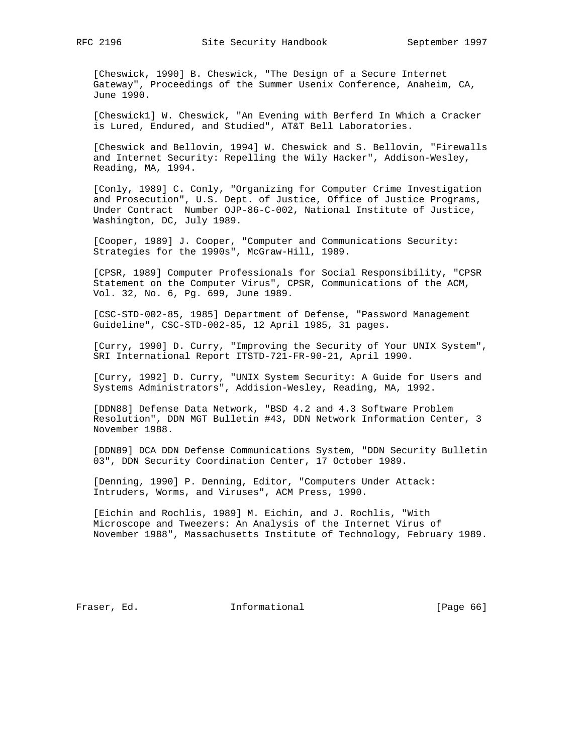[Cheswick, 1990] B. Cheswick, "The Design of a Secure Internet Gateway", Proceedings of the Summer Usenix Conference, Anaheim, CA, June 1990.

 [Cheswick1] W. Cheswick, "An Evening with Berferd In Which a Cracker is Lured, Endured, and Studied", AT&T Bell Laboratories.

 [Cheswick and Bellovin, 1994] W. Cheswick and S. Bellovin, "Firewalls and Internet Security: Repelling the Wily Hacker", Addison-Wesley, Reading, MA, 1994.

 [Conly, 1989] C. Conly, "Organizing for Computer Crime Investigation and Prosecution", U.S. Dept. of Justice, Office of Justice Programs, Under Contract Number OJP-86-C-002, National Institute of Justice, Washington, DC, July 1989.

 [Cooper, 1989] J. Cooper, "Computer and Communications Security: Strategies for the 1990s", McGraw-Hill, 1989.

 [CPSR, 1989] Computer Professionals for Social Responsibility, "CPSR Statement on the Computer Virus", CPSR, Communications of the ACM, Vol. 32, No. 6, Pg. 699, June 1989.

 [CSC-STD-002-85, 1985] Department of Defense, "Password Management Guideline", CSC-STD-002-85, 12 April 1985, 31 pages.

 [Curry, 1990] D. Curry, "Improving the Security of Your UNIX System", SRI International Report ITSTD-721-FR-90-21, April 1990.

 [Curry, 1992] D. Curry, "UNIX System Security: A Guide for Users and Systems Administrators", Addision-Wesley, Reading, MA, 1992.

 [DDN88] Defense Data Network, "BSD 4.2 and 4.3 Software Problem Resolution", DDN MGT Bulletin #43, DDN Network Information Center, 3 November 1988.

 [DDN89] DCA DDN Defense Communications System, "DDN Security Bulletin 03", DDN Security Coordination Center, 17 October 1989.

 [Denning, 1990] P. Denning, Editor, "Computers Under Attack: Intruders, Worms, and Viruses", ACM Press, 1990.

 [Eichin and Rochlis, 1989] M. Eichin, and J. Rochlis, "With Microscope and Tweezers: An Analysis of the Internet Virus of November 1988", Massachusetts Institute of Technology, February 1989.

Fraser, Ed. 1nformational 1999 [Page 66]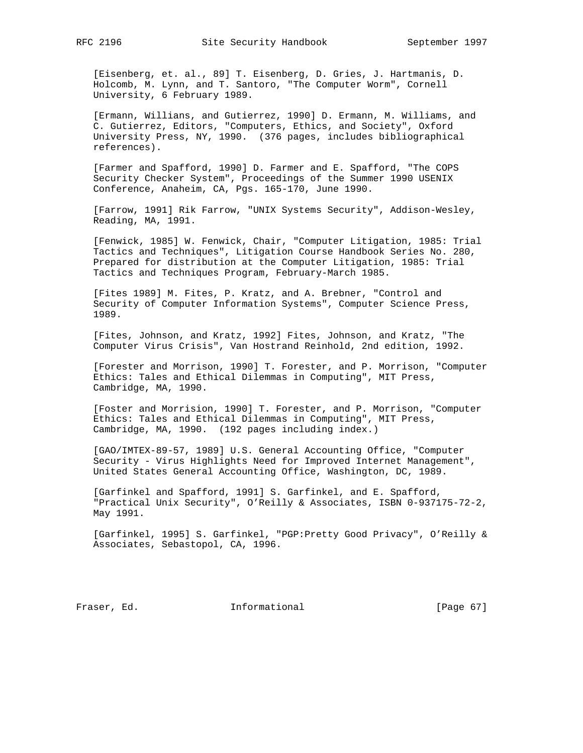[Eisenberg, et. al., 89] T. Eisenberg, D. Gries, J. Hartmanis, D. Holcomb, M. Lynn, and T. Santoro, "The Computer Worm", Cornell University, 6 February 1989.

 [Ermann, Willians, and Gutierrez, 1990] D. Ermann, M. Williams, and C. Gutierrez, Editors, "Computers, Ethics, and Society", Oxford University Press, NY, 1990. (376 pages, includes bibliographical references).

 [Farmer and Spafford, 1990] D. Farmer and E. Spafford, "The COPS Security Checker System", Proceedings of the Summer 1990 USENIX Conference, Anaheim, CA, Pgs. 165-170, June 1990.

 [Farrow, 1991] Rik Farrow, "UNIX Systems Security", Addison-Wesley, Reading, MA, 1991.

 [Fenwick, 1985] W. Fenwick, Chair, "Computer Litigation, 1985: Trial Tactics and Techniques", Litigation Course Handbook Series No. 280, Prepared for distribution at the Computer Litigation, 1985: Trial Tactics and Techniques Program, February-March 1985.

 [Fites 1989] M. Fites, P. Kratz, and A. Brebner, "Control and Security of Computer Information Systems", Computer Science Press, 1989.

 [Fites, Johnson, and Kratz, 1992] Fites, Johnson, and Kratz, "The Computer Virus Crisis", Van Hostrand Reinhold, 2nd edition, 1992.

 [Forester and Morrison, 1990] T. Forester, and P. Morrison, "Computer Ethics: Tales and Ethical Dilemmas in Computing", MIT Press, Cambridge, MA, 1990.

 [Foster and Morrision, 1990] T. Forester, and P. Morrison, "Computer Ethics: Tales and Ethical Dilemmas in Computing", MIT Press, Cambridge, MA, 1990. (192 pages including index.)

 [GAO/IMTEX-89-57, 1989] U.S. General Accounting Office, "Computer Security - Virus Highlights Need for Improved Internet Management", United States General Accounting Office, Washington, DC, 1989.

 [Garfinkel and Spafford, 1991] S. Garfinkel, and E. Spafford, "Practical Unix Security", O'Reilly & Associates, ISBN 0-937175-72-2, May 1991.

 [Garfinkel, 1995] S. Garfinkel, "PGP:Pretty Good Privacy", O'Reilly & Associates, Sebastopol, CA, 1996.

Fraser, Ed. 1nformational Fraser, Ed. 5.1 February 10.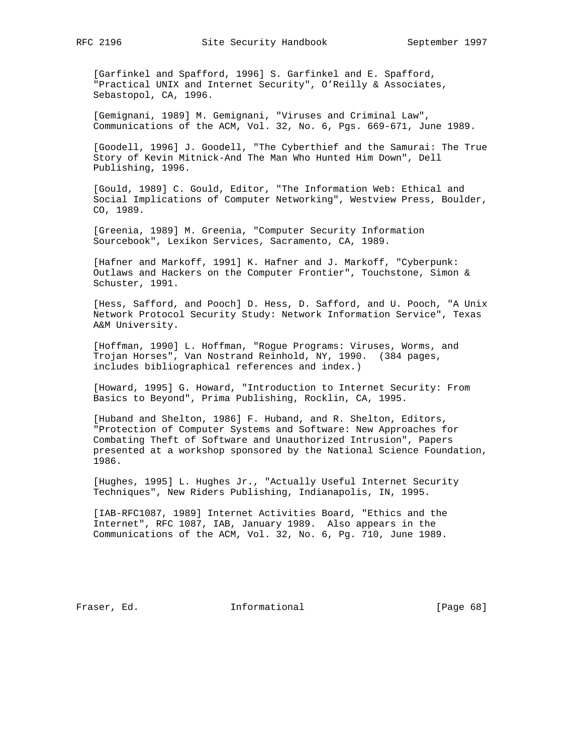[Garfinkel and Spafford, 1996] S. Garfinkel and E. Spafford, "Practical UNIX and Internet Security", O'Reilly & Associates, Sebastopol, CA, 1996.

 [Gemignani, 1989] M. Gemignani, "Viruses and Criminal Law", Communications of the ACM, Vol. 32, No. 6, Pgs. 669-671, June 1989.

 [Goodell, 1996] J. Goodell, "The Cyberthief and the Samurai: The True Story of Kevin Mitnick-And The Man Who Hunted Him Down", Dell Publishing, 1996.

 [Gould, 1989] C. Gould, Editor, "The Information Web: Ethical and Social Implications of Computer Networking", Westview Press, Boulder, CO, 1989.

 [Greenia, 1989] M. Greenia, "Computer Security Information Sourcebook", Lexikon Services, Sacramento, CA, 1989.

 [Hafner and Markoff, 1991] K. Hafner and J. Markoff, "Cyberpunk: Outlaws and Hackers on the Computer Frontier", Touchstone, Simon & Schuster, 1991.

 [Hess, Safford, and Pooch] D. Hess, D. Safford, and U. Pooch, "A Unix Network Protocol Security Study: Network Information Service", Texas A&M University.

 [Hoffman, 1990] L. Hoffman, "Rogue Programs: Viruses, Worms, and Trojan Horses", Van Nostrand Reinhold, NY, 1990. (384 pages, includes bibliographical references and index.)

 [Howard, 1995] G. Howard, "Introduction to Internet Security: From Basics to Beyond", Prima Publishing, Rocklin, CA, 1995.

 [Huband and Shelton, 1986] F. Huband, and R. Shelton, Editors, "Protection of Computer Systems and Software: New Approaches for Combating Theft of Software and Unauthorized Intrusion", Papers presented at a workshop sponsored by the National Science Foundation, 1986.

 [Hughes, 1995] L. Hughes Jr., "Actually Useful Internet Security Techniques", New Riders Publishing, Indianapolis, IN, 1995.

 [IAB-RFC1087, 1989] Internet Activities Board, "Ethics and the Internet", RFC 1087, IAB, January 1989. Also appears in the Communications of the ACM, Vol. 32, No. 6, Pg. 710, June 1989.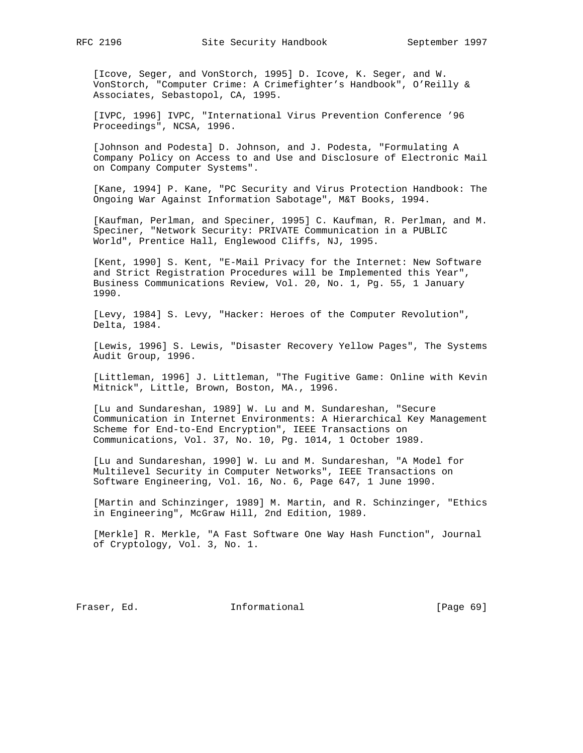[Icove, Seger, and VonStorch, 1995] D. Icove, K. Seger, and W. VonStorch, "Computer Crime: A Crimefighter's Handbook", O'Reilly & Associates, Sebastopol, CA, 1995.

 [IVPC, 1996] IVPC, "International Virus Prevention Conference '96 Proceedings", NCSA, 1996.

 [Johnson and Podesta] D. Johnson, and J. Podesta, "Formulating A Company Policy on Access to and Use and Disclosure of Electronic Mail on Company Computer Systems".

 [Kane, 1994] P. Kane, "PC Security and Virus Protection Handbook: The Ongoing War Against Information Sabotage", M&T Books, 1994.

 [Kaufman, Perlman, and Speciner, 1995] C. Kaufman, R. Perlman, and M. Speciner, "Network Security: PRIVATE Communication in a PUBLIC World", Prentice Hall, Englewood Cliffs, NJ, 1995.

 [Kent, 1990] S. Kent, "E-Mail Privacy for the Internet: New Software and Strict Registration Procedures will be Implemented this Year", Business Communications Review, Vol. 20, No. 1, Pg. 55, 1 January 1990.

 [Levy, 1984] S. Levy, "Hacker: Heroes of the Computer Revolution", Delta, 1984.

 [Lewis, 1996] S. Lewis, "Disaster Recovery Yellow Pages", The Systems Audit Group, 1996.

 [Littleman, 1996] J. Littleman, "The Fugitive Game: Online with Kevin Mitnick", Little, Brown, Boston, MA., 1996.

 [Lu and Sundareshan, 1989] W. Lu and M. Sundareshan, "Secure Communication in Internet Environments: A Hierarchical Key Management Scheme for End-to-End Encryption", IEEE Transactions on Communications, Vol. 37, No. 10, Pg. 1014, 1 October 1989.

 [Lu and Sundareshan, 1990] W. Lu and M. Sundareshan, "A Model for Multilevel Security in Computer Networks", IEEE Transactions on Software Engineering, Vol. 16, No. 6, Page 647, 1 June 1990.

 [Martin and Schinzinger, 1989] M. Martin, and R. Schinzinger, "Ethics in Engineering", McGraw Hill, 2nd Edition, 1989.

 [Merkle] R. Merkle, "A Fast Software One Way Hash Function", Journal of Cryptology, Vol. 3, No. 1.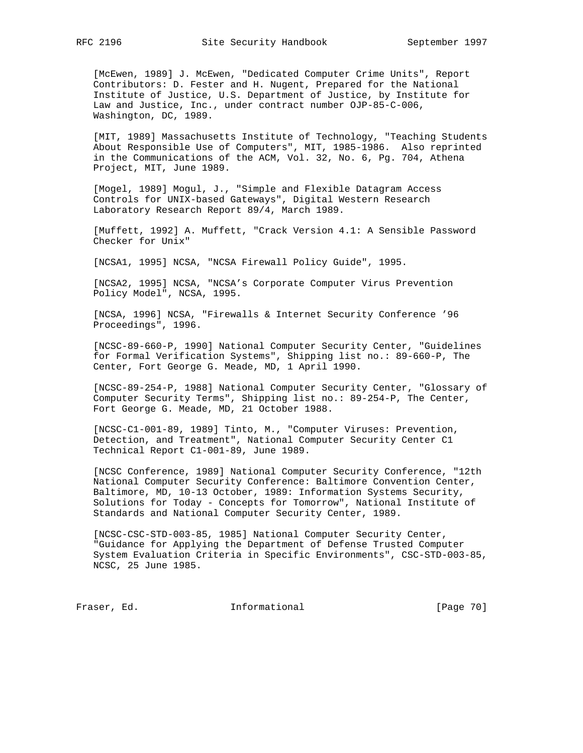[McEwen, 1989] J. McEwen, "Dedicated Computer Crime Units", Report Contributors: D. Fester and H. Nugent, Prepared for the National Institute of Justice, U.S. Department of Justice, by Institute for Law and Justice, Inc., under contract number OJP-85-C-006, Washington, DC, 1989.

 [MIT, 1989] Massachusetts Institute of Technology, "Teaching Students About Responsible Use of Computers", MIT, 1985-1986. Also reprinted in the Communications of the ACM, Vol. 32, No. 6, Pg. 704, Athena Project, MIT, June 1989.

 [Mogel, 1989] Mogul, J., "Simple and Flexible Datagram Access Controls for UNIX-based Gateways", Digital Western Research Laboratory Research Report 89/4, March 1989.

 [Muffett, 1992] A. Muffett, "Crack Version 4.1: A Sensible Password Checker for Unix"

[NCSA1, 1995] NCSA, "NCSA Firewall Policy Guide", 1995.

 [NCSA2, 1995] NCSA, "NCSA's Corporate Computer Virus Prevention Policy Model", NCSA, 1995.

 [NCSA, 1996] NCSA, "Firewalls & Internet Security Conference '96 Proceedings", 1996.

 [NCSC-89-660-P, 1990] National Computer Security Center, "Guidelines for Formal Verification Systems", Shipping list no.: 89-660-P, The Center, Fort George G. Meade, MD, 1 April 1990.

 [NCSC-89-254-P, 1988] National Computer Security Center, "Glossary of Computer Security Terms", Shipping list no.: 89-254-P, The Center, Fort George G. Meade, MD, 21 October 1988.

 [NCSC-C1-001-89, 1989] Tinto, M., "Computer Viruses: Prevention, Detection, and Treatment", National Computer Security Center C1 Technical Report C1-001-89, June 1989.

 [NCSC Conference, 1989] National Computer Security Conference, "12th National Computer Security Conference: Baltimore Convention Center, Baltimore, MD, 10-13 October, 1989: Information Systems Security, Solutions for Today - Concepts for Tomorrow", National Institute of Standards and National Computer Security Center, 1989.

 [NCSC-CSC-STD-003-85, 1985] National Computer Security Center, "Guidance for Applying the Department of Defense Trusted Computer System Evaluation Criteria in Specific Environments", CSC-STD-003-85, NCSC, 25 June 1985.

Fraser, Ed. 1nformational [Page 70]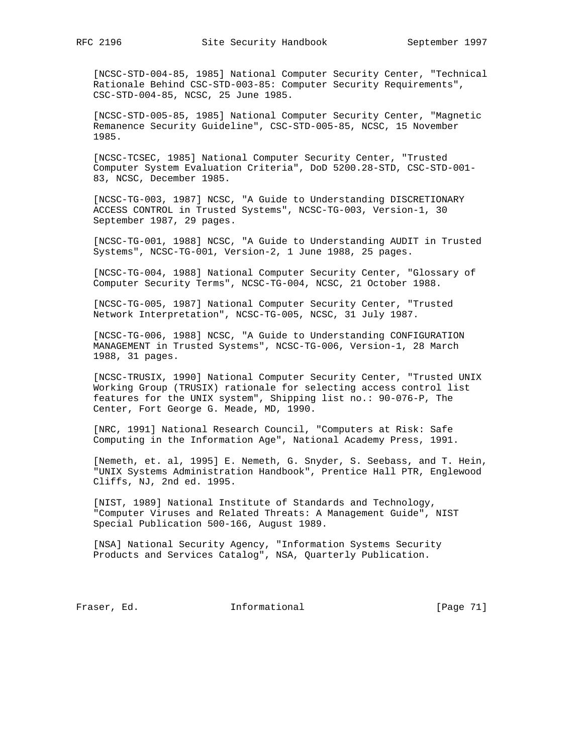[NCSC-STD-004-85, 1985] National Computer Security Center, "Technical Rationale Behind CSC-STD-003-85: Computer Security Requirements", CSC-STD-004-85, NCSC, 25 June 1985.

 [NCSC-STD-005-85, 1985] National Computer Security Center, "Magnetic Remanence Security Guideline", CSC-STD-005-85, NCSC, 15 November 1985.

 [NCSC-TCSEC, 1985] National Computer Security Center, "Trusted Computer System Evaluation Criteria", DoD 5200.28-STD, CSC-STD-001- 83, NCSC, December 1985.

 [NCSC-TG-003, 1987] NCSC, "A Guide to Understanding DISCRETIONARY ACCESS CONTROL in Trusted Systems", NCSC-TG-003, Version-1, 30 September 1987, 29 pages.

 [NCSC-TG-001, 1988] NCSC, "A Guide to Understanding AUDIT in Trusted Systems", NCSC-TG-001, Version-2, 1 June 1988, 25 pages.

 [NCSC-TG-004, 1988] National Computer Security Center, "Glossary of Computer Security Terms", NCSC-TG-004, NCSC, 21 October 1988.

 [NCSC-TG-005, 1987] National Computer Security Center, "Trusted Network Interpretation", NCSC-TG-005, NCSC, 31 July 1987.

 [NCSC-TG-006, 1988] NCSC, "A Guide to Understanding CONFIGURATION MANAGEMENT in Trusted Systems", NCSC-TG-006, Version-1, 28 March 1988, 31 pages.

 [NCSC-TRUSIX, 1990] National Computer Security Center, "Trusted UNIX Working Group (TRUSIX) rationale for selecting access control list features for the UNIX system", Shipping list no.: 90-076-P, The Center, Fort George G. Meade, MD, 1990.

 [NRC, 1991] National Research Council, "Computers at Risk: Safe Computing in the Information Age", National Academy Press, 1991.

 [Nemeth, et. al, 1995] E. Nemeth, G. Snyder, S. Seebass, and T. Hein, "UNIX Systems Administration Handbook", Prentice Hall PTR, Englewood Cliffs, NJ, 2nd ed. 1995.

 [NIST, 1989] National Institute of Standards and Technology, "Computer Viruses and Related Threats: A Management Guide", NIST Special Publication 500-166, August 1989.

 [NSA] National Security Agency, "Information Systems Security Products and Services Catalog", NSA, Quarterly Publication.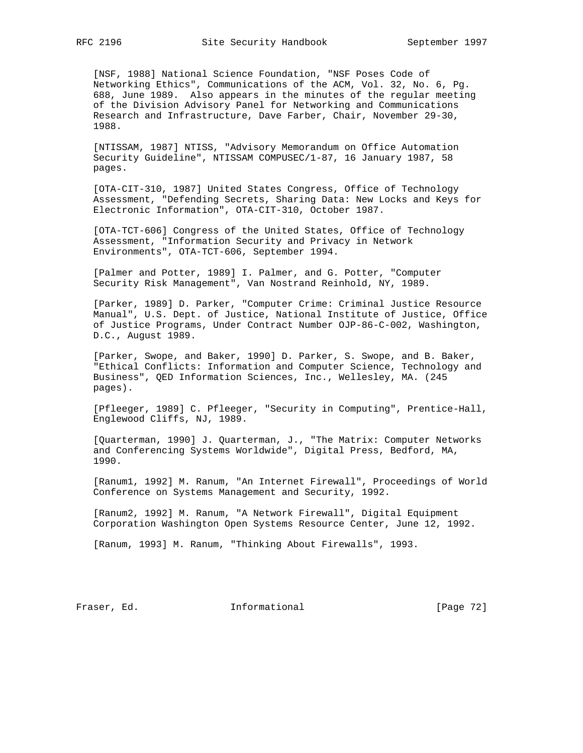[NSF, 1988] National Science Foundation, "NSF Poses Code of Networking Ethics", Communications of the ACM, Vol. 32, No. 6, Pg. 688, June 1989. Also appears in the minutes of the regular meeting of the Division Advisory Panel for Networking and Communications Research and Infrastructure, Dave Farber, Chair, November 29-30, 1988.

 [NTISSAM, 1987] NTISS, "Advisory Memorandum on Office Automation Security Guideline", NTISSAM COMPUSEC/1-87, 16 January 1987, 58 pages.

 [OTA-CIT-310, 1987] United States Congress, Office of Technology Assessment, "Defending Secrets, Sharing Data: New Locks and Keys for Electronic Information", OTA-CIT-310, October 1987.

 [OTA-TCT-606] Congress of the United States, Office of Technology Assessment, "Information Security and Privacy in Network Environments", OTA-TCT-606, September 1994.

 [Palmer and Potter, 1989] I. Palmer, and G. Potter, "Computer Security Risk Management", Van Nostrand Reinhold, NY, 1989.

 [Parker, 1989] D. Parker, "Computer Crime: Criminal Justice Resource Manual", U.S. Dept. of Justice, National Institute of Justice, Office of Justice Programs, Under Contract Number OJP-86-C-002, Washington, D.C., August 1989.

 [Parker, Swope, and Baker, 1990] D. Parker, S. Swope, and B. Baker, "Ethical Conflicts: Information and Computer Science, Technology and Business", QED Information Sciences, Inc., Wellesley, MA. (245 pages).

 [Pfleeger, 1989] C. Pfleeger, "Security in Computing", Prentice-Hall, Englewood Cliffs, NJ, 1989.

 [Quarterman, 1990] J. Quarterman, J., "The Matrix: Computer Networks and Conferencing Systems Worldwide", Digital Press, Bedford, MA, 1990.

 [Ranum1, 1992] M. Ranum, "An Internet Firewall", Proceedings of World Conference on Systems Management and Security, 1992.

 [Ranum2, 1992] M. Ranum, "A Network Firewall", Digital Equipment Corporation Washington Open Systems Resource Center, June 12, 1992.

[Ranum, 1993] M. Ranum, "Thinking About Firewalls", 1993.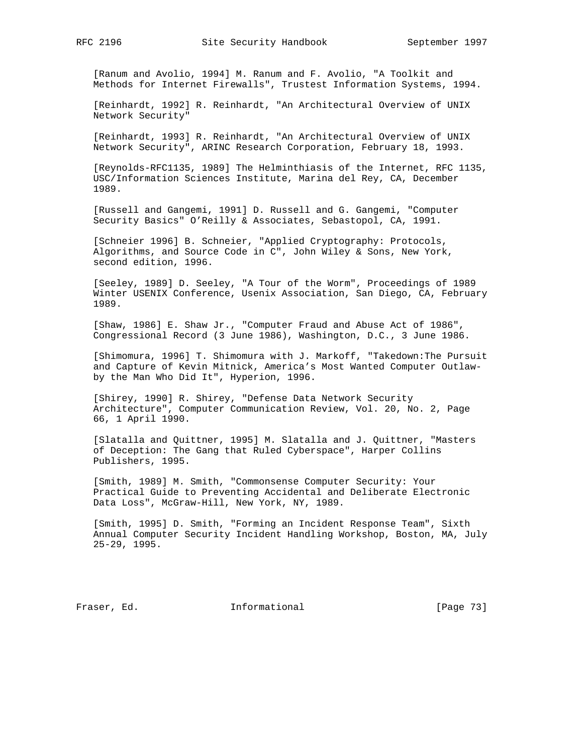[Ranum and Avolio, 1994] M. Ranum and F. Avolio, "A Toolkit and Methods for Internet Firewalls", Trustest Information Systems, 1994.

 [Reinhardt, 1992] R. Reinhardt, "An Architectural Overview of UNIX Network Security"

 [Reinhardt, 1993] R. Reinhardt, "An Architectural Overview of UNIX Network Security", ARINC Research Corporation, February 18, 1993.

 [Reynolds-RFC1135, 1989] The Helminthiasis of the Internet, RFC 1135, USC/Information Sciences Institute, Marina del Rey, CA, December 1989.

 [Russell and Gangemi, 1991] D. Russell and G. Gangemi, "Computer Security Basics" O'Reilly & Associates, Sebastopol, CA, 1991.

 [Schneier 1996] B. Schneier, "Applied Cryptography: Protocols, Algorithms, and Source Code in C", John Wiley & Sons, New York, second edition, 1996.

 [Seeley, 1989] D. Seeley, "A Tour of the Worm", Proceedings of 1989 Winter USENIX Conference, Usenix Association, San Diego, CA, February 1989.

 [Shaw, 1986] E. Shaw Jr., "Computer Fraud and Abuse Act of 1986", Congressional Record (3 June 1986), Washington, D.C., 3 June 1986.

 [Shimomura, 1996] T. Shimomura with J. Markoff, "Takedown:The Pursuit and Capture of Kevin Mitnick, America's Most Wanted Computer Outlaw by the Man Who Did It", Hyperion, 1996.

 [Shirey, 1990] R. Shirey, "Defense Data Network Security Architecture", Computer Communication Review, Vol. 20, No. 2, Page 66, 1 April 1990.

 [Slatalla and Quittner, 1995] M. Slatalla and J. Quittner, "Masters of Deception: The Gang that Ruled Cyberspace", Harper Collins Publishers, 1995.

 [Smith, 1989] M. Smith, "Commonsense Computer Security: Your Practical Guide to Preventing Accidental and Deliberate Electronic Data Loss", McGraw-Hill, New York, NY, 1989.

 [Smith, 1995] D. Smith, "Forming an Incident Response Team", Sixth Annual Computer Security Incident Handling Workshop, Boston, MA, July 25-29, 1995.

Fraser, Ed. 1nformational Fraser, Ed.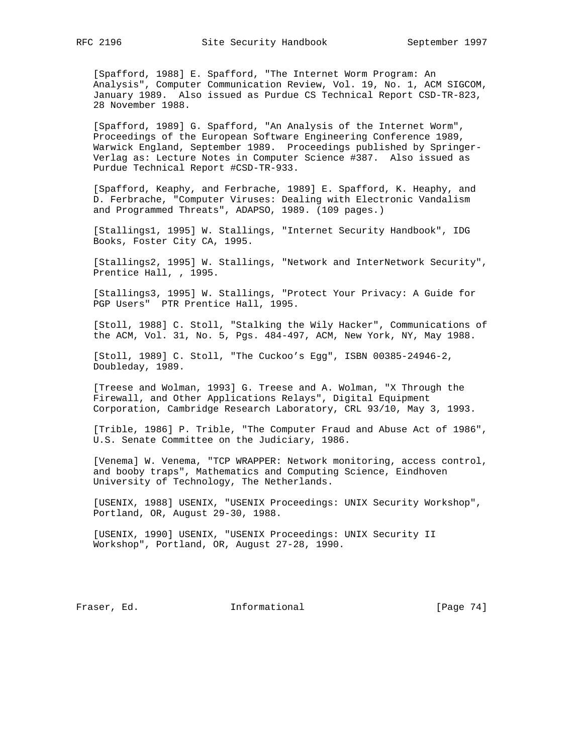[Spafford, 1988] E. Spafford, "The Internet Worm Program: An Analysis", Computer Communication Review, Vol. 19, No. 1, ACM SIGCOM, January 1989. Also issued as Purdue CS Technical Report CSD-TR-823, 28 November 1988.

 [Spafford, 1989] G. Spafford, "An Analysis of the Internet Worm", Proceedings of the European Software Engineering Conference 1989, Warwick England, September 1989. Proceedings published by Springer- Verlag as: Lecture Notes in Computer Science #387. Also issued as Purdue Technical Report #CSD-TR-933.

 [Spafford, Keaphy, and Ferbrache, 1989] E. Spafford, K. Heaphy, and D. Ferbrache, "Computer Viruses: Dealing with Electronic Vandalism and Programmed Threats", ADAPSO, 1989. (109 pages.)

 [Stallings1, 1995] W. Stallings, "Internet Security Handbook", IDG Books, Foster City CA, 1995.

 [Stallings2, 1995] W. Stallings, "Network and InterNetwork Security", Prentice Hall, , 1995.

 [Stallings3, 1995] W. Stallings, "Protect Your Privacy: A Guide for PGP Users" PTR Prentice Hall, 1995.

 [Stoll, 1988] C. Stoll, "Stalking the Wily Hacker", Communications of the ACM, Vol. 31, No. 5, Pgs. 484-497, ACM, New York, NY, May 1988.

 [Stoll, 1989] C. Stoll, "The Cuckoo's Egg", ISBN 00385-24946-2, Doubleday, 1989.

 [Treese and Wolman, 1993] G. Treese and A. Wolman, "X Through the Firewall, and Other Applications Relays", Digital Equipment Corporation, Cambridge Research Laboratory, CRL 93/10, May 3, 1993.

 [Trible, 1986] P. Trible, "The Computer Fraud and Abuse Act of 1986", U.S. Senate Committee on the Judiciary, 1986.

 [Venema] W. Venema, "TCP WRAPPER: Network monitoring, access control, and booby traps", Mathematics and Computing Science, Eindhoven University of Technology, The Netherlands.

 [USENIX, 1988] USENIX, "USENIX Proceedings: UNIX Security Workshop", Portland, OR, August 29-30, 1988.

 [USENIX, 1990] USENIX, "USENIX Proceedings: UNIX Security II Workshop", Portland, OR, August 27-28, 1990.

Fraser, Ed. 1nformational Fraser, Ed.